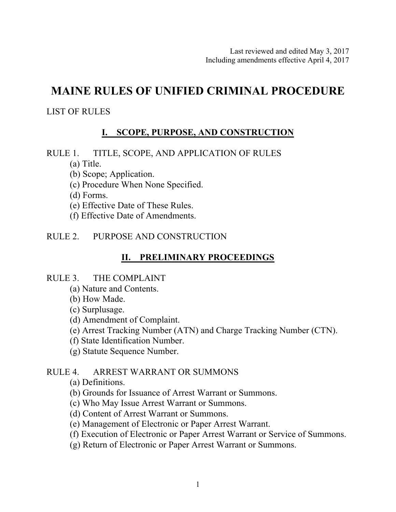# **MAINE RULES OF UNIFIED CRIMINAL PROCEDURE**

## LIST OF RULES

## **I. SCOPE, PURPOSE, AND CONSTRUCTION**

- RULE 1. TITLE, SCOPE, AND APPLICATION OF RULES
	- (a) Title.
	- (b) Scope; Application.
	- (c) Procedure When None Specified.
	- (d) Forms.
	- (e) Effective Date of These Rules.
	- (f) Effective Date of Amendments.

## RULE 2. PURPOSE AND CONSTRUCTION

## **II. PRELIMINARY PROCEEDINGS**

### RULE 3. THE COMPLAINT

- (a) Nature and Contents.
- (b) How Made.
- (c) Surplusage.
- (d) Amendment of Complaint.
- (e) Arrest Tracking Number (ATN) and Charge Tracking Number (CTN).
- (f) State Identification Number.
- (g) Statute Sequence Number.

### RULE 4. ARREST WARRANT OR SUMMONS

- (a) Definitions.
- (b) Grounds for Issuance of Arrest Warrant or Summons.
- (c) Who May Issue Arrest Warrant or Summons.
- (d) Content of Arrest Warrant or Summons.
- (e) Management of Electronic or Paper Arrest Warrant.
- (f) Execution of Electronic or Paper Arrest Warrant or Service of Summons.
- (g) Return of Electronic or Paper Arrest Warrant or Summons.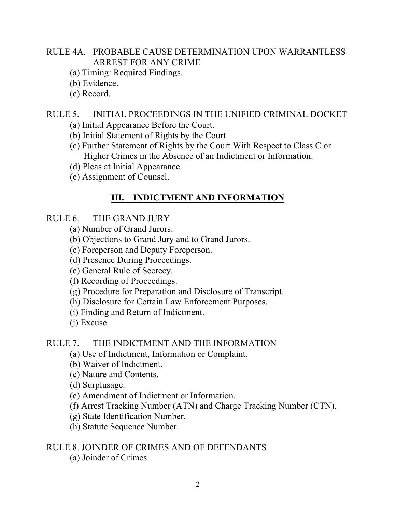## RULE 4A. PROBABLE CAUSE DETERMINATION UPON WARRANTLESS ARREST FOR ANY CRIME

- (a) Timing: Required Findings.
- (b) Evidence.
- (c) Record.

## RULE 5. INITIAL PROCEEDINGS IN THE UNIFIED CRIMINAL DOCKET

- (a) Initial Appearance Before the Court.
- (b) Initial Statement of Rights by the Court.
- (c) Further Statement of Rights by the Court With Respect to Class C or Higher Crimes in the Absence of an Indictment or Information.
- (d) Pleas at Initial Appearance.
- (e) Assignment of Counsel.

## **III. INDICTMENT AND INFORMATION**

### RULE 6. THE GRAND JURY

- (a) Number of Grand Jurors.
- (b) Objections to Grand Jury and to Grand Jurors.
- (c) Foreperson and Deputy Foreperson.
- (d) Presence During Proceedings.
- (e) General Rule of Secrecy.
- (f) Recording of Proceedings.
- (g) Procedure for Preparation and Disclosure of Transcript.
- (h) Disclosure for Certain Law Enforcement Purposes.
- (i) Finding and Return of Indictment.
- (j) Excuse.

## RULE 7. THE INDICTMENT AND THE INFORMATION

- (a) Use of Indictment, Information or Complaint.
- (b) Waiver of Indictment.
- (c) Nature and Contents.
- (d) Surplusage.
- (e) Amendment of Indictment or Information.
- (f) Arrest Tracking Number (ATN) and Charge Tracking Number (CTN).
- (g) State Identification Number.
- (h) Statute Sequence Number.

## RULE 8. JOINDER OF CRIMES AND OF DEFENDANTS

(a) Joinder of Crimes.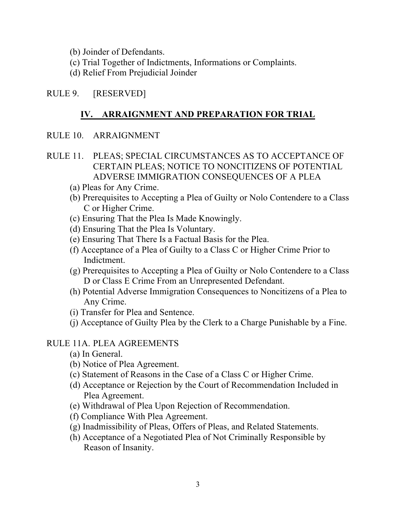(b) Joinder of Defendants.

- (c) Trial Together of Indictments, Informations or Complaints.
- (d) Relief From Prejudicial Joinder

## RULE 9. [RESERVED]

## **IV. ARRAIGNMENT AND PREPARATION FOR TRIAL**

- RULE 10. ARRAIGNMENT
- RULE 11. PLEAS; SPECIAL CIRCUMSTANCES AS TO ACCEPTANCE OF CERTAIN PLEAS; NOTICE TO NONCITIZENS OF POTENTIAL ADVERSE IMMIGRATION CONSEQUENCES OF A PLEA
	- (a) Pleas for Any Crime.
	- (b) Prerequisites to Accepting a Plea of Guilty or Nolo Contendere to a Class C or Higher Crime.
	- (c) Ensuring That the Plea Is Made Knowingly.
	- (d) Ensuring That the Plea Is Voluntary.
	- (e) Ensuring That There Is a Factual Basis for the Plea.
	- (f) Acceptance of a Plea of Guilty to a Class C or Higher Crime Prior to Indictment.
	- (g) Prerequisites to Accepting a Plea of Guilty or Nolo Contendere to a Class D or Class E Crime From an Unrepresented Defendant.
	- (h) Potential Adverse Immigration Consequences to Noncitizens of a Plea to Any Crime.
	- (i) Transfer for Plea and Sentence.
	- (j) Acceptance of Guilty Plea by the Clerk to a Charge Punishable by a Fine.

## RULE 11A. PLEA AGREEMENTS

- (a) In General.
- (b) Notice of Plea Agreement.
- (c) Statement of Reasons in the Case of a Class C or Higher Crime.
- (d) Acceptance or Rejection by the Court of Recommendation Included in Plea Agreement.
- (e) Withdrawal of Plea Upon Rejection of Recommendation.
- (f) Compliance With Plea Agreement.
- (g) Inadmissibility of Pleas, Offers of Pleas, and Related Statements.
- (h) Acceptance of a Negotiated Plea of Not Criminally Responsible by Reason of Insanity.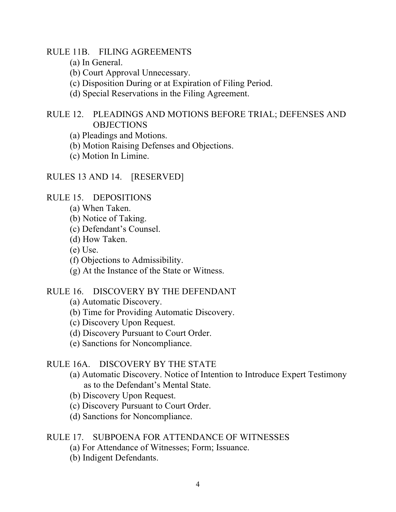RULE 11B. FILING AGREEMENTS

- (a) In General.
- (b) Court Approval Unnecessary.
- (c) Disposition During or at Expiration of Filing Period.
- (d) Special Reservations in the Filing Agreement.

RULE 12. PLEADINGS AND MOTIONS BEFORE TRIAL; DEFENSES AND **OBJECTIONS** 

- (a) Pleadings and Motions.
- (b) Motion Raising Defenses and Objections.
- (c) Motion In Limine.

#### RULES 13 AND 14. [RESERVED]

RULE 15. DEPOSITIONS

- (a) When Taken.
- (b) Notice of Taking.
- (c) Defendant's Counsel.
- (d) How Taken.
- (e) Use.
- (f) Objections to Admissibility.
- (g) At the Instance of the State or Witness.

#### RULE 16. DISCOVERY BY THE DEFENDANT

- (a) Automatic Discovery.
- (b) Time for Providing Automatic Discovery.
- (c) Discovery Upon Request.
- (d) Discovery Pursuant to Court Order.
- (e) Sanctions for Noncompliance.

#### RULE 16A. DISCOVERY BY THE STATE

- (a) Automatic Discovery. Notice of Intention to Introduce Expert Testimony as to the Defendant's Mental State.
- (b) Discovery Upon Request.
- (c) Discovery Pursuant to Court Order.
- (d) Sanctions for Noncompliance.

#### RULE 17. SUBPOENA FOR ATTENDANCE OF WITNESSES

- (a) For Attendance of Witnesses; Form; Issuance.
- (b) Indigent Defendants.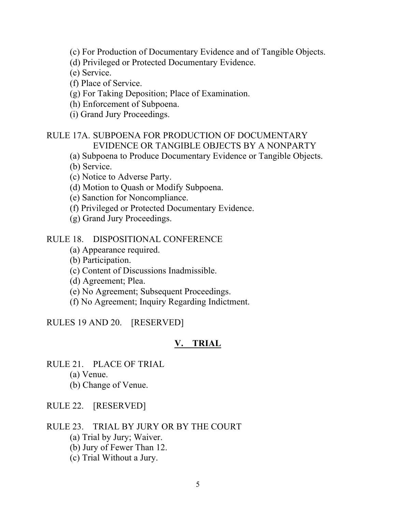(c) For Production of Documentary Evidence and of Tangible Objects.

- (d) Privileged or Protected Documentary Evidence.
- (e) Service.

(f) Place of Service.

(g) For Taking Deposition; Place of Examination.

(h) Enforcement of Subpoena.

(i) Grand Jury Proceedings.

## RULE 17A. SUBPOENA FOR PRODUCTION OF DOCUMENTARY EVIDENCE OR TANGIBLE OBJECTS BY A NONPARTY

(a) Subpoena to Produce Documentary Evidence or Tangible Objects.

(b) Service.

(c) Notice to Adverse Party.

(d) Motion to Quash or Modify Subpoena.

(e) Sanction for Noncompliance.

- (f) Privileged or Protected Documentary Evidence.
- (g) Grand Jury Proceedings.

### RULE 18. DISPOSITIONAL CONFERENCE

(a) Appearance required.

(b) Participation.

(c) Content of Discussions Inadmissible.

(d) Agreement; Plea.

(e) No Agreement; Subsequent Proceedings.

(f) No Agreement; Inquiry Regarding Indictment.

RULES 19 AND 20. [RESERVED]

## **V. TRIAL**

RULE 21. PLACE OF TRIAL

(a) Venue.

(b) Change of Venue.

## RULE 22. [RESERVED]

RULE 23. TRIAL BY JURY OR BY THE COURT

- (a) Trial by Jury; Waiver.
- (b) Jury of Fewer Than 12.
- (c) Trial Without a Jury.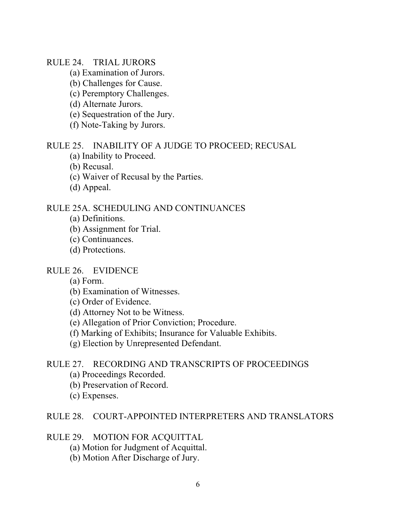#### RULE 24. TRIAL JURORS

- (a) Examination of Jurors.
- (b) Challenges for Cause.
- (c) Peremptory Challenges.
- (d) Alternate Jurors.
- (e) Sequestration of the Jury.
- (f) Note-Taking by Jurors.

#### RULE 25. INABILITY OF A JUDGE TO PROCEED; RECUSAL

- (a) Inability to Proceed.
- (b) Recusal.
- (c) Waiver of Recusal by the Parties.
- (d) Appeal.

#### RULE 25A. SCHEDULING AND CONTINUANCES

- (a) Definitions.
- (b) Assignment for Trial.
- (c) Continuances.
- (d) Protections.

#### RULE 26. EVIDENCE

- (a) Form.
- (b) Examination of Witnesses.
- (c) Order of Evidence.
- (d) Attorney Not to be Witness.
- (e) Allegation of Prior Conviction; Procedure.
- (f) Marking of Exhibits; Insurance for Valuable Exhibits.
- (g) Election by Unrepresented Defendant.

#### RULE 27. RECORDING AND TRANSCRIPTS OF PROCEEDINGS

- (a) Proceedings Recorded.
- (b) Preservation of Record.
- (c) Expenses.

#### RULE 28. COURT-APPOINTED INTERPRETERS AND TRANSLATORS

#### RULE 29. MOTION FOR ACQUITTAL

- (a) Motion for Judgment of Acquittal.
- (b) Motion After Discharge of Jury.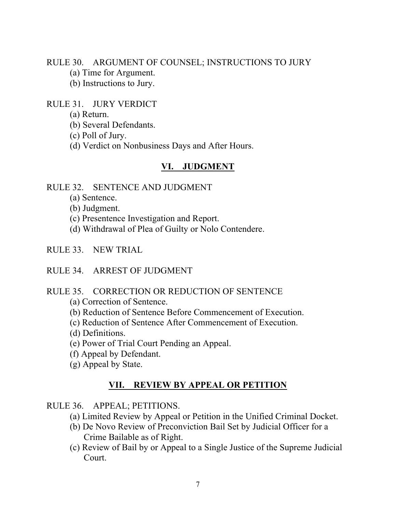RULE 30. ARGUMENT OF COUNSEL; INSTRUCTIONS TO JURY

- (a) Time for Argument.
- (b) Instructions to Jury.

#### RULE 31. JURY VERDICT

- (a) Return.
- (b) Several Defendants.
- (c) Poll of Jury.
- (d) Verdict on Nonbusiness Days and After Hours.

#### **VI. JUDGMENT**

#### RULE 32. SENTENCE AND JUDGMENT

- (a) Sentence.
- (b) Judgment.
- (c) Presentence Investigation and Report.
- (d) Withdrawal of Plea of Guilty or Nolo Contendere.
- RULE 33. NEW TRIAL
- RULE 34. ARREST OF JUDGMENT

#### RULE 35. CORRECTION OR REDUCTION OF SENTENCE

- (a) Correction of Sentence.
- (b) Reduction of Sentence Before Commencement of Execution.
- (c) Reduction of Sentence After Commencement of Execution.
- (d) Definitions.
- (e) Power of Trial Court Pending an Appeal.
- (f) Appeal by Defendant.
- (g) Appeal by State.

#### **VII. REVIEW BY APPEAL OR PETITION**

#### RULE 36. APPEAL; PETITIONS.

- (a) Limited Review by Appeal or Petition in the Unified Criminal Docket.
- (b) De Novo Review of Preconviction Bail Set by Judicial Officer for a Crime Bailable as of Right.
- (c) Review of Bail by or Appeal to a Single Justice of the Supreme Judicial Court.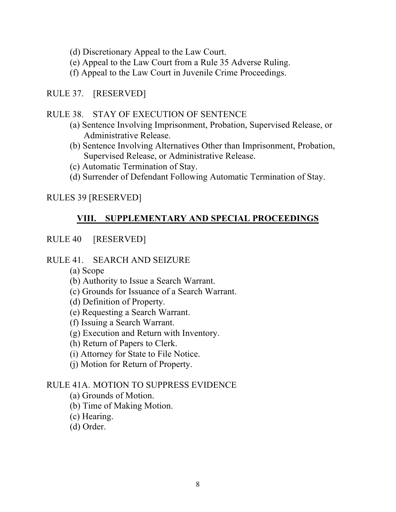- (d) Discretionary Appeal to the Law Court.
- (e) Appeal to the Law Court from a Rule 35 Adverse Ruling.
- (f) Appeal to the Law Court in Juvenile Crime Proceedings.

## RULE 37. [RESERVED]

### RULE 38. STAY OF EXECUTION OF SENTENCE

- (a) Sentence Involving Imprisonment, Probation, Supervised Release, or Administrative Release.
- (b) Sentence Involving Alternatives Other than Imprisonment, Probation, Supervised Release, or Administrative Release.
- (c) Automatic Termination of Stay.
- (d) Surrender of Defendant Following Automatic Termination of Stay.

## RULES 39 [RESERVED]

## **VIII. SUPPLEMENTARY AND SPECIAL PROCEEDINGS**

## RULE 40 [RESERVED]

### RULE 41. SEARCH AND SEIZURE

- (a) Scope
- (b) Authority to Issue a Search Warrant.
- (c) Grounds for Issuance of a Search Warrant.
- (d) Definition of Property.
- (e) Requesting a Search Warrant.
- (f) Issuing a Search Warrant.
- (g) Execution and Return with Inventory.
- (h) Return of Papers to Clerk.
- (i) Attorney for State to File Notice.
- (j) Motion for Return of Property.

### RULE 41A. MOTION TO SUPPRESS EVIDENCE

- (a) Grounds of Motion.
- (b) Time of Making Motion.
- (c) Hearing.
- (d) Order.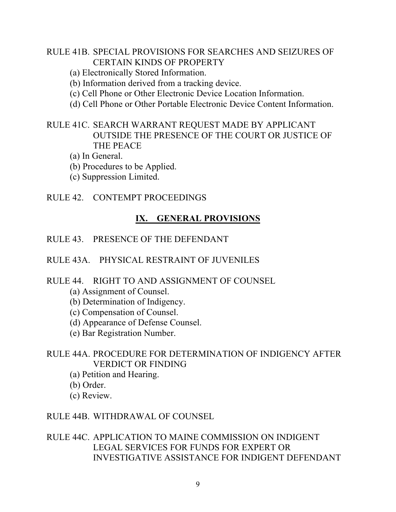### RULE 41B. SPECIAL PROVISIONS FOR SEARCHES AND SEIZURES OF CERTAIN KINDS OF PROPERTY

- (a) Electronically Stored Information.
- (b) Information derived from a tracking device.
- (c) Cell Phone or Other Electronic Device Location Information.
- (d) Cell Phone or Other Portable Electronic Device Content Information.

## RULE 41C. SEARCH WARRANT REQUEST MADE BY APPLICANT OUTSIDE THE PRESENCE OF THE COURT OR JUSTICE OF THE PEACE

- (a) In General.
- (b) Procedures to be Applied.
- (c) Suppression Limited.

## RULE 42. CONTEMPT PROCEEDINGS

## **IX. GENERAL PROVISIONS**

RULE 43. PRESENCE OF THE DEFENDANT

## RULE 43A. PHYSICAL RESTRAINT OF JUVENILES

### RULE 44. RIGHT TO AND ASSIGNMENT OF COUNSEL

- (a) Assignment of Counsel.
- (b) Determination of Indigency.
- (c) Compensation of Counsel.
- (d) Appearance of Defense Counsel.
- (e) Bar Registration Number.

## RULE 44A. PROCEDURE FOR DETERMINATION OF INDIGENCY AFTER VERDICT OR FINDING

- (a) Petition and Hearing.
- (b) Order.
- (c) Review.

### RULE 44B. WITHDRAWAL OF COUNSEL

RULE 44C. APPLICATION TO MAINE COMMISSION ON INDIGENT LEGAL SERVICES FOR FUNDS FOR EXPERT OR INVESTIGATIVE ASSISTANCE FOR INDIGENT DEFENDANT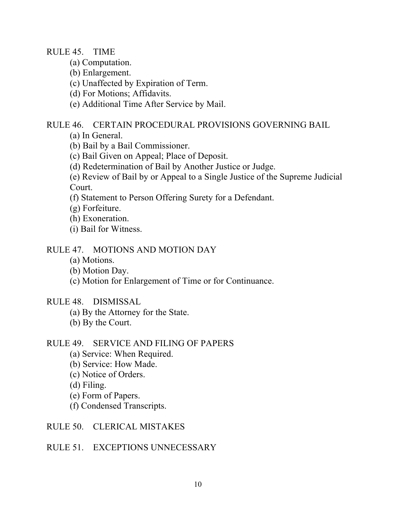RULE 45. TIME

- (a) Computation.
- (b) Enlargement.
- (c) Unaffected by Expiration of Term.
- (d) For Motions; Affidavits.
- (e) Additional Time After Service by Mail.

#### RULE 46. CERTAIN PROCEDURAL PROVISIONS GOVERNING BAIL

- (a) In General.
- (b) Bail by a Bail Commissioner.
- (c) Bail Given on Appeal; Place of Deposit.
- (d) Redetermination of Bail by Another Justice or Judge.
- (e) Review of Bail by or Appeal to a Single Justice of the Supreme Judicial Court.
- (f) Statement to Person Offering Surety for a Defendant.
- (g) Forfeiture.
- (h) Exoneration.
- (i) Bail for Witness.

### RULE 47. MOTIONS AND MOTION DAY

- (a) Motions.
- (b) Motion Day.
- (c) Motion for Enlargement of Time or for Continuance.

#### RULE 48. DISMISSAL

- (a) By the Attorney for the State.
- (b) By the Court.

### RULE 49. SERVICE AND FILING OF PAPERS

- (a) Service: When Required.
- (b) Service: How Made.
- (c) Notice of Orders.
- (d) Filing.
- (e) Form of Papers.
- (f) Condensed Transcripts.
- RULE 50. CLERICAL MISTAKES

### RULE 51. EXCEPTIONS UNNECESSARY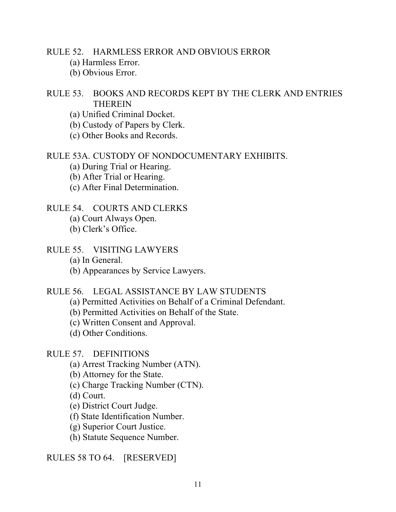RULE 52. HARMLESS ERROR AND OBVIOUS ERROR

- (a) Harmless Error.
- (b) Obvious Error.

## RULE 53. BOOKS AND RECORDS KEPT BY THE CLERK AND ENTRIES **THEREIN**

- (a) Unified Criminal Docket.
- (b) Custody of Papers by Clerk.
- (c) Other Books and Records.

#### RULE 53A. CUSTODY OF NONDOCUMENTARY EXHIBITS.

- (a) During Trial or Hearing.
- (b) After Trial or Hearing.
- (c) After Final Determination.

### RULE 54. COURTS AND CLERKS

- (a) Court Always Open.
- (b) Clerk's Office.

### RULE 55. VISITING LAWYERS

- (a) In General.
- (b) Appearances by Service Lawyers.

#### RULE 56. LEGAL ASSISTANCE BY LAW STUDENTS

- (a) Permitted Activities on Behalf of a Criminal Defendant.
- (b) Permitted Activities on Behalf of the State.
- (c) Written Consent and Approval.
- (d) Other Conditions.

#### RULE 57. DEFINITIONS

- (a) Arrest Tracking Number (ATN).
- (b) Attorney for the State.
- (c) Charge Tracking Number (CTN).
- (d) Court.
- (e) District Court Judge.
- (f) State Identification Number.
- (g) Superior Court Justice.
- (h) Statute Sequence Number.

#### RULES 58 TO 64. [RESERVED]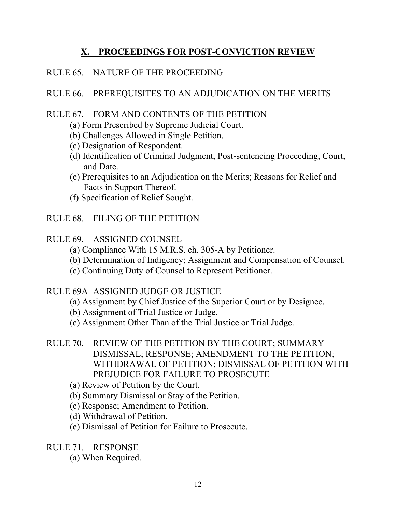## **X. PROCEEDINGS FOR POST-CONVICTION REVIEW**

## RULE 65. NATURE OF THE PROCEEDING

## RULE 66. PREREQUISITES TO AN ADJUDICATION ON THE MERITS

## RULE 67. FORM AND CONTENTS OF THE PETITION

- (a) Form Prescribed by Supreme Judicial Court.
- (b) Challenges Allowed in Single Petition.
- (c) Designation of Respondent.
- (d) Identification of Criminal Judgment, Post-sentencing Proceeding, Court, and Date.
- (e) Prerequisites to an Adjudication on the Merits; Reasons for Relief and Facts in Support Thereof.
- (f) Specification of Relief Sought.

## RULE 68. FILING OF THE PETITION

## RULE 69. ASSIGNED COUNSEL

- (a) Compliance With 15 M.R.S. ch. 305-A by Petitioner.
- (b) Determination of Indigency; Assignment and Compensation of Counsel.
- (c) Continuing Duty of Counsel to Represent Petitioner.

## RULE 69A. ASSIGNED JUDGE OR JUSTICE

- (a) Assignment by Chief Justice of the Superior Court or by Designee.
- (b) Assignment of Trial Justice or Judge.
- (c) Assignment Other Than of the Trial Justice or Trial Judge.
- RULE 70. REVIEW OF THE PETITION BY THE COURT; SUMMARY DISMISSAL; RESPONSE; AMENDMENT TO THE PETITION; WITHDRAWAL OF PETITION; DISMISSAL OF PETITION WITH PREJUDICE FOR FAILURE TO PROSECUTE
	- (a) Review of Petition by the Court.
	- (b) Summary Dismissal or Stay of the Petition.
	- (c) Response; Amendment to Petition.
	- (d) Withdrawal of Petition.
	- (e) Dismissal of Petition for Failure to Prosecute.

RULE 71. RESPONSE

(a) When Required.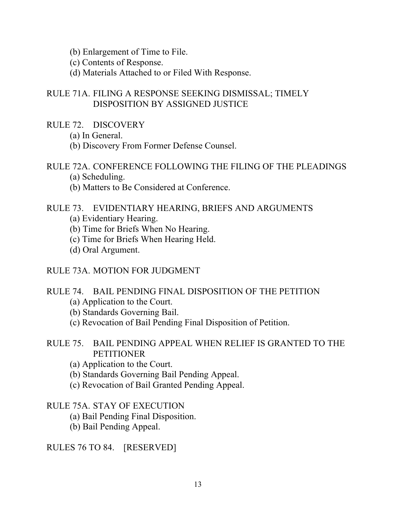- (b) Enlargement of Time to File.
- (c) Contents of Response.
- (d) Materials Attached to or Filed With Response.

### RULE 71A. FILING A RESPONSE SEEKING DISMISSAL; TIMELY DISPOSITION BY ASSIGNED JUSTICE

- RULE 72. DISCOVERY
	- (a) In General.
	- (b) Discovery From Former Defense Counsel.

## RULE 72A. CONFERENCE FOLLOWING THE FILING OF THE PLEADINGS

- (a) Scheduling.
- (b) Matters to Be Considered at Conference.

#### RULE 73. EVIDENTIARY HEARING, BRIEFS AND ARGUMENTS

- (a) Evidentiary Hearing.
- (b) Time for Briefs When No Hearing.
- (c) Time for Briefs When Hearing Held.
- (d) Oral Argument.

#### RULE 73A. MOTION FOR JUDGMENT

#### RULE 74. BAIL PENDING FINAL DISPOSITION OF THE PETITION

- (a) Application to the Court.
- (b) Standards Governing Bail.
- (c) Revocation of Bail Pending Final Disposition of Petition.

## RULE 75. BAIL PENDING APPEAL WHEN RELIEF IS GRANTED TO THE PETITIONER

- (a) Application to the Court.
- (b) Standards Governing Bail Pending Appeal.
- (c) Revocation of Bail Granted Pending Appeal.

#### RULE 75A. STAY OF EXECUTION

- (a) Bail Pending Final Disposition.
- (b) Bail Pending Appeal.

RULES 76 TO 84. [RESERVED]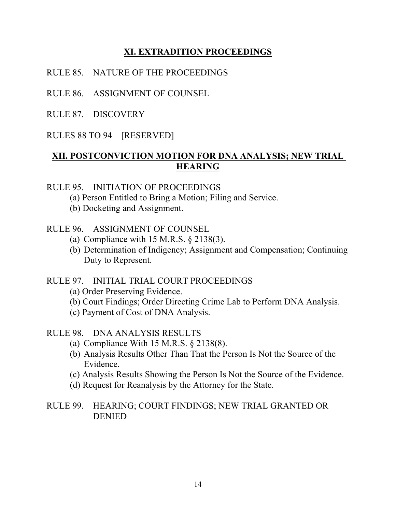## **XI. EXTRADITION PROCEEDINGS**

- RULE 85. NATURE OF THE PROCEEDINGS
- RULE 86. ASSIGNMENT OF COUNSEL
- RULE 87. DISCOVERY
- RULES 88 TO 94 [RESERVED]

## **XII. POSTCONVICTION MOTION FOR DNA ANALYSIS; NEW TRIAL HEARING**

### RULE 95. INITIATION OF PROCEEDINGS

- (a) Person Entitled to Bring a Motion; Filing and Service.
- (b) Docketing and Assignment.

## RULE 96. ASSIGNMENT OF COUNSEL

- (a) Compliance with 15 M.R.S. § 2138(3).
- (b) Determination of Indigency; Assignment and Compensation; Continuing Duty to Represent.

### RULE 97. INITIAL TRIAL COURT PROCEEDINGS

- (a) Order Preserving Evidence.
- (b) Court Findings; Order Directing Crime Lab to Perform DNA Analysis.
- (c) Payment of Cost of DNA Analysis.

## RULE 98. DNA ANALYSIS RESULTS

- (a) Compliance With  $15$  M.R.S.  $\S$  2138(8).
- (b) Analysis Results Other Than That the Person Is Not the Source of the Evidence.
- (c) Analysis Results Showing the Person Is Not the Source of the Evidence.
- (d) Request for Reanalysis by the Attorney for the State.
- RULE 99. HEARING; COURT FINDINGS; NEW TRIAL GRANTED OR DENIED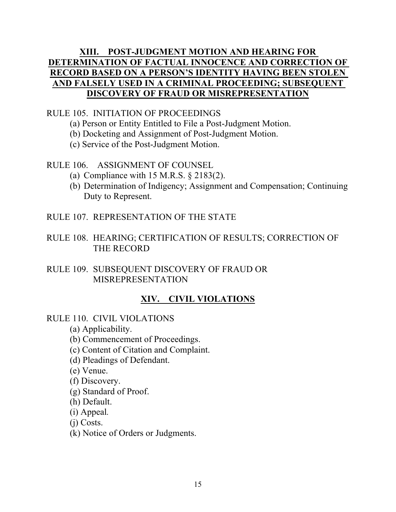## **XIII. POST-JUDGMENT MOTION AND HEARING FOR DETERMINATION OF FACTUAL INNOCENCE AND CORRECTION OF RECORD BASED ON A PERSON'S IDENTITY HAVING BEEN STOLEN AND FALSELY USED IN A CRIMINAL PROCEEDING; SUBSEQUENT DISCOVERY OF FRAUD OR MISREPRESENTATION**

### RULE 105. INITIATION OF PROCEEDINGS

- (a) Person or Entity Entitled to File a Post-Judgment Motion.
- (b) Docketing and Assignment of Post-Judgment Motion.
- (c) Service of the Post-Judgment Motion.

### RULE 106. ASSIGNMENT OF COUNSEL

- (a) Compliance with  $15$  M.R.S.  $\S$  2183(2).
- (b) Determination of Indigency; Assignment and Compensation; Continuing Duty to Represent.
- RULE 107. REPRESENTATION OF THE STATE
- RULE 108. HEARING; CERTIFICATION OF RESULTS; CORRECTION OF THE RECORD
- RULE 109. SUBSEQUENT DISCOVERY OF FRAUD OR MISREPRESENTATION

## **XIV. CIVIL VIOLATIONS**

### RULE 110. CIVIL VIOLATIONS

(a) Applicability.

(b) Commencement of Proceedings.

- (c) Content of Citation and Complaint.
- (d) Pleadings of Defendant.
- (e) Venue.

(f) Discovery.

- (g) Standard of Proof.
- (h) Default.
- (i) Appeal*.*

(j) Costs.

(k) Notice of Orders or Judgments.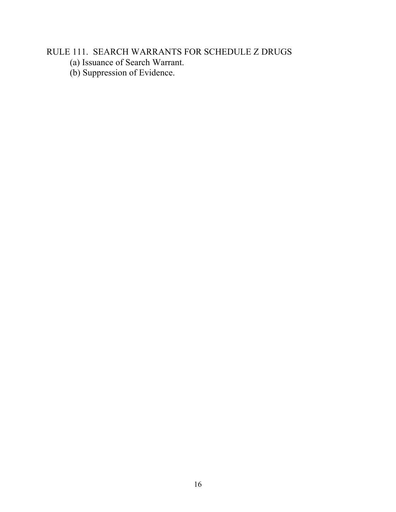# RULE 111. SEARCH WARRANTS FOR SCHEDULE Z DRUGS

- (a) Issuance of Search Warrant.
- (b) Suppression of Evidence.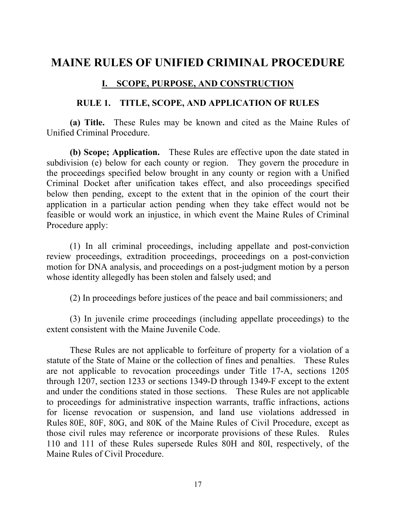# **MAINE RULES OF UNIFIED CRIMINAL PROCEDURE**

## **I. SCOPE, PURPOSE, AND CONSTRUCTION**

#### **RULE 1. TITLE, SCOPE, AND APPLICATION OF RULES**

**(a) Title.** These Rules may be known and cited as the Maine Rules of Unified Criminal Procedure.

**(b) Scope; Application.** These Rules are effective upon the date stated in subdivision (e) below for each county or region. They govern the procedure in the proceedings specified below brought in any county or region with a Unified Criminal Docket after unification takes effect, and also proceedings specified below then pending, except to the extent that in the opinion of the court their application in a particular action pending when they take effect would not be feasible or would work an injustice, in which event the Maine Rules of Criminal Procedure apply:

(1) In all criminal proceedings, including appellate and post-conviction review proceedings, extradition proceedings, proceedings on a post-conviction motion for DNA analysis, and proceedings on a post-judgment motion by a person whose identity allegedly has been stolen and falsely used; and

(2) In proceedings before justices of the peace and bail commissioners; and

(3) In juvenile crime proceedings (including appellate proceedings) to the extent consistent with the Maine Juvenile Code.

These Rules are not applicable to forfeiture of property for a violation of a statute of the State of Maine or the collection of fines and penalties. These Rules are not applicable to revocation proceedings under Title 17-A, sections 1205 through 1207, section 1233 or sections 1349-D through 1349-F except to the extent and under the conditions stated in those sections. These Rules are not applicable to proceedings for administrative inspection warrants, traffic infractions, actions for license revocation or suspension, and land use violations addressed in Rules 80E, 80F, 80G, and 80K of the Maine Rules of Civil Procedure, except as those civil rules may reference or incorporate provisions of these Rules. Rules 110 and 111 of these Rules supersede Rules 80H and 80I, respectively, of the Maine Rules of Civil Procedure.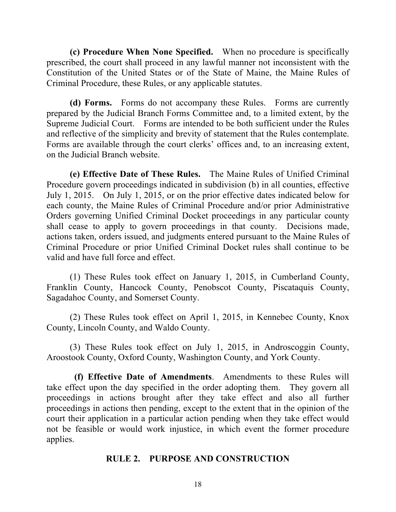**(c) Procedure When None Specified.** When no procedure is specifically prescribed, the court shall proceed in any lawful manner not inconsistent with the Constitution of the United States or of the State of Maine, the Maine Rules of Criminal Procedure, these Rules, or any applicable statutes.

**(d) Forms.** Forms do not accompany these Rules. Forms are currently prepared by the Judicial Branch Forms Committee and, to a limited extent, by the Supreme Judicial Court. Forms are intended to be both sufficient under the Rules and reflective of the simplicity and brevity of statement that the Rules contemplate. Forms are available through the court clerks' offices and, to an increasing extent, on the Judicial Branch website.

**(e) Effective Date of These Rules.** The Maine Rules of Unified Criminal Procedure govern proceedings indicated in subdivision (b) in all counties, effective July 1, 2015. On July 1, 2015, or on the prior effective dates indicated below for each county, the Maine Rules of Criminal Procedure and/or prior Administrative Orders governing Unified Criminal Docket proceedings in any particular county shall cease to apply to govern proceedings in that county. Decisions made, actions taken, orders issued, and judgments entered pursuant to the Maine Rules of Criminal Procedure or prior Unified Criminal Docket rules shall continue to be valid and have full force and effect.

(1) These Rules took effect on January 1, 2015, in Cumberland County, Franklin County, Hancock County, Penobscot County, Piscataquis County, Sagadahoc County, and Somerset County.

(2) These Rules took effect on April 1, 2015, in Kennebec County, Knox County, Lincoln County, and Waldo County.

(3) These Rules took effect on July 1, 2015, in Androscoggin County, Aroostook County, Oxford County, Washington County, and York County.

**(f) Effective Date of Amendments**. Amendments to these Rules will take effect upon the day specified in the order adopting them. They govern all proceedings in actions brought after they take effect and also all further proceedings in actions then pending, except to the extent that in the opinion of the court their application in a particular action pending when they take effect would not be feasible or would work injustice, in which event the former procedure applies.

### **RULE 2. PURPOSE AND CONSTRUCTION**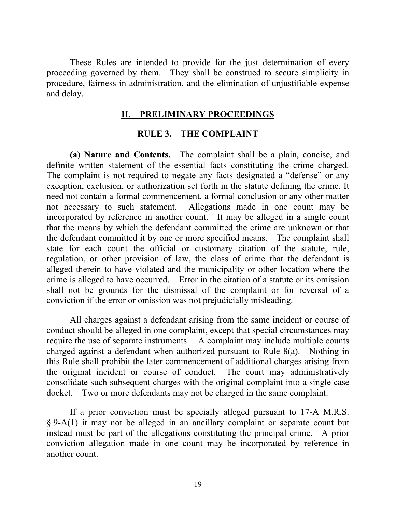These Rules are intended to provide for the just determination of every proceeding governed by them. They shall be construed to secure simplicity in procedure, fairness in administration, and the elimination of unjustifiable expense and delay.

### **II. PRELIMINARY PROCEEDINGS**

#### **RULE 3. THE COMPLAINT**

**(a) Nature and Contents.** The complaint shall be a plain, concise, and definite written statement of the essential facts constituting the crime charged. The complaint is not required to negate any facts designated a "defense" or any exception, exclusion, or authorization set forth in the statute defining the crime. It need not contain a formal commencement, a formal conclusion or any other matter not necessary to such statement. Allegations made in one count may be incorporated by reference in another count. It may be alleged in a single count that the means by which the defendant committed the crime are unknown or that the defendant committed it by one or more specified means. The complaint shall state for each count the official or customary citation of the statute, rule, regulation, or other provision of law, the class of crime that the defendant is alleged therein to have violated and the municipality or other location where the crime is alleged to have occurred. Error in the citation of a statute or its omission shall not be grounds for the dismissal of the complaint or for reversal of a conviction if the error or omission was not prejudicially misleading.

All charges against a defendant arising from the same incident or course of conduct should be alleged in one complaint, except that special circumstances may require the use of separate instruments. A complaint may include multiple counts charged against a defendant when authorized pursuant to Rule 8(a). Nothing in this Rule shall prohibit the later commencement of additional charges arising from the original incident or course of conduct. The court may administratively consolidate such subsequent charges with the original complaint into a single case docket. Two or more defendants may not be charged in the same complaint.

If a prior conviction must be specially alleged pursuant to 17-A M.R.S. § 9-A(1) it may not be alleged in an ancillary complaint or separate count but instead must be part of the allegations constituting the principal crime. A prior conviction allegation made in one count may be incorporated by reference in another count.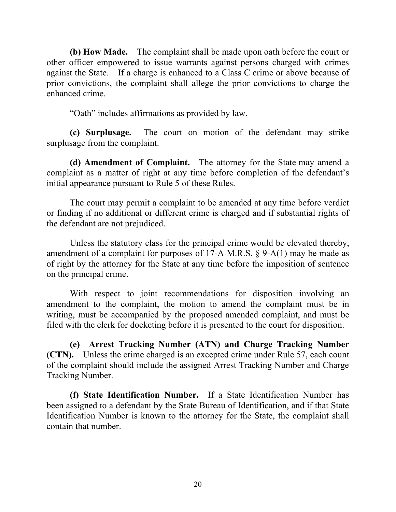**(b) How Made.** The complaint shall be made upon oath before the court or other officer empowered to issue warrants against persons charged with crimes against the State. If a charge is enhanced to a Class C crime or above because of prior convictions, the complaint shall allege the prior convictions to charge the enhanced crime.

"Oath" includes affirmations as provided by law.

**(c) Surplusage.** The court on motion of the defendant may strike surplusage from the complaint.

**(d) Amendment of Complaint.** The attorney for the State may amend a complaint as a matter of right at any time before completion of the defendant's initial appearance pursuant to Rule 5 of these Rules.

The court may permit a complaint to be amended at any time before verdict or finding if no additional or different crime is charged and if substantial rights of the defendant are not prejudiced.

Unless the statutory class for the principal crime would be elevated thereby, amendment of a complaint for purposes of 17-A M.R.S. § 9-A(1) may be made as of right by the attorney for the State at any time before the imposition of sentence on the principal crime.

With respect to joint recommendations for disposition involving an amendment to the complaint, the motion to amend the complaint must be in writing, must be accompanied by the proposed amended complaint, and must be filed with the clerk for docketing before it is presented to the court for disposition.

**(e) Arrest Tracking Number (ATN) and Charge Tracking Number (CTN).** Unless the crime charged is an excepted crime under Rule 57, each count of the complaint should include the assigned Arrest Tracking Number and Charge Tracking Number.

**(f) State Identification Number.** If a State Identification Number has been assigned to a defendant by the State Bureau of Identification, and if that State Identification Number is known to the attorney for the State, the complaint shall contain that number.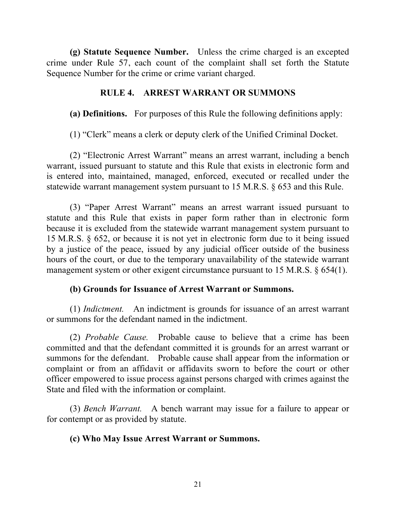**(g) Statute Sequence Number.** Unless the crime charged is an excepted crime under Rule 57, each count of the complaint shall set forth the Statute Sequence Number for the crime or crime variant charged.

### **RULE 4. ARREST WARRANT OR SUMMONS**

**(a) Definitions.** For purposes of this Rule the following definitions apply:

(1) "Clerk" means a clerk or deputy clerk of the Unified Criminal Docket.

(2) "Electronic Arrest Warrant" means an arrest warrant, including a bench warrant, issued pursuant to statute and this Rule that exists in electronic form and is entered into, maintained, managed, enforced, executed or recalled under the statewide warrant management system pursuant to 15 M.R.S. § 653 and this Rule.

(3) "Paper Arrest Warrant" means an arrest warrant issued pursuant to statute and this Rule that exists in paper form rather than in electronic form because it is excluded from the statewide warrant management system pursuant to 15 M.R.S. § 652, or because it is not yet in electronic form due to it being issued by a justice of the peace, issued by any judicial officer outside of the business hours of the court, or due to the temporary unavailability of the statewide warrant management system or other exigent circumstance pursuant to 15 M.R.S. § 654(1).

### **(b) Grounds for Issuance of Arrest Warrant or Summons.**

(1) *Indictment.* An indictment is grounds for issuance of an arrest warrant or summons for the defendant named in the indictment.

(2) *Probable Cause.* Probable cause to believe that a crime has been committed and that the defendant committed it is grounds for an arrest warrant or summons for the defendant. Probable cause shall appear from the information or complaint or from an affidavit or affidavits sworn to before the court or other officer empowered to issue process against persons charged with crimes against the State and filed with the information or complaint.

(3) *Bench Warrant.* A bench warrant may issue for a failure to appear or for contempt or as provided by statute.

### **(c) Who May Issue Arrest Warrant or Summons.**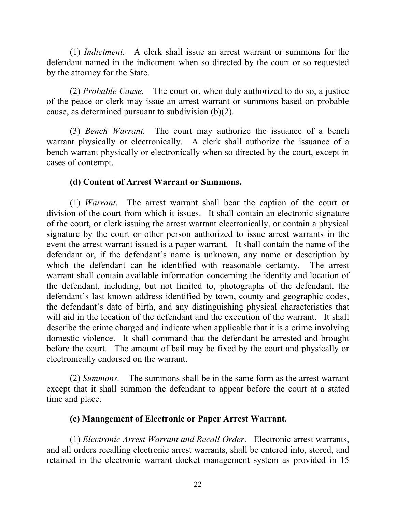(1) *Indictment*. A clerk shall issue an arrest warrant or summons for the defendant named in the indictment when so directed by the court or so requested by the attorney for the State.

(2) *Probable Cause.* The court or, when duly authorized to do so, a justice of the peace or clerk may issue an arrest warrant or summons based on probable cause, as determined pursuant to subdivision (b)(2).

(3) *Bench Warrant.* The court may authorize the issuance of a bench warrant physically or electronically. A clerk shall authorize the issuance of a bench warrant physically or electronically when so directed by the court, except in cases of contempt.

### **(d) Content of Arrest Warrant or Summons.**

(1) *Warrant*. The arrest warrant shall bear the caption of the court or division of the court from which it issues. It shall contain an electronic signature of the court, or clerk issuing the arrest warrant electronically, or contain a physical signature by the court or other person authorized to issue arrest warrants in the event the arrest warrant issued is a paper warrant. It shall contain the name of the defendant or, if the defendant's name is unknown, any name or description by which the defendant can be identified with reasonable certainty. The arrest warrant shall contain available information concerning the identity and location of the defendant, including, but not limited to, photographs of the defendant, the defendant's last known address identified by town, county and geographic codes, the defendant's date of birth, and any distinguishing physical characteristics that will aid in the location of the defendant and the execution of the warrant. It shall describe the crime charged and indicate when applicable that it is a crime involving domestic violence. It shall command that the defendant be arrested and brought before the court. The amount of bail may be fixed by the court and physically or electronically endorsed on the warrant.

(2) *Summons.* The summons shall be in the same form as the arrest warrant except that it shall summon the defendant to appear before the court at a stated time and place.

### **(e) Management of Electronic or Paper Arrest Warrant.**

(1) *Electronic Arrest Warrant and Recall Order*. Electronic arrest warrants, and all orders recalling electronic arrest warrants, shall be entered into, stored, and retained in the electronic warrant docket management system as provided in 15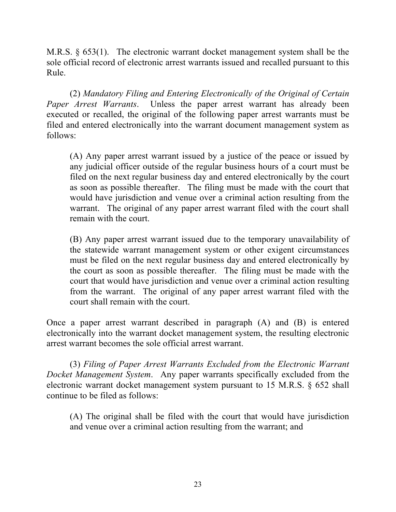M.R.S. § 653(1). The electronic warrant docket management system shall be the sole official record of electronic arrest warrants issued and recalled pursuant to this Rule.

(2) *Mandatory Filing and Entering Electronically of the Original of Certain Paper Arrest Warrants*. Unless the paper arrest warrant has already been executed or recalled, the original of the following paper arrest warrants must be filed and entered electronically into the warrant document management system as follows:

(A) Any paper arrest warrant issued by a justice of the peace or issued by any judicial officer outside of the regular business hours of a court must be filed on the next regular business day and entered electronically by the court as soon as possible thereafter. The filing must be made with the court that would have jurisdiction and venue over a criminal action resulting from the warrant. The original of any paper arrest warrant filed with the court shall remain with the court.

(B) Any paper arrest warrant issued due to the temporary unavailability of the statewide warrant management system or other exigent circumstances must be filed on the next regular business day and entered electronically by the court as soon as possible thereafter. The filing must be made with the court that would have jurisdiction and venue over a criminal action resulting from the warrant. The original of any paper arrest warrant filed with the court shall remain with the court.

Once a paper arrest warrant described in paragraph (A) and (B) is entered electronically into the warrant docket management system, the resulting electronic arrest warrant becomes the sole official arrest warrant.

(3) *Filing of Paper Arrest Warrants Excluded from the Electronic Warrant Docket Management System*. Any paper warrants specifically excluded from the electronic warrant docket management system pursuant to 15 M.R.S. § 652 shall continue to be filed as follows:

(A) The original shall be filed with the court that would have jurisdiction and venue over a criminal action resulting from the warrant; and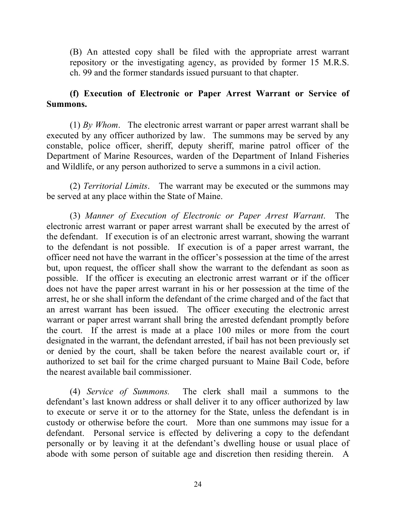(B) An attested copy shall be filed with the appropriate arrest warrant repository or the investigating agency, as provided by former 15 M.R.S. ch. 99 and the former standards issued pursuant to that chapter.

### **(f) Execution of Electronic or Paper Arrest Warrant or Service of Summons.**

(1) *By Whom*. The electronic arrest warrant or paper arrest warrant shall be executed by any officer authorized by law. The summons may be served by any constable, police officer, sheriff, deputy sheriff, marine patrol officer of the Department of Marine Resources, warden of the Department of Inland Fisheries and Wildlife, or any person authorized to serve a summons in a civil action.

(2) *Territorial Limits*. The warrant may be executed or the summons may be served at any place within the State of Maine.

(3) *Manner of Execution of Electronic or Paper Arrest Warrant*. The electronic arrest warrant or paper arrest warrant shall be executed by the arrest of the defendant. If execution is of an electronic arrest warrant, showing the warrant to the defendant is not possible. If execution is of a paper arrest warrant, the officer need not have the warrant in the officer's possession at the time of the arrest but, upon request, the officer shall show the warrant to the defendant as soon as possible. If the officer is executing an electronic arrest warrant or if the officer does not have the paper arrest warrant in his or her possession at the time of the arrest, he or she shall inform the defendant of the crime charged and of the fact that an arrest warrant has been issued. The officer executing the electronic arrest warrant or paper arrest warrant shall bring the arrested defendant promptly before the court. If the arrest is made at a place 100 miles or more from the court designated in the warrant, the defendant arrested, if bail has not been previously set or denied by the court, shall be taken before the nearest available court or, if authorized to set bail for the crime charged pursuant to Maine Bail Code, before the nearest available bail commissioner.

(4) *Service of Summons.* The clerk shall mail a summons to the defendant's last known address or shall deliver it to any officer authorized by law to execute or serve it or to the attorney for the State, unless the defendant is in custody or otherwise before the court. More than one summons may issue for a defendant. Personal service is effected by delivering a copy to the defendant personally or by leaving it at the defendant's dwelling house or usual place of abode with some person of suitable age and discretion then residing therein. A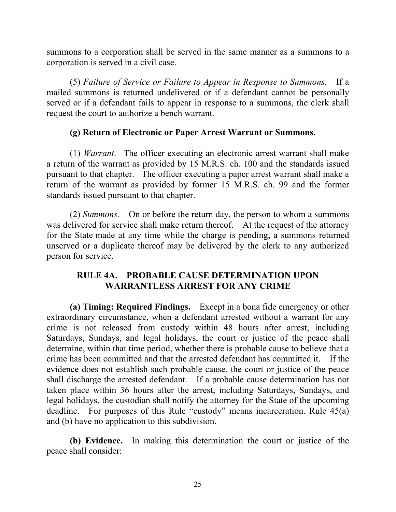summons to a corporation shall be served in the same manner as a summons to a corporation is served in a civil case.

(5) *Failure of Service or Failure to Appear in Response to Summons.* If a mailed summons is returned undelivered or if a defendant cannot be personally served or if a defendant fails to appear in response to a summons, the clerk shall request the court to authorize a bench warrant.

## **(g) Return of Electronic or Paper Arrest Warrant or Summons.**

(1) *Warrant*. The officer executing an electronic arrest warrant shall make a return of the warrant as provided by 15 M.R.S. ch. 100 and the standards issued pursuant to that chapter. The officer executing a paper arrest warrant shall make a return of the warrant as provided by former 15 M.R.S. ch. 99 and the former standards issued pursuant to that chapter.

(2) *Summons.* On or before the return day, the person to whom a summons was delivered for service shall make return thereof. At the request of the attorney for the State made at any time while the charge is pending, a summons returned unserved or a duplicate thereof may be delivered by the clerk to any authorized person for service.

## **RULE 4A. PROBABLE CAUSE DETERMINATION UPON WARRANTLESS ARREST FOR ANY CRIME**

**(a) Timing: Required Findings.** Except in a bona fide emergency or other extraordinary circumstance, when a defendant arrested without a warrant for any crime is not released from custody within 48 hours after arrest, including Saturdays, Sundays, and legal holidays, the court or justice of the peace shall determine, within that time period, whether there is probable cause to believe that a crime has been committed and that the arrested defendant has committed it. If the evidence does not establish such probable cause, the court or justice of the peace shall discharge the arrested defendant. If a probable cause determination has not taken place within 36 hours after the arrest, including Saturdays, Sundays, and legal holidays, the custodian shall notify the attorney for the State of the upcoming deadline. For purposes of this Rule "custody" means incarceration. Rule 45(a) and (b) have no application to this subdivision.

**(b) Evidence.** In making this determination the court or justice of the peace shall consider: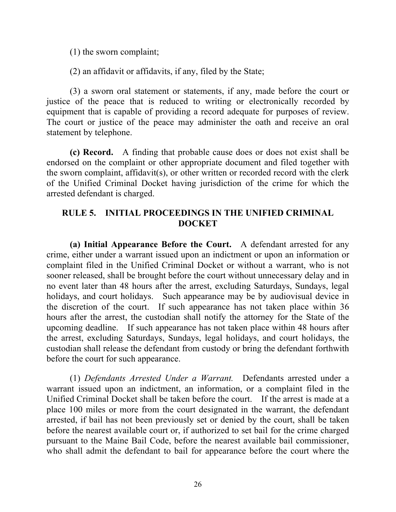(1) the sworn complaint;

(2) an affidavit or affidavits, if any, filed by the State;

(3) a sworn oral statement or statements, if any, made before the court or justice of the peace that is reduced to writing or electronically recorded by equipment that is capable of providing a record adequate for purposes of review. The court or justice of the peace may administer the oath and receive an oral statement by telephone.

**(c) Record.** A finding that probable cause does or does not exist shall be endorsed on the complaint or other appropriate document and filed together with the sworn complaint, affidavit(s), or other written or recorded record with the clerk of the Unified Criminal Docket having jurisdiction of the crime for which the arrested defendant is charged.

## **RULE 5. INITIAL PROCEEDINGS IN THE UNIFIED CRIMINAL DOCKET**

**(a) Initial Appearance Before the Court.** A defendant arrested for any crime, either under a warrant issued upon an indictment or upon an information or complaint filed in the Unified Criminal Docket or without a warrant, who is not sooner released, shall be brought before the court without unnecessary delay and in no event later than 48 hours after the arrest, excluding Saturdays, Sundays, legal holidays, and court holidays. Such appearance may be by audiovisual device in the discretion of the court. If such appearance has not taken place within 36 hours after the arrest, the custodian shall notify the attorney for the State of the upcoming deadline. If such appearance has not taken place within 48 hours after the arrest, excluding Saturdays, Sundays, legal holidays, and court holidays, the custodian shall release the defendant from custody or bring the defendant forthwith before the court for such appearance.

(1) *Defendants Arrested Under a Warrant.* Defendants arrested under a warrant issued upon an indictment, an information, or a complaint filed in the Unified Criminal Docket shall be taken before the court. If the arrest is made at a place 100 miles or more from the court designated in the warrant, the defendant arrested, if bail has not been previously set or denied by the court, shall be taken before the nearest available court or, if authorized to set bail for the crime charged pursuant to the Maine Bail Code, before the nearest available bail commissioner, who shall admit the defendant to bail for appearance before the court where the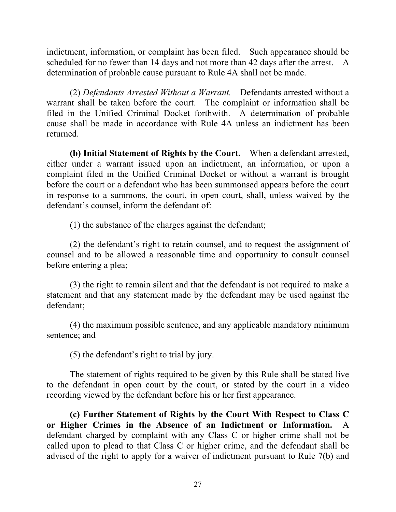indictment, information, or complaint has been filed. Such appearance should be scheduled for no fewer than 14 days and not more than 42 days after the arrest. A determination of probable cause pursuant to Rule 4A shall not be made.

(2) *Defendants Arrested Without a Warrant.* Defendants arrested without a warrant shall be taken before the court. The complaint or information shall be filed in the Unified Criminal Docket forthwith. A determination of probable cause shall be made in accordance with Rule 4A unless an indictment has been returned.

**(b) Initial Statement of Rights by the Court.** When a defendant arrested, either under a warrant issued upon an indictment, an information, or upon a complaint filed in the Unified Criminal Docket or without a warrant is brought before the court or a defendant who has been summonsed appears before the court in response to a summons, the court, in open court, shall, unless waived by the defendant's counsel, inform the defendant of:

(1) the substance of the charges against the defendant;

(2) the defendant's right to retain counsel, and to request the assignment of counsel and to be allowed a reasonable time and opportunity to consult counsel before entering a plea;

(3) the right to remain silent and that the defendant is not required to make a statement and that any statement made by the defendant may be used against the defendant;

(4) the maximum possible sentence, and any applicable mandatory minimum sentence; and

(5) the defendant's right to trial by jury.

The statement of rights required to be given by this Rule shall be stated live to the defendant in open court by the court, or stated by the court in a video recording viewed by the defendant before his or her first appearance.

**(c) Further Statement of Rights by the Court With Respect to Class C or Higher Crimes in the Absence of an Indictment or Information.** A defendant charged by complaint with any Class C or higher crime shall not be called upon to plead to that Class C or higher crime, and the defendant shall be advised of the right to apply for a waiver of indictment pursuant to Rule 7(b) and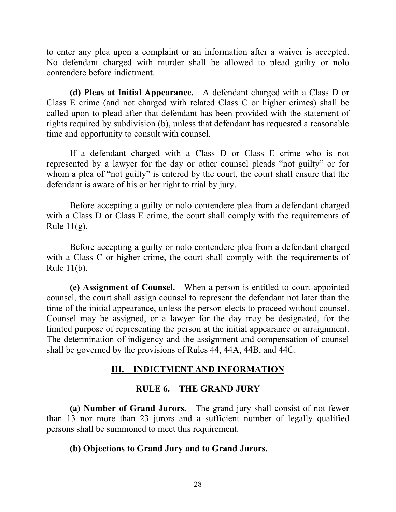to enter any plea upon a complaint or an information after a waiver is accepted. No defendant charged with murder shall be allowed to plead guilty or nolo contendere before indictment.

**(d) Pleas at Initial Appearance.** A defendant charged with a Class D or Class E crime (and not charged with related Class C or higher crimes) shall be called upon to plead after that defendant has been provided with the statement of rights required by subdivision (b), unless that defendant has requested a reasonable time and opportunity to consult with counsel.

If a defendant charged with a Class D or Class E crime who is not represented by a lawyer for the day or other counsel pleads "not guilty" or for whom a plea of "not guilty" is entered by the court, the court shall ensure that the defendant is aware of his or her right to trial by jury.

Before accepting a guilty or nolo contendere plea from a defendant charged with a Class D or Class E crime, the court shall comply with the requirements of Rule  $11(g)$ .

Before accepting a guilty or nolo contendere plea from a defendant charged with a Class C or higher crime, the court shall comply with the requirements of Rule 11(b).

**(e) Assignment of Counsel.** When a person is entitled to court-appointed counsel, the court shall assign counsel to represent the defendant not later than the time of the initial appearance, unless the person elects to proceed without counsel. Counsel may be assigned, or a lawyer for the day may be designated, for the limited purpose of representing the person at the initial appearance or arraignment. The determination of indigency and the assignment and compensation of counsel shall be governed by the provisions of Rules 44, 44A, 44B, and 44C.

## **III. INDICTMENT AND INFORMATION**

### **RULE 6. THE GRAND JURY**

**(a) Number of Grand Jurors.** The grand jury shall consist of not fewer than 13 nor more than 23 jurors and a sufficient number of legally qualified persons shall be summoned to meet this requirement.

### **(b) Objections to Grand Jury and to Grand Jurors.**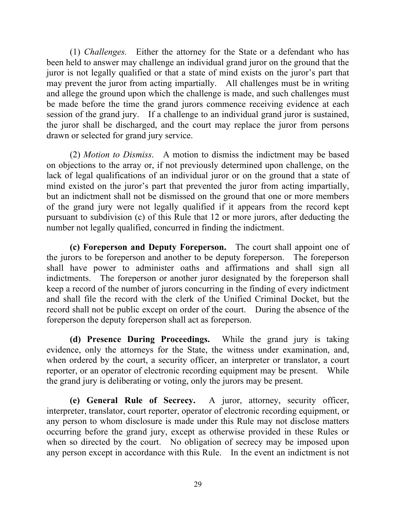(1) *Challenges.* Either the attorney for the State or a defendant who has been held to answer may challenge an individual grand juror on the ground that the juror is not legally qualified or that a state of mind exists on the juror's part that may prevent the juror from acting impartially. All challenges must be in writing and allege the ground upon which the challenge is made, and such challenges must be made before the time the grand jurors commence receiving evidence at each session of the grand jury. If a challenge to an individual grand juror is sustained, the juror shall be discharged, and the court may replace the juror from persons drawn or selected for grand jury service.

(2) *Motion to Dismiss*. A motion to dismiss the indictment may be based on objections to the array or, if not previously determined upon challenge, on the lack of legal qualifications of an individual juror or on the ground that a state of mind existed on the juror's part that prevented the juror from acting impartially, but an indictment shall not be dismissed on the ground that one or more members of the grand jury were not legally qualified if it appears from the record kept pursuant to subdivision (c) of this Rule that 12 or more jurors, after deducting the number not legally qualified, concurred in finding the indictment.

**(c) Foreperson and Deputy Foreperson.** The court shall appoint one of the jurors to be foreperson and another to be deputy foreperson. The foreperson shall have power to administer oaths and affirmations and shall sign all indictments. The foreperson or another juror designated by the foreperson shall keep a record of the number of jurors concurring in the finding of every indictment and shall file the record with the clerk of the Unified Criminal Docket, but the record shall not be public except on order of the court. During the absence of the foreperson the deputy foreperson shall act as foreperson.

**(d) Presence During Proceedings.** While the grand jury is taking evidence, only the attorneys for the State, the witness under examination, and, when ordered by the court, a security officer, an interpreter or translator, a court reporter, or an operator of electronic recording equipment may be present. While the grand jury is deliberating or voting, only the jurors may be present.

**(e) General Rule of Secrecy.** A juror, attorney, security officer, interpreter, translator, court reporter, operator of electronic recording equipment, or any person to whom disclosure is made under this Rule may not disclose matters occurring before the grand jury, except as otherwise provided in these Rules or when so directed by the court. No obligation of secrecy may be imposed upon any person except in accordance with this Rule. In the event an indictment is not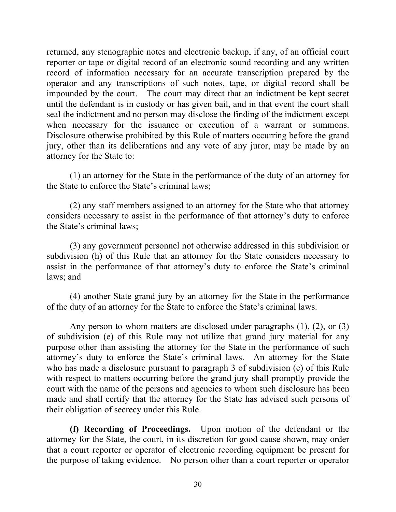returned, any stenographic notes and electronic backup, if any, of an official court reporter or tape or digital record of an electronic sound recording and any written record of information necessary for an accurate transcription prepared by the operator and any transcriptions of such notes, tape, or digital record shall be impounded by the court. The court may direct that an indictment be kept secret until the defendant is in custody or has given bail, and in that event the court shall seal the indictment and no person may disclose the finding of the indictment except when necessary for the issuance or execution of a warrant or summons. Disclosure otherwise prohibited by this Rule of matters occurring before the grand jury, other than its deliberations and any vote of any juror, may be made by an attorney for the State to:

(1) an attorney for the State in the performance of the duty of an attorney for the State to enforce the State's criminal laws;

(2) any staff members assigned to an attorney for the State who that attorney considers necessary to assist in the performance of that attorney's duty to enforce the State's criminal laws;

(3) any government personnel not otherwise addressed in this subdivision or subdivision (h) of this Rule that an attorney for the State considers necessary to assist in the performance of that attorney's duty to enforce the State's criminal laws; and

(4) another State grand jury by an attorney for the State in the performance of the duty of an attorney for the State to enforce the State's criminal laws.

Any person to whom matters are disclosed under paragraphs (1), (2), or (3) of subdivision (e) of this Rule may not utilize that grand jury material for any purpose other than assisting the attorney for the State in the performance of such attorney's duty to enforce the State's criminal laws. An attorney for the State who has made a disclosure pursuant to paragraph 3 of subdivision (e) of this Rule with respect to matters occurring before the grand jury shall promptly provide the court with the name of the persons and agencies to whom such disclosure has been made and shall certify that the attorney for the State has advised such persons of their obligation of secrecy under this Rule.

**(f) Recording of Proceedings.** Upon motion of the defendant or the attorney for the State, the court, in its discretion for good cause shown, may order that a court reporter or operator of electronic recording equipment be present for the purpose of taking evidence. No person other than a court reporter or operator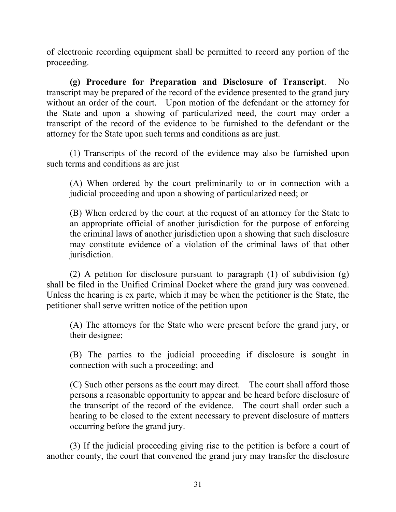of electronic recording equipment shall be permitted to record any portion of the proceeding.

**(g) Procedure for Preparation and Disclosure of Transcript**. No transcript may be prepared of the record of the evidence presented to the grand jury without an order of the court. Upon motion of the defendant or the attorney for the State and upon a showing of particularized need, the court may order a transcript of the record of the evidence to be furnished to the defendant or the attorney for the State upon such terms and conditions as are just.

(1) Transcripts of the record of the evidence may also be furnished upon such terms and conditions as are just

(A) When ordered by the court preliminarily to or in connection with a judicial proceeding and upon a showing of particularized need; or

(B) When ordered by the court at the request of an attorney for the State to an appropriate official of another jurisdiction for the purpose of enforcing the criminal laws of another jurisdiction upon a showing that such disclosure may constitute evidence of a violation of the criminal laws of that other jurisdiction.

(2) A petition for disclosure pursuant to paragraph (1) of subdivision (g) shall be filed in the Unified Criminal Docket where the grand jury was convened. Unless the hearing is ex parte, which it may be when the petitioner is the State, the petitioner shall serve written notice of the petition upon

(A) The attorneys for the State who were present before the grand jury, or their designee;

(B) The parties to the judicial proceeding if disclosure is sought in connection with such a proceeding; and

(C) Such other persons as the court may direct. The court shall afford those persons a reasonable opportunity to appear and be heard before disclosure of the transcript of the record of the evidence. The court shall order such a hearing to be closed to the extent necessary to prevent disclosure of matters occurring before the grand jury.

(3) If the judicial proceeding giving rise to the petition is before a court of another county, the court that convened the grand jury may transfer the disclosure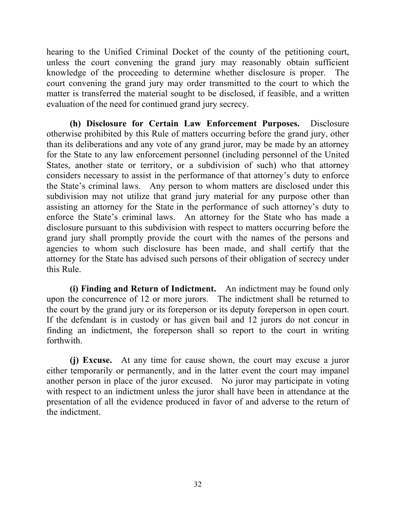hearing to the Unified Criminal Docket of the county of the petitioning court, unless the court convening the grand jury may reasonably obtain sufficient knowledge of the proceeding to determine whether disclosure is proper. The court convening the grand jury may order transmitted to the court to which the matter is transferred the material sought to be disclosed, if feasible, and a written evaluation of the need for continued grand jury secrecy.

**(h) Disclosure for Certain Law Enforcement Purposes.** Disclosure otherwise prohibited by this Rule of matters occurring before the grand jury, other than its deliberations and any vote of any grand juror, may be made by an attorney for the State to any law enforcement personnel (including personnel of the United States, another state or territory, or a subdivision of such) who that attorney considers necessary to assist in the performance of that attorney's duty to enforce the State's criminal laws. Any person to whom matters are disclosed under this subdivision may not utilize that grand jury material for any purpose other than assisting an attorney for the State in the performance of such attorney's duty to enforce the State's criminal laws. An attorney for the State who has made a disclosure pursuant to this subdivision with respect to matters occurring before the grand jury shall promptly provide the court with the names of the persons and agencies to whom such disclosure has been made, and shall certify that the attorney for the State has advised such persons of their obligation of secrecy under this Rule.

**(i) Finding and Return of Indictment.** An indictment may be found only upon the concurrence of 12 or more jurors. The indictment shall be returned to the court by the grand jury or its foreperson or its deputy foreperson in open court. If the defendant is in custody or has given bail and 12 jurors do not concur in finding an indictment, the foreperson shall so report to the court in writing forthwith.

**(j) Excuse.** At any time for cause shown, the court may excuse a juror either temporarily or permanently, and in the latter event the court may impanel another person in place of the juror excused. No juror may participate in voting with respect to an indictment unless the juror shall have been in attendance at the presentation of all the evidence produced in favor of and adverse to the return of the indictment.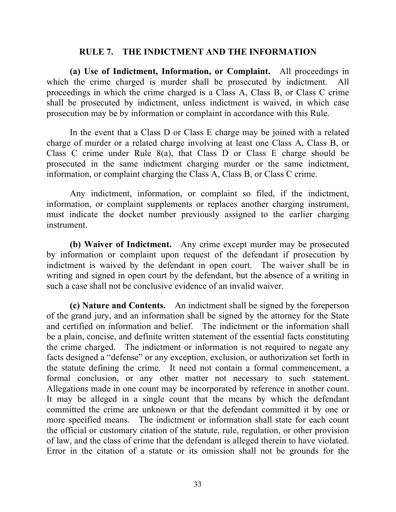#### **RULE 7. THE INDICTMENT AND THE INFORMATION**

**(a) Use of Indictment, Information, or Complaint.** All proceedings in which the crime charged is murder shall be prosecuted by indictment. All proceedings in which the crime charged is a Class A, Class B, or Class C crime shall be prosecuted by indictment, unless indictment is waived, in which case prosecution may be by information or complaint in accordance with this Rule.

In the event that a Class D or Class E charge may be joined with a related charge of murder or a related charge involving at least one Class A, Class B, or Class C crime under Rule 8(a), that Class D or Class E charge should be prosecuted in the same indictment charging murder or the same indictment, information, or complaint charging the Class A, Class B, or Class C crime.

Any indictment, information, or complaint so filed, if the indictment, information, or complaint supplements or replaces another charging instrument, must indicate the docket number previously assigned to the earlier charging instrument.

**(b) Waiver of Indictment.** Any crime except murder may be prosecuted by information or complaint upon request of the defendant if prosecution by indictment is waived by the defendant in open court. The waiver shall be in writing and signed in open court by the defendant, but the absence of a writing in such a case shall not be conclusive evidence of an invalid waiver.

**(c) Nature and Contents.** An indictment shall be signed by the foreperson of the grand jury, and an information shall be signed by the attorney for the State and certified on information and belief. The indictment or the information shall be a plain, concise, and definite written statement of the essential facts constituting the crime charged. The indictment or information is not required to negate any facts designed a "defense" or any exception, exclusion, or authorization set forth in the statute defining the crime. It need not contain a formal commencement, a formal conclusion, or any other matter not necessary to such statement. Allegations made in one count may be incorporated by reference in another count. It may be alleged in a single count that the means by which the defendant committed the crime are unknown or that the defendant committed it by one or more specified means. The indictment or information shall state for each count the official or customary citation of the statute, rule, regulation, or other provision of law, and the class of crime that the defendant is alleged therein to have violated. Error in the citation of a statute or its omission shall not be grounds for the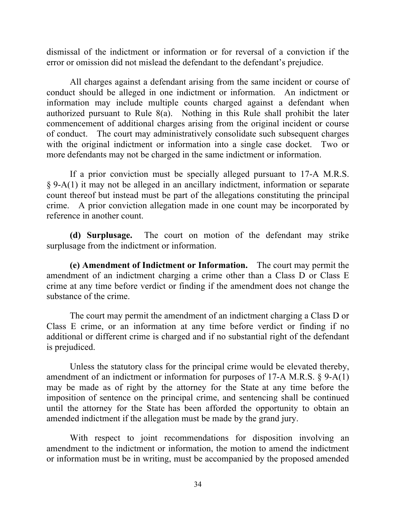dismissal of the indictment or information or for reversal of a conviction if the error or omission did not mislead the defendant to the defendant's prejudice.

All charges against a defendant arising from the same incident or course of conduct should be alleged in one indictment or information. An indictment or information may include multiple counts charged against a defendant when authorized pursuant to Rule 8(a). Nothing in this Rule shall prohibit the later commencement of additional charges arising from the original incident or course of conduct. The court may administratively consolidate such subsequent charges with the original indictment or information into a single case docket. Two or more defendants may not be charged in the same indictment or information.

If a prior conviction must be specially alleged pursuant to 17-A M.R.S. § 9-A(1) it may not be alleged in an ancillary indictment, information or separate count thereof but instead must be part of the allegations constituting the principal crime. A prior conviction allegation made in one count may be incorporated by reference in another count.

**(d) Surplusage.** The court on motion of the defendant may strike surplusage from the indictment or information.

**(e) Amendment of Indictment or Information.** The court may permit the amendment of an indictment charging a crime other than a Class D or Class E crime at any time before verdict or finding if the amendment does not change the substance of the crime.

The court may permit the amendment of an indictment charging a Class D or Class E crime, or an information at any time before verdict or finding if no additional or different crime is charged and if no substantial right of the defendant is prejudiced.

Unless the statutory class for the principal crime would be elevated thereby, amendment of an indictment or information for purposes of 17-A M.R.S. § 9-A(1) may be made as of right by the attorney for the State at any time before the imposition of sentence on the principal crime, and sentencing shall be continued until the attorney for the State has been afforded the opportunity to obtain an amended indictment if the allegation must be made by the grand jury.

With respect to joint recommendations for disposition involving an amendment to the indictment or information, the motion to amend the indictment or information must be in writing, must be accompanied by the proposed amended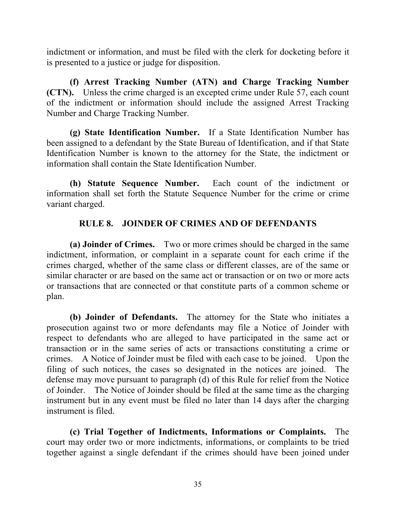indictment or information, and must be filed with the clerk for docketing before it is presented to a justice or judge for disposition.

**(f) Arrest Tracking Number (ATN) and Charge Tracking Number (CTN).** Unless the crime charged is an excepted crime under Rule 57, each count of the indictment or information should include the assigned Arrest Tracking Number and Charge Tracking Number.

**(g) State Identification Number.** If a State Identification Number has been assigned to a defendant by the State Bureau of Identification, and if that State Identification Number is known to the attorney for the State, the indictment or information shall contain the State Identification Number.

**(h) Statute Sequence Number.** Each count of the indictment or information shall set forth the Statute Sequence Number for the crime or crime variant charged.

## **RULE 8. JOINDER OF CRIMES AND OF DEFENDANTS**

**(a) Joinder of Crimes.** Two or more crimes should be charged in the same indictment, information, or complaint in a separate count for each crime if the crimes charged, whether of the same class or different classes, are of the same or similar character or are based on the same act or transaction or on two or more acts or transactions that are connected or that constitute parts of a common scheme or plan.

**(b) Joinder of Defendants.** The attorney for the State who initiates a prosecution against two or more defendants may file a Notice of Joinder with respect to defendants who are alleged to have participated in the same act or transaction or in the same series of acts or transactions constituting a crime or crimes. A Notice of Joinder must be filed with each case to be joined. Upon the filing of such notices, the cases so designated in the notices are joined. The defense may move pursuant to paragraph (d) of this Rule for relief from the Notice of Joinder. The Notice of Joinder should be filed at the same time as the charging instrument but in any event must be filed no later than 14 days after the charging instrument is filed.

**(c) Trial Together of Indictments, Informations or Complaints.** The court may order two or more indictments, informations, or complaints to be tried together against a single defendant if the crimes should have been joined under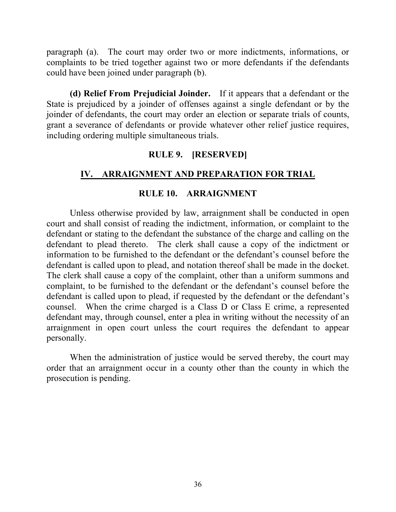paragraph (a). The court may order two or more indictments, informations, or complaints to be tried together against two or more defendants if the defendants could have been joined under paragraph (b).

**(d) Relief From Prejudicial Joinder.** If it appears that a defendant or the State is prejudiced by a joinder of offenses against a single defendant or by the joinder of defendants, the court may order an election or separate trials of counts, grant a severance of defendants or provide whatever other relief justice requires, including ordering multiple simultaneous trials.

## **RULE 9. [RESERVED]**

## **IV. ARRAIGNMENT AND PREPARATION FOR TRIAL**

### **RULE 10. ARRAIGNMENT**

Unless otherwise provided by law, arraignment shall be conducted in open court and shall consist of reading the indictment, information, or complaint to the defendant or stating to the defendant the substance of the charge and calling on the defendant to plead thereto. The clerk shall cause a copy of the indictment or information to be furnished to the defendant or the defendant's counsel before the defendant is called upon to plead, and notation thereof shall be made in the docket. The clerk shall cause a copy of the complaint, other than a uniform summons and complaint, to be furnished to the defendant or the defendant's counsel before the defendant is called upon to plead, if requested by the defendant or the defendant's counsel. When the crime charged is a Class D or Class E crime, a represented defendant may, through counsel, enter a plea in writing without the necessity of an arraignment in open court unless the court requires the defendant to appear personally.

When the administration of justice would be served thereby, the court may order that an arraignment occur in a county other than the county in which the prosecution is pending.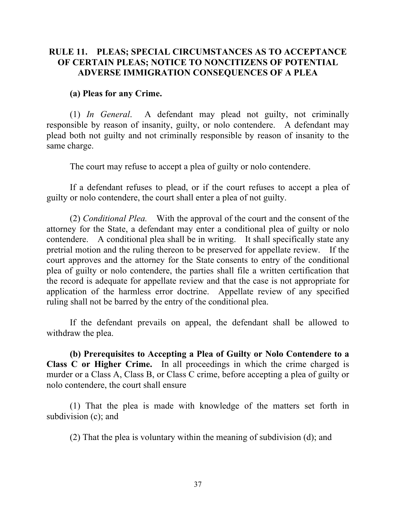## **RULE 11. PLEAS; SPECIAL CIRCUMSTANCES AS TO ACCEPTANCE OF CERTAIN PLEAS; NOTICE TO NONCITIZENS OF POTENTIAL ADVERSE IMMIGRATION CONSEQUENCES OF A PLEA**

#### **(a) Pleas for any Crime.**

(1) *In General*. A defendant may plead not guilty, not criminally responsible by reason of insanity, guilty, or nolo contendere. A defendant may plead both not guilty and not criminally responsible by reason of insanity to the same charge.

The court may refuse to accept a plea of guilty or nolo contendere.

If a defendant refuses to plead, or if the court refuses to accept a plea of guilty or nolo contendere, the court shall enter a plea of not guilty.

(2) *Conditional Plea.* With the approval of the court and the consent of the attorney for the State, a defendant may enter a conditional plea of guilty or nolo contendere. A conditional plea shall be in writing. It shall specifically state any pretrial motion and the ruling thereon to be preserved for appellate review. If the court approves and the attorney for the State consents to entry of the conditional plea of guilty or nolo contendere, the parties shall file a written certification that the record is adequate for appellate review and that the case is not appropriate for application of the harmless error doctrine. Appellate review of any specified ruling shall not be barred by the entry of the conditional plea.

If the defendant prevails on appeal, the defendant shall be allowed to withdraw the plea.

**(b) Prerequisites to Accepting a Plea of Guilty or Nolo Contendere to a Class C or Higher Crime.** In all proceedings in which the crime charged is murder or a Class A, Class B, or Class C crime, before accepting a plea of guilty or nolo contendere, the court shall ensure

(1) That the plea is made with knowledge of the matters set forth in subdivision (c); and

(2) That the plea is voluntary within the meaning of subdivision (d); and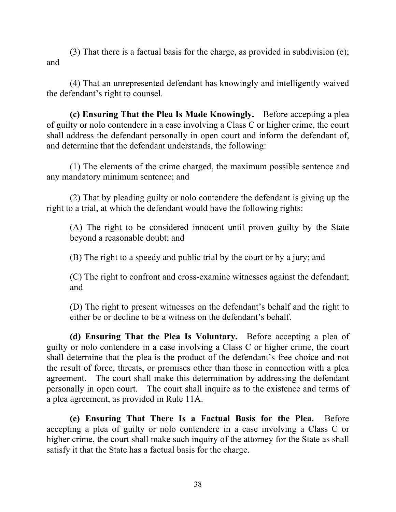(3) That there is a factual basis for the charge, as provided in subdivision (e); and

(4) That an unrepresented defendant has knowingly and intelligently waived the defendant's right to counsel.

**(c) Ensuring That the Plea Is Made Knowingly.** Before accepting a plea of guilty or nolo contendere in a case involving a Class C or higher crime, the court shall address the defendant personally in open court and inform the defendant of, and determine that the defendant understands, the following:

(1) The elements of the crime charged, the maximum possible sentence and any mandatory minimum sentence; and

(2) That by pleading guilty or nolo contendere the defendant is giving up the right to a trial, at which the defendant would have the following rights:

(A) The right to be considered innocent until proven guilty by the State beyond a reasonable doubt; and

(B) The right to a speedy and public trial by the court or by a jury; and

(C) The right to confront and cross-examine witnesses against the defendant; and

(D) The right to present witnesses on the defendant's behalf and the right to either be or decline to be a witness on the defendant's behalf.

**(d) Ensuring That the Plea Is Voluntary.** Before accepting a plea of guilty or nolo contendere in a case involving a Class C or higher crime, the court shall determine that the plea is the product of the defendant's free choice and not the result of force, threats, or promises other than those in connection with a plea agreement. The court shall make this determination by addressing the defendant personally in open court. The court shall inquire as to the existence and terms of a plea agreement, as provided in Rule 11A.

**(e) Ensuring That There Is a Factual Basis for the Plea.** Before accepting a plea of guilty or nolo contendere in a case involving a Class C or higher crime, the court shall make such inquiry of the attorney for the State as shall satisfy it that the State has a factual basis for the charge.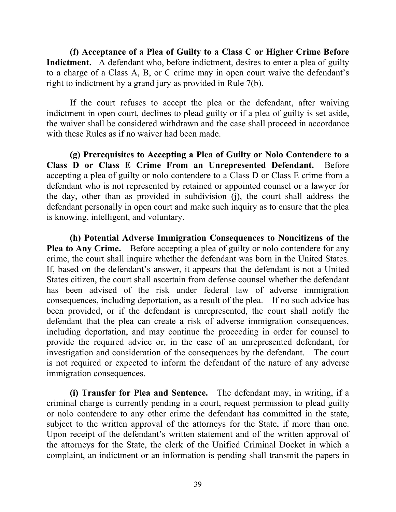**(f) Acceptance of a Plea of Guilty to a Class C or Higher Crime Before Indictment.** A defendant who, before indictment, desires to enter a plea of guilty to a charge of a Class A, B, or C crime may in open court waive the defendant's right to indictment by a grand jury as provided in Rule 7(b).

If the court refuses to accept the plea or the defendant, after waiving indictment in open court, declines to plead guilty or if a plea of guilty is set aside, the waiver shall be considered withdrawn and the case shall proceed in accordance with these Rules as if no waiver had been made.

**(g) Prerequisites to Accepting a Plea of Guilty or Nolo Contendere to a Class D or Class E Crime From an Unrepresented Defendant.** Before accepting a plea of guilty or nolo contendere to a Class D or Class E crime from a defendant who is not represented by retained or appointed counsel or a lawyer for the day, other than as provided in subdivision (j), the court shall address the defendant personally in open court and make such inquiry as to ensure that the plea is knowing, intelligent, and voluntary.

**(h) Potential Adverse Immigration Consequences to Noncitizens of the Plea to Any Crime.** Before accepting a plea of guilty or nolo contendere for any crime, the court shall inquire whether the defendant was born in the United States. If, based on the defendant's answer, it appears that the defendant is not a United States citizen, the court shall ascertain from defense counsel whether the defendant has been advised of the risk under federal law of adverse immigration consequences, including deportation, as a result of the plea. If no such advice has been provided, or if the defendant is unrepresented, the court shall notify the defendant that the plea can create a risk of adverse immigration consequences, including deportation, and may continue the proceeding in order for counsel to provide the required advice or, in the case of an unrepresented defendant, for investigation and consideration of the consequences by the defendant. The court is not required or expected to inform the defendant of the nature of any adverse immigration consequences.

**(i) Transfer for Plea and Sentence.** The defendant may, in writing, if a criminal charge is currently pending in a court, request permission to plead guilty or nolo contendere to any other crime the defendant has committed in the state, subject to the written approval of the attorneys for the State, if more than one. Upon receipt of the defendant's written statement and of the written approval of the attorneys for the State, the clerk of the Unified Criminal Docket in which a complaint, an indictment or an information is pending shall transmit the papers in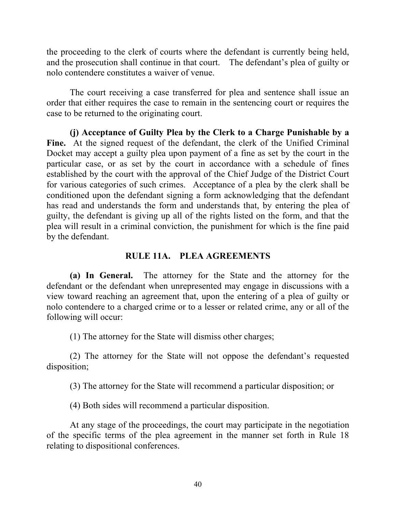the proceeding to the clerk of courts where the defendant is currently being held, and the prosecution shall continue in that court. The defendant's plea of guilty or nolo contendere constitutes a waiver of venue.

The court receiving a case transferred for plea and sentence shall issue an order that either requires the case to remain in the sentencing court or requires the case to be returned to the originating court.

**(j) Acceptance of Guilty Plea by the Clerk to a Charge Punishable by a**  Fine. At the signed request of the defendant, the clerk of the Unified Criminal Docket may accept a guilty plea upon payment of a fine as set by the court in the particular case, or as set by the court in accordance with a schedule of fines established by the court with the approval of the Chief Judge of the District Court for various categories of such crimes. Acceptance of a plea by the clerk shall be conditioned upon the defendant signing a form acknowledging that the defendant has read and understands the form and understands that, by entering the plea of guilty, the defendant is giving up all of the rights listed on the form, and that the plea will result in a criminal conviction, the punishment for which is the fine paid by the defendant.

# **RULE 11A. PLEA AGREEMENTS**

**(a) In General.** The attorney for the State and the attorney for the defendant or the defendant when unrepresented may engage in discussions with a view toward reaching an agreement that, upon the entering of a plea of guilty or nolo contendere to a charged crime or to a lesser or related crime, any or all of the following will occur:

(1) The attorney for the State will dismiss other charges;

(2) The attorney for the State will not oppose the defendant's requested disposition;

(3) The attorney for the State will recommend a particular disposition; or

(4) Both sides will recommend a particular disposition.

At any stage of the proceedings, the court may participate in the negotiation of the specific terms of the plea agreement in the manner set forth in Rule 18 relating to dispositional conferences.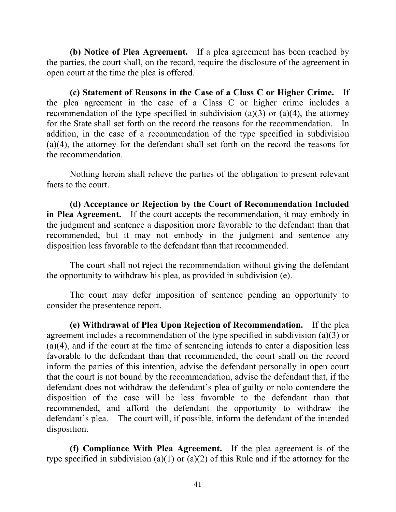**(b) Notice of Plea Agreement.** If a plea agreement has been reached by the parties, the court shall, on the record, require the disclosure of the agreement in open court at the time the plea is offered.

**(c) Statement of Reasons in the Case of a Class C or Higher Crime.** If the plea agreement in the case of a Class C or higher crime includes a recommendation of the type specified in subdivision (a)(3) or (a)(4), the attorney for the State shall set forth on the record the reasons for the recommendation. In addition, in the case of a recommendation of the type specified in subdivision (a)(4), the attorney for the defendant shall set forth on the record the reasons for the recommendation.

Nothing herein shall relieve the parties of the obligation to present relevant facts to the court.

**(d) Acceptance or Rejection by the Court of Recommendation Included in Plea Agreement.** If the court accepts the recommendation, it may embody in the judgment and sentence a disposition more favorable to the defendant than that recommended, but it may not embody in the judgment and sentence any disposition less favorable to the defendant than that recommended.

The court shall not reject the recommendation without giving the defendant the opportunity to withdraw his plea, as provided in subdivision (e).

The court may defer imposition of sentence pending an opportunity to consider the presentence report.

**(e) Withdrawal of Plea Upon Rejection of Recommendation.** If the plea agreement includes a recommendation of the type specified in subdivision (a)(3) or (a)(4), and if the court at the time of sentencing intends to enter a disposition less favorable to the defendant than that recommended, the court shall on the record inform the parties of this intention, advise the defendant personally in open court that the court is not bound by the recommendation, advise the defendant that, if the defendant does not withdraw the defendant's plea of guilty or nolo contendere the disposition of the case will be less favorable to the defendant than that recommended, and afford the defendant the opportunity to withdraw the defendant's plea. The court will, if possible, inform the defendant of the intended disposition.

**(f) Compliance With Plea Agreement.** If the plea agreement is of the type specified in subdivision (a)(1) or (a)(2) of this Rule and if the attorney for the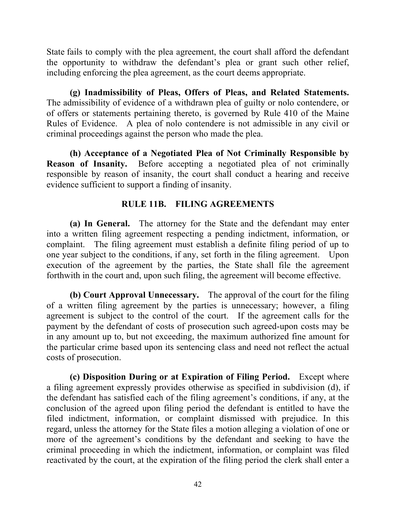State fails to comply with the plea agreement, the court shall afford the defendant the opportunity to withdraw the defendant's plea or grant such other relief, including enforcing the plea agreement, as the court deems appropriate.

**(g) Inadmissibility of Pleas, Offers of Pleas, and Related Statements.** The admissibility of evidence of a withdrawn plea of guilty or nolo contendere, or of offers or statements pertaining thereto, is governed by Rule 410 of the Maine Rules of Evidence. A plea of nolo contendere is not admissible in any civil or criminal proceedings against the person who made the plea.

**(h) Acceptance of a Negotiated Plea of Not Criminally Responsible by Reason of Insanity.** Before accepting a negotiated plea of not criminally responsible by reason of insanity, the court shall conduct a hearing and receive evidence sufficient to support a finding of insanity.

# **RULE 11B. FILING AGREEMENTS**

**(a) In General.** The attorney for the State and the defendant may enter into a written filing agreement respecting a pending indictment, information, or complaint. The filing agreement must establish a definite filing period of up to one year subject to the conditions, if any, set forth in the filing agreement. Upon execution of the agreement by the parties, the State shall file the agreement forthwith in the court and, upon such filing, the agreement will become effective.

**(b) Court Approval Unnecessary.** The approval of the court for the filing of a written filing agreement by the parties is unnecessary; however, a filing agreement is subject to the control of the court. If the agreement calls for the payment by the defendant of costs of prosecution such agreed-upon costs may be in any amount up to, but not exceeding, the maximum authorized fine amount for the particular crime based upon its sentencing class and need not reflect the actual costs of prosecution.

**(c) Disposition During or at Expiration of Filing Period.** Except where a filing agreement expressly provides otherwise as specified in subdivision (d), if the defendant has satisfied each of the filing agreement's conditions, if any, at the conclusion of the agreed upon filing period the defendant is entitled to have the filed indictment, information, or complaint dismissed with prejudice. In this regard, unless the attorney for the State files a motion alleging a violation of one or more of the agreement's conditions by the defendant and seeking to have the criminal proceeding in which the indictment, information, or complaint was filed reactivated by the court, at the expiration of the filing period the clerk shall enter a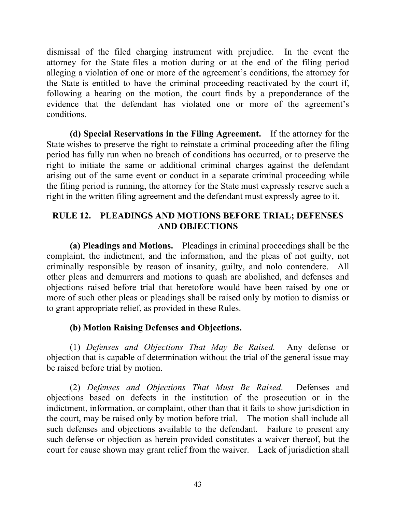dismissal of the filed charging instrument with prejudice. In the event the attorney for the State files a motion during or at the end of the filing period alleging a violation of one or more of the agreement's conditions, the attorney for the State is entitled to have the criminal proceeding reactivated by the court if, following a hearing on the motion, the court finds by a preponderance of the evidence that the defendant has violated one or more of the agreement's conditions.

**(d) Special Reservations in the Filing Agreement.** If the attorney for the State wishes to preserve the right to reinstate a criminal proceeding after the filing period has fully run when no breach of conditions has occurred, or to preserve the right to initiate the same or additional criminal charges against the defendant arising out of the same event or conduct in a separate criminal proceeding while the filing period is running, the attorney for the State must expressly reserve such a right in the written filing agreement and the defendant must expressly agree to it.

## **RULE 12. PLEADINGS AND MOTIONS BEFORE TRIAL; DEFENSES AND OBJECTIONS**

**(a) Pleadings and Motions.** Pleadings in criminal proceedings shall be the complaint, the indictment, and the information, and the pleas of not guilty, not criminally responsible by reason of insanity, guilty, and nolo contendere. All other pleas and demurrers and motions to quash are abolished, and defenses and objections raised before trial that heretofore would have been raised by one or more of such other pleas or pleadings shall be raised only by motion to dismiss or to grant appropriate relief, as provided in these Rules.

# **(b) Motion Raising Defenses and Objections.**

(1) *Defenses and Objections That May Be Raised.* Any defense or objection that is capable of determination without the trial of the general issue may be raised before trial by motion.

(2) *Defenses and Objections That Must Be Raised*. Defenses and objections based on defects in the institution of the prosecution or in the indictment, information, or complaint, other than that it fails to show jurisdiction in the court, may be raised only by motion before trial. The motion shall include all such defenses and objections available to the defendant. Failure to present any such defense or objection as herein provided constitutes a waiver thereof, but the court for cause shown may grant relief from the waiver. Lack of jurisdiction shall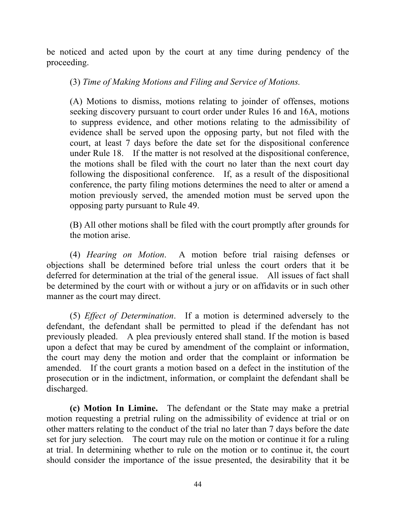be noticed and acted upon by the court at any time during pendency of the proceeding.

(3) *Time of Making Motions and Filing and Service of Motions.*

(A) Motions to dismiss, motions relating to joinder of offenses, motions seeking discovery pursuant to court order under Rules 16 and 16A, motions to suppress evidence, and other motions relating to the admissibility of evidence shall be served upon the opposing party, but not filed with the court, at least 7 days before the date set for the dispositional conference under Rule 18. If the matter is not resolved at the dispositional conference, the motions shall be filed with the court no later than the next court day following the dispositional conference. If, as a result of the dispositional conference, the party filing motions determines the need to alter or amend a motion previously served, the amended motion must be served upon the opposing party pursuant to Rule 49.

(B) All other motions shall be filed with the court promptly after grounds for the motion arise.

(4) *Hearing on Motion*. A motion before trial raising defenses or objections shall be determined before trial unless the court orders that it be deferred for determination at the trial of the general issue. All issues of fact shall be determined by the court with or without a jury or on affidavits or in such other manner as the court may direct.

(5) *Effect of Determination*. If a motion is determined adversely to the defendant, the defendant shall be permitted to plead if the defendant has not previously pleaded. A plea previously entered shall stand. If the motion is based upon a defect that may be cured by amendment of the complaint or information, the court may deny the motion and order that the complaint or information be amended. If the court grants a motion based on a defect in the institution of the prosecution or in the indictment, information, or complaint the defendant shall be discharged.

**(c) Motion In Limine.** The defendant or the State may make a pretrial motion requesting a pretrial ruling on the admissibility of evidence at trial or on other matters relating to the conduct of the trial no later than 7 days before the date set for jury selection. The court may rule on the motion or continue it for a ruling at trial. In determining whether to rule on the motion or to continue it, the court should consider the importance of the issue presented, the desirability that it be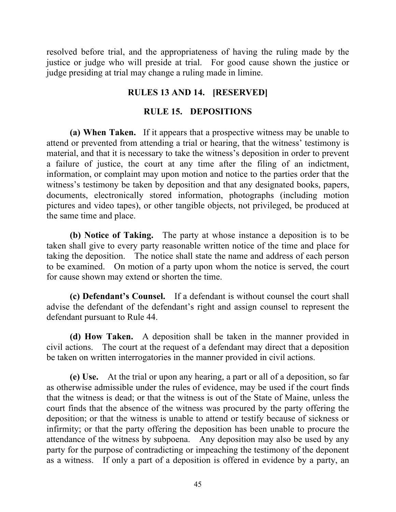resolved before trial, and the appropriateness of having the ruling made by the justice or judge who will preside at trial. For good cause shown the justice or judge presiding at trial may change a ruling made in limine.

## **RULES 13 AND 14. [RESERVED]**

### **RULE 15. DEPOSITIONS**

**(a) When Taken.** If it appears that a prospective witness may be unable to attend or prevented from attending a trial or hearing, that the witness' testimony is material, and that it is necessary to take the witness's deposition in order to prevent a failure of justice, the court at any time after the filing of an indictment, information, or complaint may upon motion and notice to the parties order that the witness's testimony be taken by deposition and that any designated books, papers, documents, electronically stored information, photographs (including motion pictures and video tapes), or other tangible objects, not privileged, be produced at the same time and place.

**(b) Notice of Taking.** The party at whose instance a deposition is to be taken shall give to every party reasonable written notice of the time and place for taking the deposition. The notice shall state the name and address of each person to be examined. On motion of a party upon whom the notice is served, the court for cause shown may extend or shorten the time.

**(c) Defendant's Counsel.** If a defendant is without counsel the court shall advise the defendant of the defendant's right and assign counsel to represent the defendant pursuant to Rule 44.

**(d) How Taken.** A deposition shall be taken in the manner provided in civil actions. The court at the request of a defendant may direct that a deposition be taken on written interrogatories in the manner provided in civil actions.

**(e) Use.** At the trial or upon any hearing, a part or all of a deposition, so far as otherwise admissible under the rules of evidence, may be used if the court finds that the witness is dead; or that the witness is out of the State of Maine, unless the court finds that the absence of the witness was procured by the party offering the deposition; or that the witness is unable to attend or testify because of sickness or infirmity; or that the party offering the deposition has been unable to procure the attendance of the witness by subpoena. Any deposition may also be used by any party for the purpose of contradicting or impeaching the testimony of the deponent as a witness. If only a part of a deposition is offered in evidence by a party, an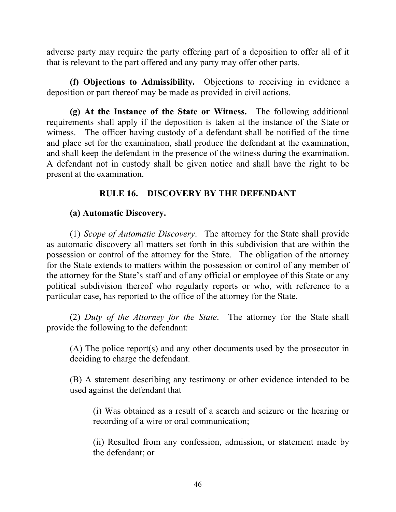adverse party may require the party offering part of a deposition to offer all of it that is relevant to the part offered and any party may offer other parts.

**(f) Objections to Admissibility.** Objections to receiving in evidence a deposition or part thereof may be made as provided in civil actions.

**(g) At the Instance of the State or Witness.** The following additional requirements shall apply if the deposition is taken at the instance of the State or witness. The officer having custody of a defendant shall be notified of the time and place set for the examination, shall produce the defendant at the examination, and shall keep the defendant in the presence of the witness during the examination. A defendant not in custody shall be given notice and shall have the right to be present at the examination.

# **RULE 16. DISCOVERY BY THE DEFENDANT**

## **(a) Automatic Discovery.**

(1) *Scope of Automatic Discovery*. The attorney for the State shall provide as automatic discovery all matters set forth in this subdivision that are within the possession or control of the attorney for the State. The obligation of the attorney for the State extends to matters within the possession or control of any member of the attorney for the State's staff and of any official or employee of this State or any political subdivision thereof who regularly reports or who, with reference to a particular case, has reported to the office of the attorney for the State.

(2) *Duty of the Attorney for the State*. The attorney for the State shall provide the following to the defendant:

(A) The police report(s) and any other documents used by the prosecutor in deciding to charge the defendant.

(B) A statement describing any testimony or other evidence intended to be used against the defendant that

(i) Was obtained as a result of a search and seizure or the hearing or recording of a wire or oral communication;

(ii) Resulted from any confession, admission, or statement made by the defendant; or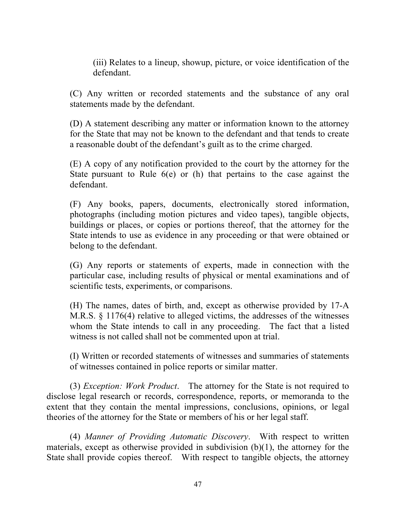(iii) Relates to a lineup, showup, picture, or voice identification of the defendant.

(C) Any written or recorded statements and the substance of any oral statements made by the defendant.

(D) A statement describing any matter or information known to the attorney for the State that may not be known to the defendant and that tends to create a reasonable doubt of the defendant's guilt as to the crime charged.

(E) A copy of any notification provided to the court by the attorney for the State pursuant to Rule 6(e) or (h) that pertains to the case against the defendant.

(F) Any books, papers, documents, electronically stored information, photographs (including motion pictures and video tapes), tangible objects, buildings or places, or copies or portions thereof, that the attorney for the State intends to use as evidence in any proceeding or that were obtained or belong to the defendant.

(G) Any reports or statements of experts, made in connection with the particular case, including results of physical or mental examinations and of scientific tests, experiments, or comparisons.

(H) The names, dates of birth, and, except as otherwise provided by 17-A M.R.S. § 1176(4) relative to alleged victims, the addresses of the witnesses whom the State intends to call in any proceeding. The fact that a listed witness is not called shall not be commented upon at trial.

(I) Written or recorded statements of witnesses and summaries of statements of witnesses contained in police reports or similar matter.

(3) *Exception: Work Product*. The attorney for the State is not required to disclose legal research or records, correspondence, reports, or memoranda to the extent that they contain the mental impressions, conclusions, opinions, or legal theories of the attorney for the State or members of his or her legal staff.

(4) *Manner of Providing Automatic Discovery*. With respect to written materials, except as otherwise provided in subdivision (b)(1), the attorney for the State shall provide copies thereof. With respect to tangible objects, the attorney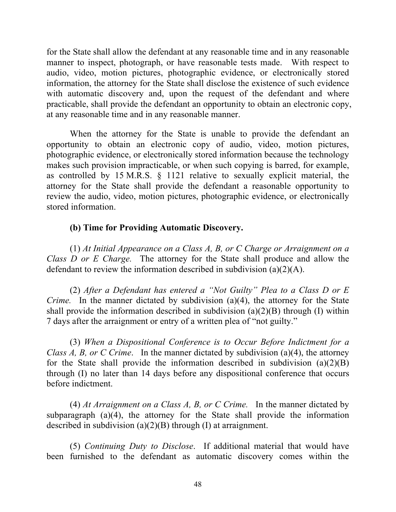for the State shall allow the defendant at any reasonable time and in any reasonable manner to inspect, photograph, or have reasonable tests made. With respect to audio, video, motion pictures, photographic evidence, or electronically stored information, the attorney for the State shall disclose the existence of such evidence with automatic discovery and, upon the request of the defendant and where practicable, shall provide the defendant an opportunity to obtain an electronic copy, at any reasonable time and in any reasonable manner.

When the attorney for the State is unable to provide the defendant an opportunity to obtain an electronic copy of audio, video, motion pictures, photographic evidence, or electronically stored information because the technology makes such provision impracticable, or when such copying is barred, for example, as controlled by 15 M.R.S. § 1121 relative to sexually explicit material, the attorney for the State shall provide the defendant a reasonable opportunity to review the audio, video, motion pictures, photographic evidence, or electronically stored information.

## **(b) Time for Providing Automatic Discovery.**

(1) *At Initial Appearance on a Class A, B, or C Charge or Arraignment on a Class D or E Charge.* The attorney for the State shall produce and allow the defendant to review the information described in subdivision (a)(2)(A).

(2) *After a Defendant has entered a "Not Guilty" Plea to a Class D or E Crime.* In the manner dictated by subdivision (a)(4), the attorney for the State shall provide the information described in subdivision  $(a)(2)(B)$  through (I) within 7 days after the arraignment or entry of a written plea of "not guilty."

(3) *When a Dispositional Conference is to Occur Before Indictment for a Class A, B, or C Crime*. In the manner dictated by subdivision (a)(4), the attorney for the State shall provide the information described in subdivision  $(a)(2)(B)$ through (I) no later than 14 days before any dispositional conference that occurs before indictment.

(4) *At Arraignment on a Class A, B, or C Crime.* In the manner dictated by subparagraph (a)(4), the attorney for the State shall provide the information described in subdivision (a)(2)(B) through (I) at arraignment.

(5) *Continuing Duty to Disclose*. If additional material that would have been furnished to the defendant as automatic discovery comes within the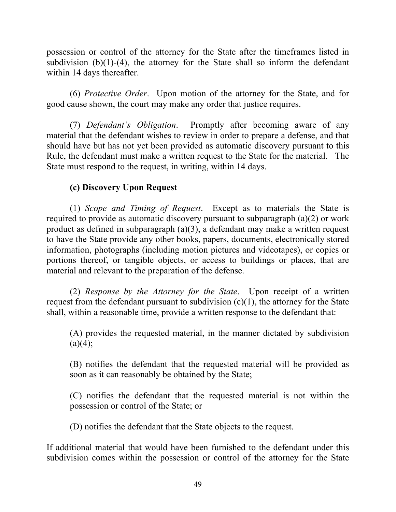possession or control of the attorney for the State after the timeframes listed in subdivision  $(b)(1)-(4)$ , the attorney for the State shall so inform the defendant within 14 days thereafter.

(6) *Protective Order*. Upon motion of the attorney for the State, and for good cause shown, the court may make any order that justice requires.

(7) *Defendant's Obligation*. Promptly after becoming aware of any material that the defendant wishes to review in order to prepare a defense, and that should have but has not yet been provided as automatic discovery pursuant to this Rule, the defendant must make a written request to the State for the material. The State must respond to the request, in writing, within 14 days.

# **(c) Discovery Upon Request**

(1) *Scope and Timing of Request*. Except as to materials the State is required to provide as automatic discovery pursuant to subparagraph (a)(2) or work product as defined in subparagraph (a)(3), a defendant may make a written request to have the State provide any other books, papers, documents, electronically stored information, photographs (including motion pictures and videotapes), or copies or portions thereof, or tangible objects, or access to buildings or places, that are material and relevant to the preparation of the defense.

(2) *Response by the Attorney for the State*. Upon receipt of a written request from the defendant pursuant to subdivision  $(c)(1)$ , the attorney for the State shall, within a reasonable time, provide a written response to the defendant that:

(A) provides the requested material, in the manner dictated by subdivision  $(a)(4);$ 

(B) notifies the defendant that the requested material will be provided as soon as it can reasonably be obtained by the State;

(C) notifies the defendant that the requested material is not within the possession or control of the State; or

(D) notifies the defendant that the State objects to the request.

If additional material that would have been furnished to the defendant under this subdivision comes within the possession or control of the attorney for the State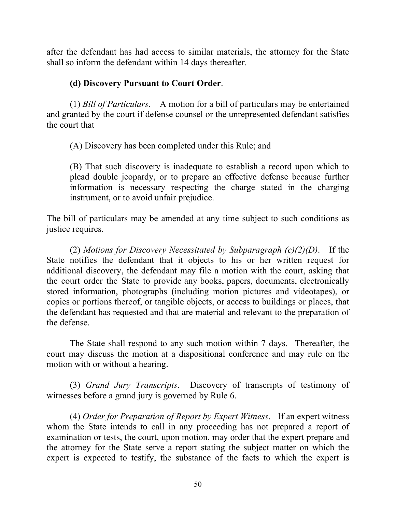after the defendant has had access to similar materials, the attorney for the State shall so inform the defendant within 14 days thereafter.

## **(d) Discovery Pursuant to Court Order**.

(1) *Bill of Particulars*. A motion for a bill of particulars may be entertained and granted by the court if defense counsel or the unrepresented defendant satisfies the court that

(A) Discovery has been completed under this Rule; and

(B) That such discovery is inadequate to establish a record upon which to plead double jeopardy, or to prepare an effective defense because further information is necessary respecting the charge stated in the charging instrument, or to avoid unfair prejudice.

The bill of particulars may be amended at any time subject to such conditions as justice requires.

(2) *Motions for Discovery Necessitated by Subparagraph (c)(2)(D)*. If the State notifies the defendant that it objects to his or her written request for additional discovery, the defendant may file a motion with the court, asking that the court order the State to provide any books, papers, documents, electronically stored information, photographs (including motion pictures and videotapes), or copies or portions thereof, or tangible objects, or access to buildings or places, that the defendant has requested and that are material and relevant to the preparation of the defense.

The State shall respond to any such motion within 7 days. Thereafter, the court may discuss the motion at a dispositional conference and may rule on the motion with or without a hearing.

(3) *Grand Jury Transcripts*. Discovery of transcripts of testimony of witnesses before a grand jury is governed by Rule 6.

(4) *Order for Preparation of Report by Expert Witness*. If an expert witness whom the State intends to call in any proceeding has not prepared a report of examination or tests, the court, upon motion, may order that the expert prepare and the attorney for the State serve a report stating the subject matter on which the expert is expected to testify, the substance of the facts to which the expert is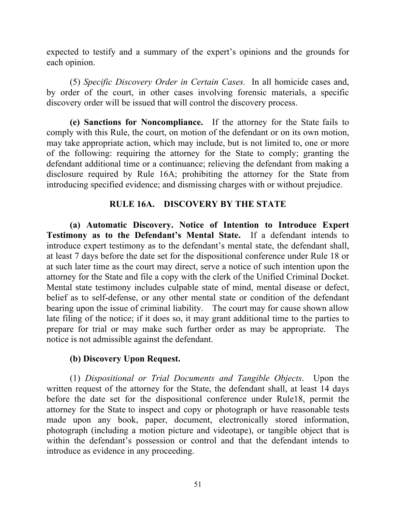expected to testify and a summary of the expert's opinions and the grounds for each opinion.

(5) *Specific Discovery Order in Certain Cases.* In all homicide cases and, by order of the court, in other cases involving forensic materials, a specific discovery order will be issued that will control the discovery process.

**(e) Sanctions for Noncompliance.** If the attorney for the State fails to comply with this Rule, the court, on motion of the defendant or on its own motion, may take appropriate action, which may include, but is not limited to, one or more of the following: requiring the attorney for the State to comply; granting the defendant additional time or a continuance; relieving the defendant from making a disclosure required by Rule 16A; prohibiting the attorney for the State from introducing specified evidence; and dismissing charges with or without prejudice.

## **RULE 16A. DISCOVERY BY THE STATE**

**(a) Automatic Discovery. Notice of Intention to Introduce Expert Testimony as to the Defendant's Mental State.** If a defendant intends to introduce expert testimony as to the defendant's mental state, the defendant shall, at least 7 days before the date set for the dispositional conference under Rule 18 or at such later time as the court may direct, serve a notice of such intention upon the attorney for the State and file a copy with the clerk of the Unified Criminal Docket. Mental state testimony includes culpable state of mind, mental disease or defect, belief as to self-defense, or any other mental state or condition of the defendant bearing upon the issue of criminal liability. The court may for cause shown allow late filing of the notice; if it does so, it may grant additional time to the parties to prepare for trial or may make such further order as may be appropriate. The notice is not admissible against the defendant.

# **(b) Discovery Upon Request.**

(1) *Dispositional or Trial Documents and Tangible Objects*. Upon the written request of the attorney for the State, the defendant shall, at least 14 days before the date set for the dispositional conference under Rule18, permit the attorney for the State to inspect and copy or photograph or have reasonable tests made upon any book, paper, document, electronically stored information, photograph (including a motion picture and videotape), or tangible object that is within the defendant's possession or control and that the defendant intends to introduce as evidence in any proceeding.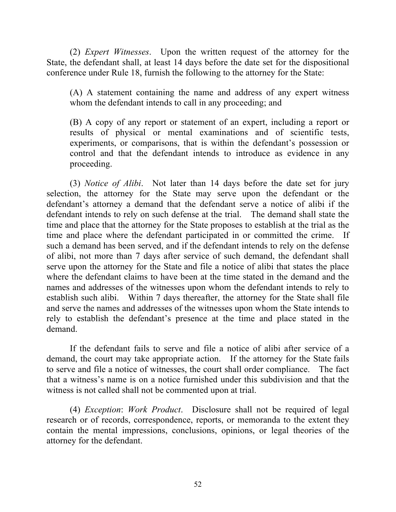(2) *Expert Witnesses*. Upon the written request of the attorney for the State, the defendant shall, at least 14 days before the date set for the dispositional conference under Rule 18, furnish the following to the attorney for the State:

(A) A statement containing the name and address of any expert witness whom the defendant intends to call in any proceeding; and

(B) A copy of any report or statement of an expert, including a report or results of physical or mental examinations and of scientific tests, experiments, or comparisons, that is within the defendant's possession or control and that the defendant intends to introduce as evidence in any proceeding.

(3) *Notice of Alibi*. Not later than 14 days before the date set for jury selection, the attorney for the State may serve upon the defendant or the defendant's attorney a demand that the defendant serve a notice of alibi if the defendant intends to rely on such defense at the trial. The demand shall state the time and place that the attorney for the State proposes to establish at the trial as the time and place where the defendant participated in or committed the crime. If such a demand has been served, and if the defendant intends to rely on the defense of alibi, not more than 7 days after service of such demand, the defendant shall serve upon the attorney for the State and file a notice of alibi that states the place where the defendant claims to have been at the time stated in the demand and the names and addresses of the witnesses upon whom the defendant intends to rely to establish such alibi. Within 7 days thereafter, the attorney for the State shall file and serve the names and addresses of the witnesses upon whom the State intends to rely to establish the defendant's presence at the time and place stated in the demand.

If the defendant fails to serve and file a notice of alibi after service of a demand, the court may take appropriate action. If the attorney for the State fails to serve and file a notice of witnesses, the court shall order compliance. The fact that a witness's name is on a notice furnished under this subdivision and that the witness is not called shall not be commented upon at trial.

(4) *Exception*: *Work Product*. Disclosure shall not be required of legal research or of records, correspondence, reports, or memoranda to the extent they contain the mental impressions, conclusions, opinions, or legal theories of the attorney for the defendant.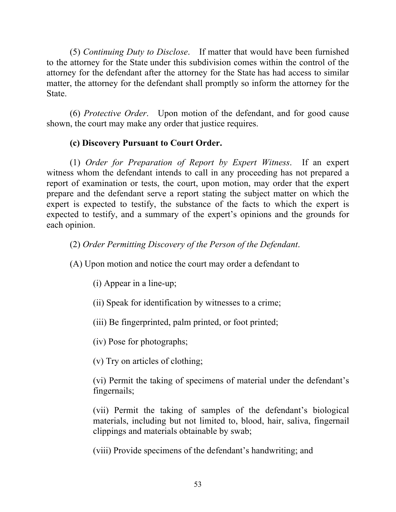(5) *Continuing Duty to Disclose*. If matter that would have been furnished to the attorney for the State under this subdivision comes within the control of the attorney for the defendant after the attorney for the State has had access to similar matter, the attorney for the defendant shall promptly so inform the attorney for the State.

(6) *Protective Order*. Upon motion of the defendant, and for good cause shown, the court may make any order that justice requires.

# **(c) Discovery Pursuant to Court Order.**

(1) *Order for Preparation of Report by Expert Witness*. If an expert witness whom the defendant intends to call in any proceeding has not prepared a report of examination or tests, the court, upon motion, may order that the expert prepare and the defendant serve a report stating the subject matter on which the expert is expected to testify, the substance of the facts to which the expert is expected to testify, and a summary of the expert's opinions and the grounds for each opinion.

(2) *Order Permitting Discovery of the Person of the Defendant*.

(A) Upon motion and notice the court may order a defendant to

(i) Appear in a line-up;

(ii) Speak for identification by witnesses to a crime;

(iii) Be fingerprinted, palm printed, or foot printed;

(iv) Pose for photographs;

(v) Try on articles of clothing;

(vi) Permit the taking of specimens of material under the defendant's fingernails;

(vii) Permit the taking of samples of the defendant's biological materials, including but not limited to, blood, hair, saliva, fingernail clippings and materials obtainable by swab;

(viii) Provide specimens of the defendant's handwriting; and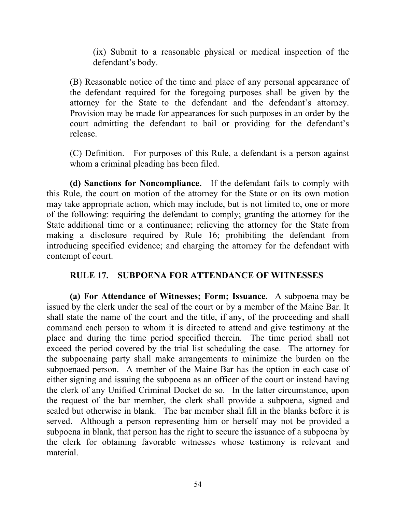(ix) Submit to a reasonable physical or medical inspection of the defendant's body.

(B) Reasonable notice of the time and place of any personal appearance of the defendant required for the foregoing purposes shall be given by the attorney for the State to the defendant and the defendant's attorney. Provision may be made for appearances for such purposes in an order by the court admitting the defendant to bail or providing for the defendant's release.

(C) Definition. For purposes of this Rule, a defendant is a person against whom a criminal pleading has been filed.

**(d) Sanctions for Noncompliance.** If the defendant fails to comply with this Rule, the court on motion of the attorney for the State or on its own motion may take appropriate action, which may include, but is not limited to, one or more of the following: requiring the defendant to comply; granting the attorney for the State additional time or a continuance; relieving the attorney for the State from making a disclosure required by Rule 16; prohibiting the defendant from introducing specified evidence; and charging the attorney for the defendant with contempt of court.

## **RULE 17. SUBPOENA FOR ATTENDANCE OF WITNESSES**

**(a) For Attendance of Witnesses; Form; Issuance.** A subpoena may be issued by the clerk under the seal of the court or by a member of the Maine Bar. It shall state the name of the court and the title, if any, of the proceeding and shall command each person to whom it is directed to attend and give testimony at the place and during the time period specified therein. The time period shall not exceed the period covered by the trial list scheduling the case. The attorney for the subpoenaing party shall make arrangements to minimize the burden on the subpoenaed person. A member of the Maine Bar has the option in each case of either signing and issuing the subpoena as an officer of the court or instead having the clerk of any Unified Criminal Docket do so. In the latter circumstance, upon the request of the bar member, the clerk shall provide a subpoena, signed and sealed but otherwise in blank. The bar member shall fill in the blanks before it is served. Although a person representing him or herself may not be provided a subpoena in blank, that person has the right to secure the issuance of a subpoena by the clerk for obtaining favorable witnesses whose testimony is relevant and material.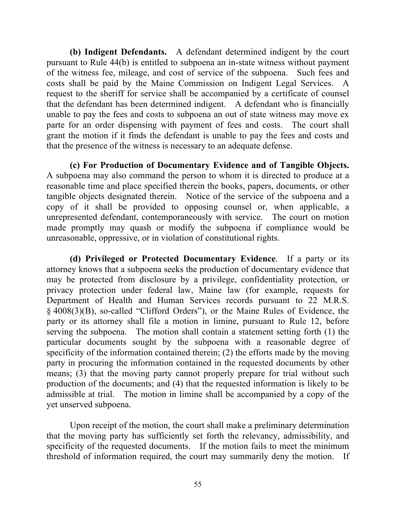**(b) Indigent Defendants.** A defendant determined indigent by the court pursuant to Rule 44(b) is entitled to subpoena an in-state witness without payment of the witness fee, mileage, and cost of service of the subpoena. Such fees and costs shall be paid by the Maine Commission on Indigent Legal Services. A request to the sheriff for service shall be accompanied by a certificate of counsel that the defendant has been determined indigent. A defendant who is financially unable to pay the fees and costs to subpoena an out of state witness may move ex parte for an order dispensing with payment of fees and costs. The court shall grant the motion if it finds the defendant is unable to pay the fees and costs and that the presence of the witness is necessary to an adequate defense.

**(c) For Production of Documentary Evidence and of Tangible Objects.**  A subpoena may also command the person to whom it is directed to produce at a reasonable time and place specified therein the books, papers, documents, or other tangible objects designated therein. Notice of the service of the subpoena and a copy of it shall be provided to opposing counsel or, when applicable, a unrepresented defendant, contemporaneously with service. The court on motion made promptly may quash or modify the subpoena if compliance would be unreasonable, oppressive, or in violation of constitutional rights.

**(d) Privileged or Protected Documentary Evidence**. If a party or its attorney knows that a subpoena seeks the production of documentary evidence that may be protected from disclosure by a privilege, confidentiality protection, or privacy protection under federal law, Maine law (for example, requests for Department of Health and Human Services records pursuant to 22 M.R.S. § 4008(3)(B), so-called "Clifford Orders"), or the Maine Rules of Evidence, the party or its attorney shall file a motion in limine, pursuant to Rule 12, before serving the subpoena. The motion shall contain a statement setting forth (1) the particular documents sought by the subpoena with a reasonable degree of specificity of the information contained therein; (2) the efforts made by the moving party in procuring the information contained in the requested documents by other means; (3) that the moving party cannot properly prepare for trial without such production of the documents; and (4) that the requested information is likely to be admissible at trial. The motion in limine shall be accompanied by a copy of the yet unserved subpoena.

Upon receipt of the motion, the court shall make a preliminary determination that the moving party has sufficiently set forth the relevancy, admissibility, and specificity of the requested documents. If the motion fails to meet the minimum threshold of information required, the court may summarily deny the motion. If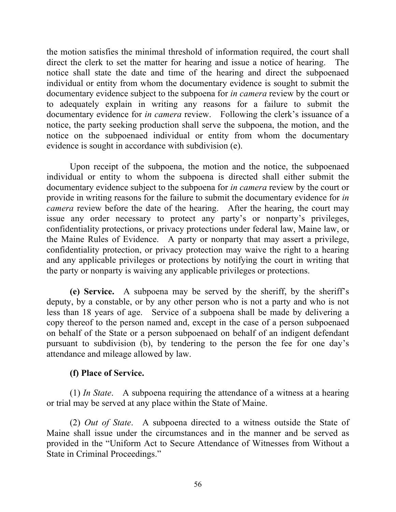the motion satisfies the minimal threshold of information required, the court shall direct the clerk to set the matter for hearing and issue a notice of hearing. The notice shall state the date and time of the hearing and direct the subpoenaed individual or entity from whom the documentary evidence is sought to submit the documentary evidence subject to the subpoena for *in camera* review by the court or to adequately explain in writing any reasons for a failure to submit the documentary evidence for *in camera* review. Following the clerk's issuance of a notice, the party seeking production shall serve the subpoena, the motion, and the notice on the subpoenaed individual or entity from whom the documentary evidence is sought in accordance with subdivision (e).

Upon receipt of the subpoena, the motion and the notice, the subpoenaed individual or entity to whom the subpoena is directed shall either submit the documentary evidence subject to the subpoena for *in camera* review by the court or provide in writing reasons for the failure to submit the documentary evidence for *in camera* review before the date of the hearing. After the hearing, the court may issue any order necessary to protect any party's or nonparty's privileges, confidentiality protections, or privacy protections under federal law, Maine law, or the Maine Rules of Evidence. A party or nonparty that may assert a privilege, confidentiality protection, or privacy protection may waive the right to a hearing and any applicable privileges or protections by notifying the court in writing that the party or nonparty is waiving any applicable privileges or protections.

**(e) Service.** A subpoena may be served by the sheriff, by the sheriff's deputy, by a constable, or by any other person who is not a party and who is not less than 18 years of age. Service of a subpoena shall be made by delivering a copy thereof to the person named and, except in the case of a person subpoenaed on behalf of the State or a person subpoenaed on behalf of an indigent defendant pursuant to subdivision (b), by tendering to the person the fee for one day's attendance and mileage allowed by law.

## **(f) Place of Service.**

(1) *In State*. A subpoena requiring the attendance of a witness at a hearing or trial may be served at any place within the State of Maine.

(2) *Out of State*. A subpoena directed to a witness outside the State of Maine shall issue under the circumstances and in the manner and be served as provided in the "Uniform Act to Secure Attendance of Witnesses from Without a State in Criminal Proceedings."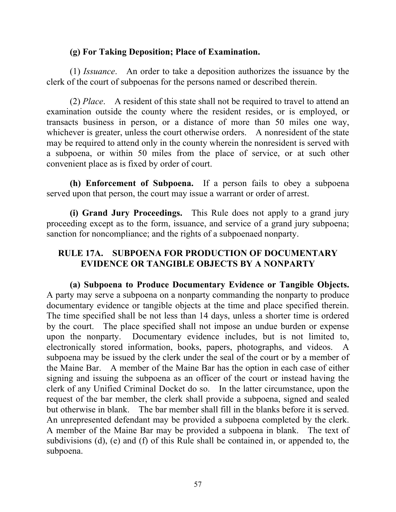#### **(g) For Taking Deposition; Place of Examination.**

(1) *Issuance*. An order to take a deposition authorizes the issuance by the clerk of the court of subpoenas for the persons named or described therein.

(2) *Place*. A resident of this state shall not be required to travel to attend an examination outside the county where the resident resides, or is employed, or transacts business in person, or a distance of more than 50 miles one way, whichever is greater, unless the court otherwise orders. A nonresident of the state may be required to attend only in the county wherein the nonresident is served with a subpoena, or within 50 miles from the place of service, or at such other convenient place as is fixed by order of court.

**(h) Enforcement of Subpoena.** If a person fails to obey a subpoena served upon that person, the court may issue a warrant or order of arrest.

**(i) Grand Jury Proceedings.** This Rule does not apply to a grand jury proceeding except as to the form, issuance, and service of a grand jury subpoena; sanction for noncompliance; and the rights of a subpoenaed nonparty.

## **RULE 17A. SUBPOENA FOR PRODUCTION OF DOCUMENTARY EVIDENCE OR TANGIBLE OBJECTS BY A NONPARTY**

**(a) Subpoena to Produce Documentary Evidence or Tangible Objects.** A party may serve a subpoena on a nonparty commanding the nonparty to produce documentary evidence or tangible objects at the time and place specified therein. The time specified shall be not less than 14 days, unless a shorter time is ordered by the court. The place specified shall not impose an undue burden or expense upon the nonparty. Documentary evidence includes, but is not limited to, electronically stored information, books, papers, photographs, and videos. A subpoena may be issued by the clerk under the seal of the court or by a member of the Maine Bar. A member of the Maine Bar has the option in each case of either signing and issuing the subpoena as an officer of the court or instead having the clerk of any Unified Criminal Docket do so. In the latter circumstance, upon the request of the bar member, the clerk shall provide a subpoena, signed and sealed but otherwise in blank. The bar member shall fill in the blanks before it is served. An unrepresented defendant may be provided a subpoena completed by the clerk. A member of the Maine Bar may be provided a subpoena in blank. The text of subdivisions (d), (e) and (f) of this Rule shall be contained in, or appended to, the subpoena.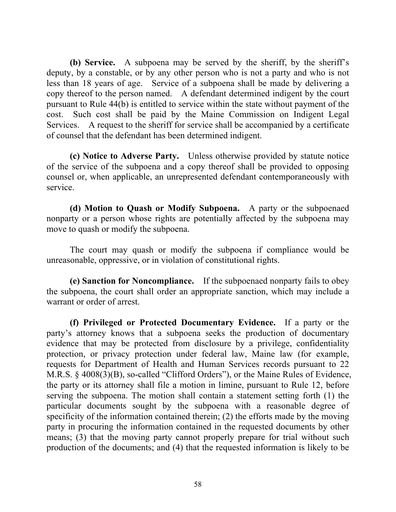**(b) Service.** A subpoena may be served by the sheriff, by the sheriff's deputy, by a constable, or by any other person who is not a party and who is not less than 18 years of age. Service of a subpoena shall be made by delivering a copy thereof to the person named. A defendant determined indigent by the court pursuant to Rule 44(b) is entitled to service within the state without payment of the cost. Such cost shall be paid by the Maine Commission on Indigent Legal Services. A request to the sheriff for service shall be accompanied by a certificate of counsel that the defendant has been determined indigent.

**(c) Notice to Adverse Party.** Unless otherwise provided by statute notice of the service of the subpoena and a copy thereof shall be provided to opposing counsel or, when applicable, an unrepresented defendant contemporaneously with service.

**(d) Motion to Quash or Modify Subpoena.** A party or the subpoenaed nonparty or a person whose rights are potentially affected by the subpoena may move to quash or modify the subpoena.

The court may quash or modify the subpoena if compliance would be unreasonable, oppressive, or in violation of constitutional rights.

**(e) Sanction for Noncompliance.** If the subpoenaed nonparty fails to obey the subpoena, the court shall order an appropriate sanction, which may include a warrant or order of arrest.

**(f) Privileged or Protected Documentary Evidence.** If a party or the party's attorney knows that a subpoena seeks the production of documentary evidence that may be protected from disclosure by a privilege, confidentiality protection, or privacy protection under federal law, Maine law (for example, requests for Department of Health and Human Services records pursuant to 22 M.R.S. § 4008(3)(B), so-called "Clifford Orders"), or the Maine Rules of Evidence, the party or its attorney shall file a motion in limine, pursuant to Rule 12, before serving the subpoena. The motion shall contain a statement setting forth (1) the particular documents sought by the subpoena with a reasonable degree of specificity of the information contained therein; (2) the efforts made by the moving party in procuring the information contained in the requested documents by other means; (3) that the moving party cannot properly prepare for trial without such production of the documents; and (4) that the requested information is likely to be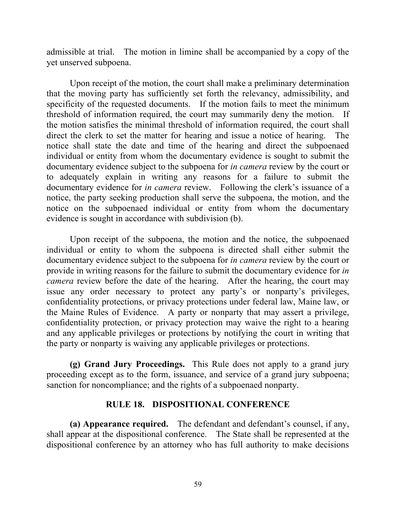admissible at trial. The motion in limine shall be accompanied by a copy of the yet unserved subpoena.

Upon receipt of the motion, the court shall make a preliminary determination that the moving party has sufficiently set forth the relevancy, admissibility, and specificity of the requested documents. If the motion fails to meet the minimum threshold of information required, the court may summarily deny the motion. If the motion satisfies the minimal threshold of information required, the court shall direct the clerk to set the matter for hearing and issue a notice of hearing. The notice shall state the date and time of the hearing and direct the subpoenaed individual or entity from whom the documentary evidence is sought to submit the documentary evidence subject to the subpoena for *in camera* review by the court or to adequately explain in writing any reasons for a failure to submit the documentary evidence for *in camera* review. Following the clerk's issuance of a notice, the party seeking production shall serve the subpoena, the motion, and the notice on the subpoenaed individual or entity from whom the documentary evidence is sought in accordance with subdivision (b).

Upon receipt of the subpoena, the motion and the notice, the subpoenaed individual or entity to whom the subpoena is directed shall either submit the documentary evidence subject to the subpoena for *in camera* review by the court or provide in writing reasons for the failure to submit the documentary evidence for *in camera* review before the date of the hearing. After the hearing, the court may issue any order necessary to protect any party's or nonparty's privileges, confidentiality protections, or privacy protections under federal law, Maine law, or the Maine Rules of Evidence. A party or nonparty that may assert a privilege, confidentiality protection, or privacy protection may waive the right to a hearing and any applicable privileges or protections by notifying the court in writing that the party or nonparty is waiving any applicable privileges or protections.

**(g) Grand Jury Proceedings.** This Rule does not apply to a grand jury proceeding except as to the form, issuance, and service of a grand jury subpoena; sanction for noncompliance; and the rights of a subpoenaed nonparty.

## **RULE 18. DISPOSITIONAL CONFERENCE**

**(a) Appearance required.** The defendant and defendant's counsel, if any, shall appear at the dispositional conference. The State shall be represented at the dispositional conference by an attorney who has full authority to make decisions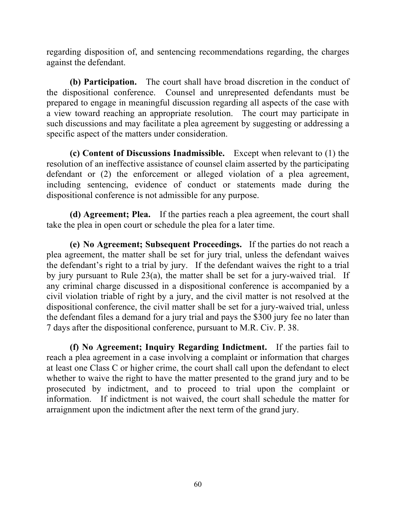regarding disposition of, and sentencing recommendations regarding, the charges against the defendant.

**(b) Participation.** The court shall have broad discretion in the conduct of the dispositional conference. Counsel and unrepresented defendants must be prepared to engage in meaningful discussion regarding all aspects of the case with a view toward reaching an appropriate resolution. The court may participate in such discussions and may facilitate a plea agreement by suggesting or addressing a specific aspect of the matters under consideration.

**(c) Content of Discussions Inadmissible.** Except when relevant to (1) the resolution of an ineffective assistance of counsel claim asserted by the participating defendant or (2) the enforcement or alleged violation of a plea agreement, including sentencing, evidence of conduct or statements made during the dispositional conference is not admissible for any purpose.

**(d) Agreement; Plea.** If the parties reach a plea agreement, the court shall take the plea in open court or schedule the plea for a later time.

**(e) No Agreement; Subsequent Proceedings.** If the parties do not reach a plea agreement, the matter shall be set for jury trial, unless the defendant waives the defendant's right to a trial by jury. If the defendant waives the right to a trial by jury pursuant to Rule 23(a), the matter shall be set for a jury-waived trial. If any criminal charge discussed in a dispositional conference is accompanied by a civil violation triable of right by a jury, and the civil matter is not resolved at the dispositional conference, the civil matter shall be set for a jury-waived trial, unless the defendant files a demand for a jury trial and pays the \$300 jury fee no later than 7 days after the dispositional conference, pursuant to M.R. Civ. P. 38.

**(f) No Agreement; Inquiry Regarding Indictment.** If the parties fail to reach a plea agreement in a case involving a complaint or information that charges at least one Class C or higher crime, the court shall call upon the defendant to elect whether to waive the right to have the matter presented to the grand jury and to be prosecuted by indictment, and to proceed to trial upon the complaint or information. If indictment is not waived, the court shall schedule the matter for arraignment upon the indictment after the next term of the grand jury.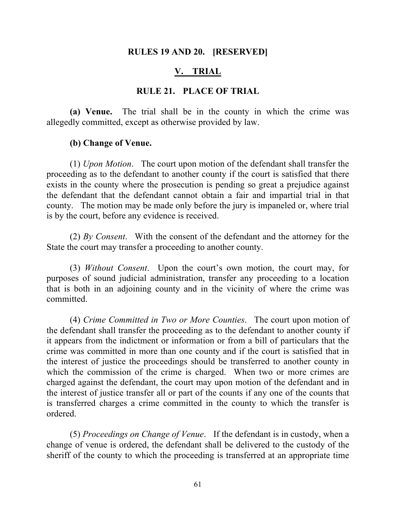#### **RULES 19 AND 20. [RESERVED]**

#### **V. TRIAL**

#### **RULE 21. PLACE OF TRIAL**

**(a) Venue.** The trial shall be in the county in which the crime was allegedly committed, except as otherwise provided by law.

#### **(b) Change of Venue.**

(1) *Upon Motion*. The court upon motion of the defendant shall transfer the proceeding as to the defendant to another county if the court is satisfied that there exists in the county where the prosecution is pending so great a prejudice against the defendant that the defendant cannot obtain a fair and impartial trial in that county. The motion may be made only before the jury is impaneled or, where trial is by the court, before any evidence is received.

(2) *By Consent*. With the consent of the defendant and the attorney for the State the court may transfer a proceeding to another county.

(3) *Without Consent*. Upon the court's own motion, the court may, for purposes of sound judicial administration, transfer any proceeding to a location that is both in an adjoining county and in the vicinity of where the crime was committed.

(4) *Crime Committed in Two or More Counties*. The court upon motion of the defendant shall transfer the proceeding as to the defendant to another county if it appears from the indictment or information or from a bill of particulars that the crime was committed in more than one county and if the court is satisfied that in the interest of justice the proceedings should be transferred to another county in which the commission of the crime is charged. When two or more crimes are charged against the defendant, the court may upon motion of the defendant and in the interest of justice transfer all or part of the counts if any one of the counts that is transferred charges a crime committed in the county to which the transfer is ordered.

(5) *Proceedings on Change of Venue*. If the defendant is in custody, when a change of venue is ordered, the defendant shall be delivered to the custody of the sheriff of the county to which the proceeding is transferred at an appropriate time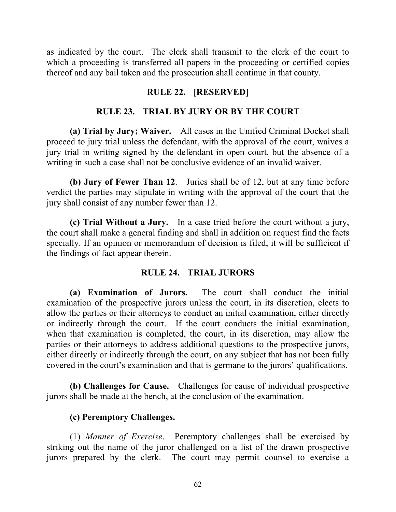as indicated by the court. The clerk shall transmit to the clerk of the court to which a proceeding is transferred all papers in the proceeding or certified copies thereof and any bail taken and the prosecution shall continue in that county.

## **RULE 22. [RESERVED]**

## **RULE 23. TRIAL BY JURY OR BY THE COURT**

**(a) Trial by Jury; Waiver.** All cases in the Unified Criminal Docket shall proceed to jury trial unless the defendant, with the approval of the court, waives a jury trial in writing signed by the defendant in open court, but the absence of a writing in such a case shall not be conclusive evidence of an invalid waiver.

**(b) Jury of Fewer Than 12**. Juries shall be of 12, but at any time before verdict the parties may stipulate in writing with the approval of the court that the jury shall consist of any number fewer than 12.

**(c) Trial Without a Jury.** In a case tried before the court without a jury, the court shall make a general finding and shall in addition on request find the facts specially. If an opinion or memorandum of decision is filed, it will be sufficient if the findings of fact appear therein.

## **RULE 24. TRIAL JURORS**

**(a) Examination of Jurors.** The court shall conduct the initial examination of the prospective jurors unless the court, in its discretion, elects to allow the parties or their attorneys to conduct an initial examination, either directly or indirectly through the court. If the court conducts the initial examination, when that examination is completed, the court, in its discretion, may allow the parties or their attorneys to address additional questions to the prospective jurors, either directly or indirectly through the court, on any subject that has not been fully covered in the court's examination and that is germane to the jurors' qualifications.

**(b) Challenges for Cause.** Challenges for cause of individual prospective jurors shall be made at the bench, at the conclusion of the examination.

## **(c) Peremptory Challenges.**

(1) *Manner of Exercise*. Peremptory challenges shall be exercised by striking out the name of the juror challenged on a list of the drawn prospective jurors prepared by the clerk. The court may permit counsel to exercise a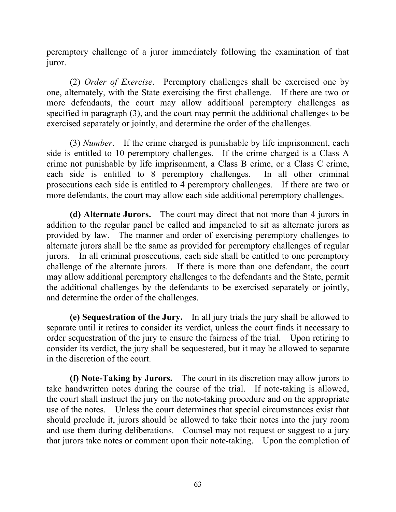peremptory challenge of a juror immediately following the examination of that juror.

(2) *Order of Exercise*. Peremptory challenges shall be exercised one by one, alternately, with the State exercising the first challenge. If there are two or more defendants, the court may allow additional peremptory challenges as specified in paragraph (3), and the court may permit the additional challenges to be exercised separately or jointly, and determine the order of the challenges.

(3) *Number*. If the crime charged is punishable by life imprisonment, each side is entitled to 10 peremptory challenges. If the crime charged is a Class A crime not punishable by life imprisonment, a Class B crime, or a Class C crime, each side is entitled to 8 peremptory challenges. In all other criminal prosecutions each side is entitled to 4 peremptory challenges. If there are two or more defendants, the court may allow each side additional peremptory challenges.

**(d) Alternate Jurors.** The court may direct that not more than 4 jurors in addition to the regular panel be called and impaneled to sit as alternate jurors as provided by law. The manner and order of exercising peremptory challenges to alternate jurors shall be the same as provided for peremptory challenges of regular jurors. In all criminal prosecutions, each side shall be entitled to one peremptory challenge of the alternate jurors. If there is more than one defendant, the court may allow additional peremptory challenges to the defendants and the State, permit the additional challenges by the defendants to be exercised separately or jointly, and determine the order of the challenges.

**(e) Sequestration of the Jury.** In all jury trials the jury shall be allowed to separate until it retires to consider its verdict, unless the court finds it necessary to order sequestration of the jury to ensure the fairness of the trial. Upon retiring to consider its verdict, the jury shall be sequestered, but it may be allowed to separate in the discretion of the court.

**(f) Note-Taking by Jurors.** The court in its discretion may allow jurors to take handwritten notes during the course of the trial. If note-taking is allowed, the court shall instruct the jury on the note-taking procedure and on the appropriate use of the notes. Unless the court determines that special circumstances exist that should preclude it, jurors should be allowed to take their notes into the jury room and use them during deliberations. Counsel may not request or suggest to a jury that jurors take notes or comment upon their note-taking. Upon the completion of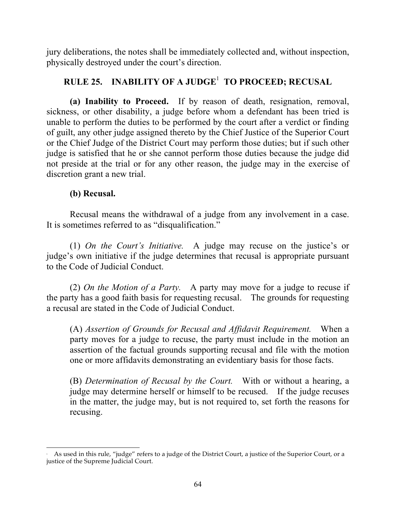jury deliberations, the notes shall be immediately collected and, without inspection, physically destroyed under the court's direction.

# **RULE 25. INABILITY OF A JUDGE**<sup>1</sup> **TO PROCEED; RECUSAL**

**(a) Inability to Proceed.** If by reason of death, resignation, removal, sickness, or other disability, a judge before whom a defendant has been tried is unable to perform the duties to be performed by the court after a verdict or finding of guilt, any other judge assigned thereto by the Chief Justice of the Superior Court or the Chief Judge of the District Court may perform those duties; but if such other judge is satisfied that he or she cannot perform those duties because the judge did not preside at the trial or for any other reason, the judge may in the exercise of discretion grant a new trial.

# **(b) Recusal.**

Recusal means the withdrawal of a judge from any involvement in a case. It is sometimes referred to as "disqualification."

(1) *On the Court's Initiative.* A judge may recuse on the justice's or judge's own initiative if the judge determines that recusal is appropriate pursuant to the Code of Judicial Conduct.

(2) *On the Motion of a Party.* A party may move for a judge to recuse if the party has a good faith basis for requesting recusal. The grounds for requesting a recusal are stated in the Code of Judicial Conduct.

(A) *Assertion of Grounds for Recusal and Affidavit Requirement.* When a party moves for a judge to recuse, the party must include in the motion an assertion of the factual grounds supporting recusal and file with the motion one or more affidavits demonstrating an evidentiary basis for those facts.

(B) *Determination of Recusal by the Court.* With or without a hearing, a judge may determine herself or himself to be recused. If the judge recuses in the matter, the judge may, but is not required to, set forth the reasons for recusing.

 $\overline{a}$  As used in this rule, "judge" refers to a judge of the District Court, a justice of the Superior Court, or a justice of the Supreme Judicial Court.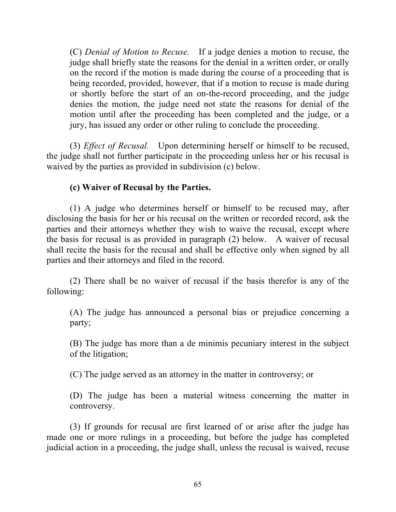(C) *Denial of Motion to Recuse.* If a judge denies a motion to recuse, the judge shall briefly state the reasons for the denial in a written order, or orally on the record if the motion is made during the course of a proceeding that is being recorded, provided, however, that if a motion to recuse is made during or shortly before the start of an on-the-record proceeding, and the judge denies the motion, the judge need not state the reasons for denial of the motion until after the proceeding has been completed and the judge, or a jury, has issued any order or other ruling to conclude the proceeding.

(3) *Effect of Recusal.* Upon determining herself or himself to be recused, the judge shall not further participate in the proceeding unless her or his recusal is waived by the parties as provided in subdivision (c) below.

## **(c) Waiver of Recusal by the Parties.**

(1) A judge who determines herself or himself to be recused may, after disclosing the basis for her or his recusal on the written or recorded record, ask the parties and their attorneys whether they wish to waive the recusal, except where the basis for recusal is as provided in paragraph (2) below. A waiver of recusal shall recite the basis for the recusal and shall be effective only when signed by all parties and their attorneys and filed in the record.

(2) There shall be no waiver of recusal if the basis therefor is any of the following:

(A) The judge has announced a personal bias or prejudice concerning a party;

(B) The judge has more than a de minimis pecuniary interest in the subject of the litigation;

(C) The judge served as an attorney in the matter in controversy; or

(D) The judge has been a material witness concerning the matter in controversy.

(3) If grounds for recusal are first learned of or arise after the judge has made one or more rulings in a proceeding, but before the judge has completed judicial action in a proceeding, the judge shall, unless the recusal is waived, recuse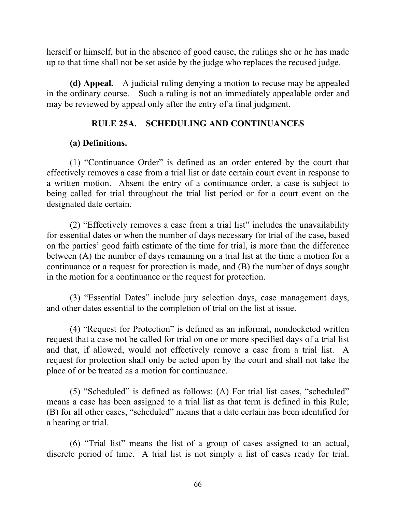herself or himself, but in the absence of good cause, the rulings she or he has made up to that time shall not be set aside by the judge who replaces the recused judge.

**(d) Appeal.** A judicial ruling denying a motion to recuse may be appealed in the ordinary course. Such a ruling is not an immediately appealable order and may be reviewed by appeal only after the entry of a final judgment.

#### **RULE 25A. SCHEDULING AND CONTINUANCES**

#### **(a) Definitions.**

(1) "Continuance Order" is defined as an order entered by the court that effectively removes a case from a trial list or date certain court event in response to a written motion. Absent the entry of a continuance order, a case is subject to being called for trial throughout the trial list period or for a court event on the designated date certain.

(2) "Effectively removes a case from a trial list" includes the unavailability for essential dates or when the number of days necessary for trial of the case, based on the parties' good faith estimate of the time for trial, is more than the difference between (A) the number of days remaining on a trial list at the time a motion for a continuance or a request for protection is made, and (B) the number of days sought in the motion for a continuance or the request for protection.

(3) "Essential Dates" include jury selection days, case management days, and other dates essential to the completion of trial on the list at issue.

(4) "Request for Protection" is defined as an informal, nondocketed written request that a case not be called for trial on one or more specified days of a trial list and that, if allowed, would not effectively remove a case from a trial list. A request for protection shall only be acted upon by the court and shall not take the place of or be treated as a motion for continuance.

(5) "Scheduled" is defined as follows: (A) For trial list cases, "scheduled" means a case has been assigned to a trial list as that term is defined in this Rule; (B) for all other cases, "scheduled" means that a date certain has been identified for a hearing or trial.

(6) "Trial list" means the list of a group of cases assigned to an actual, discrete period of time. A trial list is not simply a list of cases ready for trial.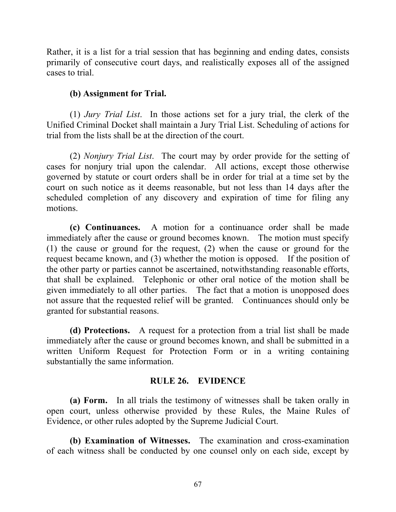Rather, it is a list for a trial session that has beginning and ending dates, consists primarily of consecutive court days, and realistically exposes all of the assigned cases to trial.

## **(b) Assignment for Trial.**

(1) *Jury Trial List*. In those actions set for a jury trial, the clerk of the Unified Criminal Docket shall maintain a Jury Trial List. Scheduling of actions for trial from the lists shall be at the direction of the court.

(2) *Nonjury Trial List*. The court may by order provide for the setting of cases for nonjury trial upon the calendar. All actions, except those otherwise governed by statute or court orders shall be in order for trial at a time set by the court on such notice as it deems reasonable, but not less than 14 days after the scheduled completion of any discovery and expiration of time for filing any motions.

**(c) Continuances.** A motion for a continuance order shall be made immediately after the cause or ground becomes known. The motion must specify (1) the cause or ground for the request, (2) when the cause or ground for the request became known, and (3) whether the motion is opposed. If the position of the other party or parties cannot be ascertained, notwithstanding reasonable efforts, that shall be explained. Telephonic or other oral notice of the motion shall be given immediately to all other parties. The fact that a motion is unopposed does not assure that the requested relief will be granted. Continuances should only be granted for substantial reasons.

**(d) Protections.** A request for a protection from a trial list shall be made immediately after the cause or ground becomes known, and shall be submitted in a written Uniform Request for Protection Form or in a writing containing substantially the same information.

## **RULE 26. EVIDENCE**

**(a) Form.** In all trials the testimony of witnesses shall be taken orally in open court, unless otherwise provided by these Rules, the Maine Rules of Evidence, or other rules adopted by the Supreme Judicial Court.

**(b) Examination of Witnesses.** The examination and cross-examination of each witness shall be conducted by one counsel only on each side, except by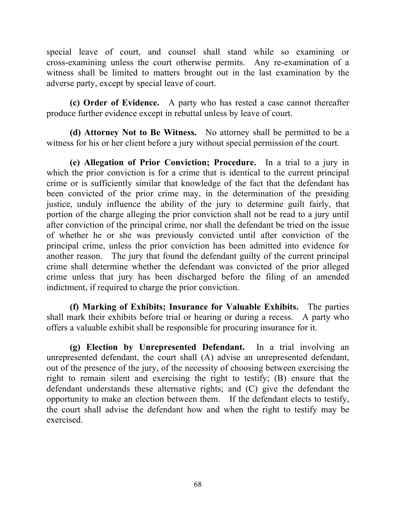special leave of court, and counsel shall stand while so examining or cross-examining unless the court otherwise permits. Any re-examination of a witness shall be limited to matters brought out in the last examination by the adverse party, except by special leave of court.

**(c) Order of Evidence.** A party who has rested a case cannot thereafter produce further evidence except in rebuttal unless by leave of court.

**(d) Attorney Not to Be Witness.** No attorney shall be permitted to be a witness for his or her client before a jury without special permission of the court.

**(e) Allegation of Prior Conviction; Procedure.** In a trial to a jury in which the prior conviction is for a crime that is identical to the current principal crime or is sufficiently similar that knowledge of the fact that the defendant has been convicted of the prior crime may, in the determination of the presiding justice, unduly influence the ability of the jury to determine guilt fairly, that portion of the charge alleging the prior conviction shall not be read to a jury until after conviction of the principal crime, nor shall the defendant be tried on the issue of whether he or she was previously convicted until after conviction of the principal crime, unless the prior conviction has been admitted into evidence for another reason. The jury that found the defendant guilty of the current principal crime shall determine whether the defendant was convicted of the prior alleged crime unless that jury has been discharged before the filing of an amended indictment, if required to charge the prior conviction.

**(f) Marking of Exhibits; Insurance for Valuable Exhibits.** The parties shall mark their exhibits before trial or hearing or during a recess. A party who offers a valuable exhibit shall be responsible for procuring insurance for it.

**(g) Election by Unrepresented Defendant.** In a trial involving an unrepresented defendant, the court shall (A) advise an unrepresented defendant, out of the presence of the jury, of the necessity of choosing between exercising the right to remain silent and exercising the right to testify; (B) ensure that the defendant understands these alternative rights; and (C) give the defendant the opportunity to make an election between them. If the defendant elects to testify, the court shall advise the defendant how and when the right to testify may be exercised.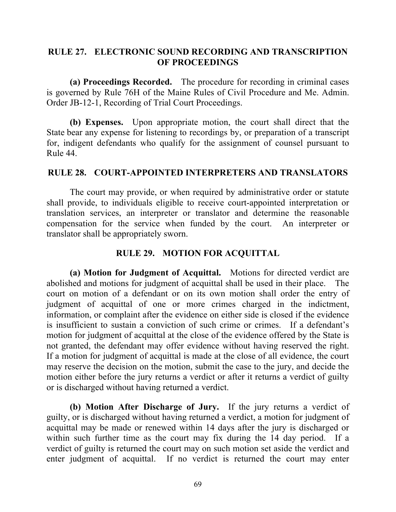### **RULE 27. ELECTRONIC SOUND RECORDING AND TRANSCRIPTION OF PROCEEDINGS**

**(a) Proceedings Recorded.** The procedure for recording in criminal cases is governed by Rule 76H of the Maine Rules of Civil Procedure and Me. Admin. Order JB-12-1, Recording of Trial Court Proceedings.

**(b) Expenses.** Upon appropriate motion, the court shall direct that the State bear any expense for listening to recordings by, or preparation of a transcript for, indigent defendants who qualify for the assignment of counsel pursuant to Rule 44.

#### **RULE 28. COURT-APPOINTED INTERPRETERS AND TRANSLATORS**

The court may provide, or when required by administrative order or statute shall provide, to individuals eligible to receive court-appointed interpretation or translation services, an interpreter or translator and determine the reasonable compensation for the service when funded by the court. An interpreter or translator shall be appropriately sworn.

#### **RULE 29. MOTION FOR ACQUITTAL**

**(a) Motion for Judgment of Acquittal.** Motions for directed verdict are abolished and motions for judgment of acquittal shall be used in their place. The court on motion of a defendant or on its own motion shall order the entry of judgment of acquittal of one or more crimes charged in the indictment, information, or complaint after the evidence on either side is closed if the evidence is insufficient to sustain a conviction of such crime or crimes. If a defendant's motion for judgment of acquittal at the close of the evidence offered by the State is not granted, the defendant may offer evidence without having reserved the right. If a motion for judgment of acquittal is made at the close of all evidence, the court may reserve the decision on the motion, submit the case to the jury, and decide the motion either before the jury returns a verdict or after it returns a verdict of guilty or is discharged without having returned a verdict.

**(b) Motion After Discharge of Jury.** If the jury returns a verdict of guilty, or is discharged without having returned a verdict, a motion for judgment of acquittal may be made or renewed within 14 days after the jury is discharged or within such further time as the court may fix during the 14 day period. If a verdict of guilty is returned the court may on such motion set aside the verdict and enter judgment of acquittal. If no verdict is returned the court may enter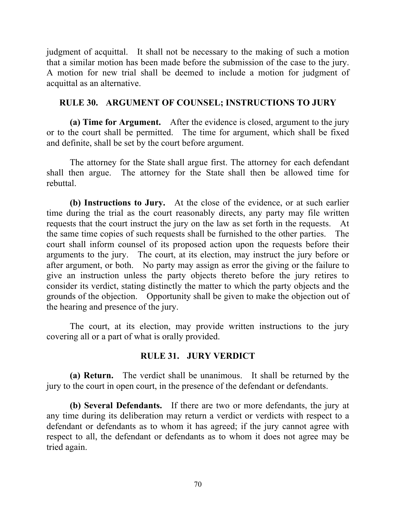judgment of acquittal. It shall not be necessary to the making of such a motion that a similar motion has been made before the submission of the case to the jury. A motion for new trial shall be deemed to include a motion for judgment of acquittal as an alternative.

### **RULE 30. ARGUMENT OF COUNSEL; INSTRUCTIONS TO JURY**

**(a) Time for Argument.** After the evidence is closed, argument to the jury or to the court shall be permitted. The time for argument, which shall be fixed and definite, shall be set by the court before argument.

The attorney for the State shall argue first. The attorney for each defendant shall then argue. The attorney for the State shall then be allowed time for rebuttal.

**(b) Instructions to Jury.** At the close of the evidence, or at such earlier time during the trial as the court reasonably directs, any party may file written requests that the court instruct the jury on the law as set forth in the requests. At the same time copies of such requests shall be furnished to the other parties. The court shall inform counsel of its proposed action upon the requests before their arguments to the jury. The court, at its election, may instruct the jury before or after argument, or both. No party may assign as error the giving or the failure to give an instruction unless the party objects thereto before the jury retires to consider its verdict, stating distinctly the matter to which the party objects and the grounds of the objection. Opportunity shall be given to make the objection out of the hearing and presence of the jury.

The court, at its election, may provide written instructions to the jury covering all or a part of what is orally provided.

#### **RULE 31. JURY VERDICT**

**(a) Return.** The verdict shall be unanimous. It shall be returned by the jury to the court in open court, in the presence of the defendant or defendants.

**(b) Several Defendants.** If there are two or more defendants, the jury at any time during its deliberation may return a verdict or verdicts with respect to a defendant or defendants as to whom it has agreed; if the jury cannot agree with respect to all, the defendant or defendants as to whom it does not agree may be tried again.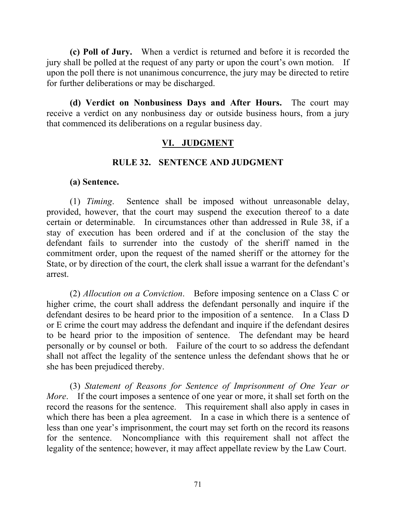**(c) Poll of Jury.** When a verdict is returned and before it is recorded the jury shall be polled at the request of any party or upon the court's own motion. If upon the poll there is not unanimous concurrence, the jury may be directed to retire for further deliberations or may be discharged.

**(d) Verdict on Nonbusiness Days and After Hours.** The court may receive a verdict on any nonbusiness day or outside business hours, from a jury that commenced its deliberations on a regular business day.

## **VI. JUDGMENT**

#### **RULE 32. SENTENCE AND JUDGMENT**

#### **(a) Sentence.**

(1) *Timing*. Sentence shall be imposed without unreasonable delay, provided, however, that the court may suspend the execution thereof to a date certain or determinable. In circumstances other than addressed in Rule 38, if a stay of execution has been ordered and if at the conclusion of the stay the defendant fails to surrender into the custody of the sheriff named in the commitment order, upon the request of the named sheriff or the attorney for the State, or by direction of the court, the clerk shall issue a warrant for the defendant's arrest.

(2) *Allocution on a Conviction*. Before imposing sentence on a Class C or higher crime, the court shall address the defendant personally and inquire if the defendant desires to be heard prior to the imposition of a sentence. In a Class D or E crime the court may address the defendant and inquire if the defendant desires to be heard prior to the imposition of sentence. The defendant may be heard personally or by counsel or both. Failure of the court to so address the defendant shall not affect the legality of the sentence unless the defendant shows that he or she has been prejudiced thereby.

(3) *Statement of Reasons for Sentence of Imprisonment of One Year or More*. If the court imposes a sentence of one year or more, it shall set forth on the record the reasons for the sentence. This requirement shall also apply in cases in which there has been a plea agreement. In a case in which there is a sentence of less than one year's imprisonment, the court may set forth on the record its reasons for the sentence. Noncompliance with this requirement shall not affect the legality of the sentence; however, it may affect appellate review by the Law Court.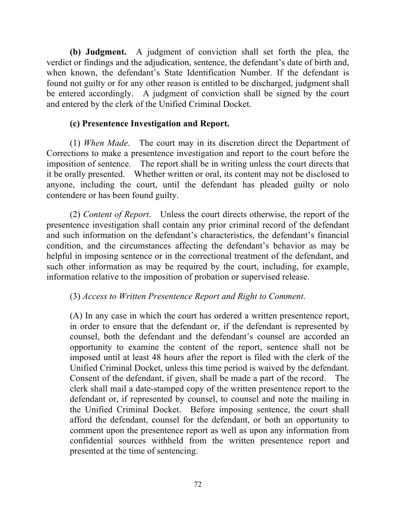**(b) Judgment.** A judgment of conviction shall set forth the plea, the verdict or findings and the adjudication, sentence, the defendant's date of birth and, when known, the defendant's State Identification Number. If the defendant is found not guilty or for any other reason is entitled to be discharged, judgment shall be entered accordingly. A judgment of conviction shall be signed by the court and entered by the clerk of the Unified Criminal Docket.

## **(c) Presentence Investigation and Report.**

(1) *When Made*. The court may in its discretion direct the Department of Corrections to make a presentence investigation and report to the court before the imposition of sentence. The report shall be in writing unless the court directs that it be orally presented. Whether written or oral, its content may not be disclosed to anyone, including the court, until the defendant has pleaded guilty or nolo contendere or has been found guilty.

(2) *Content of Report*. Unless the court directs otherwise, the report of the presentence investigation shall contain any prior criminal record of the defendant and such information on the defendant's characteristics, the defendant's financial condition, and the circumstances affecting the defendant's behavior as may be helpful in imposing sentence or in the correctional treatment of the defendant, and such other information as may be required by the court, including, for example, information relative to the imposition of probation or supervised release.

# (3) *Access to Written Presentence Report and Right to Comment*.

(A) In any case in which the court has ordered a written presentence report, in order to ensure that the defendant or, if the defendant is represented by counsel, both the defendant and the defendant's counsel are accorded an opportunity to examine the content of the report, sentence shall not be imposed until at least 48 hours after the report is filed with the clerk of the Unified Criminal Docket, unless this time period is waived by the defendant. Consent of the defendant, if given, shall be made a part of the record. The clerk shall mail a date-stamped copy of the written presentence report to the defendant or, if represented by counsel, to counsel and note the mailing in the Unified Criminal Docket. Before imposing sentence, the court shall afford the defendant, counsel for the defendant, or both an opportunity to comment upon the presentence report as well as upon any information from confidential sources withheld from the written presentence report and presented at the time of sentencing.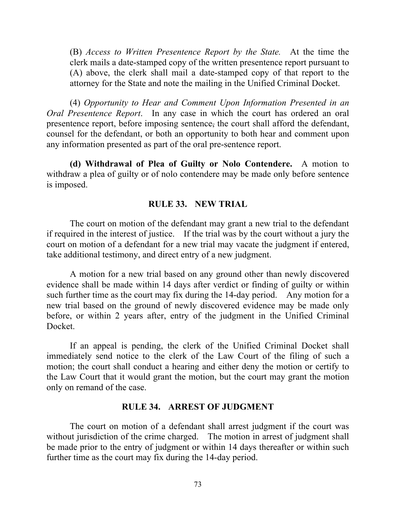(B) *Access to Written Presentence Report by the State.* At the time the clerk mails a date-stamped copy of the written presentence report pursuant to (A) above, the clerk shall mail a date-stamped copy of that report to the attorney for the State and note the mailing in the Unified Criminal Docket.

(4) *Opportunity to Hear and Comment Upon Information Presented in an Oral Presentence Report*. In any case in which the court has ordered an oral presentence report, before imposing sentence, the court shall afford the defendant, counsel for the defendant, or both an opportunity to both hear and comment upon any information presented as part of the oral pre-sentence report.

**(d) Withdrawal of Plea of Guilty or Nolo Contendere.** A motion to withdraw a plea of guilty or of nolo contendere may be made only before sentence is imposed.

### **RULE 33. NEW TRIAL**

The court on motion of the defendant may grant a new trial to the defendant if required in the interest of justice. If the trial was by the court without a jury the court on motion of a defendant for a new trial may vacate the judgment if entered, take additional testimony, and direct entry of a new judgment.

A motion for a new trial based on any ground other than newly discovered evidence shall be made within 14 days after verdict or finding of guilty or within such further time as the court may fix during the 14-day period. Any motion for a new trial based on the ground of newly discovered evidence may be made only before, or within 2 years after, entry of the judgment in the Unified Criminal Docket.

If an appeal is pending, the clerk of the Unified Criminal Docket shall immediately send notice to the clerk of the Law Court of the filing of such a motion; the court shall conduct a hearing and either deny the motion or certify to the Law Court that it would grant the motion, but the court may grant the motion only on remand of the case.

### **RULE 34. ARREST OF JUDGMENT**

The court on motion of a defendant shall arrest judgment if the court was without jurisdiction of the crime charged. The motion in arrest of judgment shall be made prior to the entry of judgment or within 14 days thereafter or within such further time as the court may fix during the 14-day period.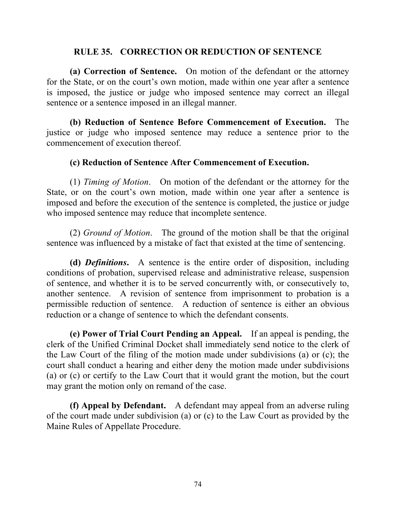### **RULE 35. CORRECTION OR REDUCTION OF SENTENCE**

**(a) Correction of Sentence.** On motion of the defendant or the attorney for the State, or on the court's own motion, made within one year after a sentence is imposed, the justice or judge who imposed sentence may correct an illegal sentence or a sentence imposed in an illegal manner.

**(b) Reduction of Sentence Before Commencement of Execution.** The justice or judge who imposed sentence may reduce a sentence prior to the commencement of execution thereof.

### **(c) Reduction of Sentence After Commencement of Execution.**

(1) *Timing of Motion*. On motion of the defendant or the attorney for the State, or on the court's own motion, made within one year after a sentence is imposed and before the execution of the sentence is completed, the justice or judge who imposed sentence may reduce that incomplete sentence.

(2) *Ground of Motion*. The ground of the motion shall be that the original sentence was influenced by a mistake of fact that existed at the time of sentencing.

**(d)** *Definitions***.** A sentence is the entire order of disposition, including conditions of probation, supervised release and administrative release, suspension of sentence, and whether it is to be served concurrently with, or consecutively to, another sentence. A revision of sentence from imprisonment to probation is a permissible reduction of sentence. A reduction of sentence is either an obvious reduction or a change of sentence to which the defendant consents.

**(e) Power of Trial Court Pending an Appeal.** If an appeal is pending, the clerk of the Unified Criminal Docket shall immediately send notice to the clerk of the Law Court of the filing of the motion made under subdivisions (a) or (c); the court shall conduct a hearing and either deny the motion made under subdivisions (a) or (c) or certify to the Law Court that it would grant the motion, but the court may grant the motion only on remand of the case.

**(f) Appeal by Defendant.** A defendant may appeal from an adverse ruling of the court made under subdivision (a) or (c) to the Law Court as provided by the Maine Rules of Appellate Procedure.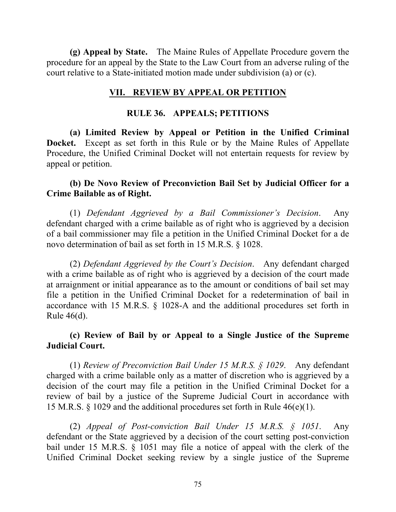**(g) Appeal by State.** The Maine Rules of Appellate Procedure govern the procedure for an appeal by the State to the Law Court from an adverse ruling of the court relative to a State-initiated motion made under subdivision (a) or (c).

### **VII. REVIEW BY APPEAL OR PETITION**

### **RULE 36. APPEALS; PETITIONS**

**(a) Limited Review by Appeal or Petition in the Unified Criminal Docket.** Except as set forth in this Rule or by the Maine Rules of Appellate Procedure, the Unified Criminal Docket will not entertain requests for review by appeal or petition.

### **(b) De Novo Review of Preconviction Bail Set by Judicial Officer for a Crime Bailable as of Right.**

(1) *Defendant Aggrieved by a Bail Commissioner's Decision*. Any defendant charged with a crime bailable as of right who is aggrieved by a decision of a bail commissioner may file a petition in the Unified Criminal Docket for a de novo determination of bail as set forth in 15 M.R.S. § 1028.

(2) *Defendant Aggrieved by the Court's Decision*. Any defendant charged with a crime bailable as of right who is aggrieved by a decision of the court made at arraignment or initial appearance as to the amount or conditions of bail set may file a petition in the Unified Criminal Docket for a redetermination of bail in accordance with 15 M.R.S. § 1028-A and the additional procedures set forth in Rule 46(d).

## **(c) Review of Bail by or Appeal to a Single Justice of the Supreme Judicial Court.**

(1) *Review of Preconviction Bail Under 15 M.R.S. § 1029*. Any defendant charged with a crime bailable only as a matter of discretion who is aggrieved by a decision of the court may file a petition in the Unified Criminal Docket for a review of bail by a justice of the Supreme Judicial Court in accordance with 15 M.R.S. § 1029 and the additional procedures set forth in Rule 46(e)(1).

(2) *Appeal of Post-conviction Bail Under 15 M.R.S. § 1051*. Any defendant or the State aggrieved by a decision of the court setting post-conviction bail under 15 M.R.S. § 1051 may file a notice of appeal with the clerk of the Unified Criminal Docket seeking review by a single justice of the Supreme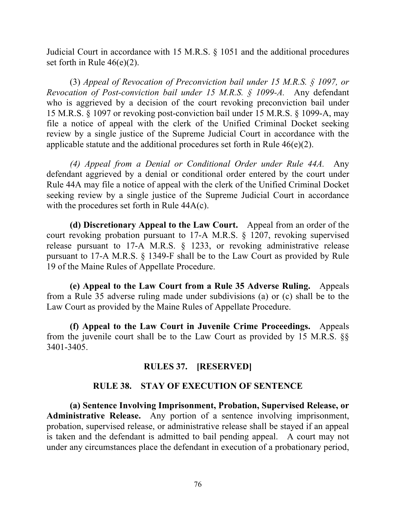Judicial Court in accordance with 15 M.R.S. § 1051 and the additional procedures set forth in Rule  $46(e)(2)$ .

(3) *Appeal of Revocation of Preconviction bail under 15 M.R.S. § 1097, or Revocation of Post-conviction bail under 15 M.R.S. § 1099-A.* Any defendant who is aggrieved by a decision of the court revoking preconviction bail under 15 M.R.S. § 1097 or revoking post-conviction bail under 15 M.R.S. § 1099-A, may file a notice of appeal with the clerk of the Unified Criminal Docket seeking review by a single justice of the Supreme Judicial Court in accordance with the applicable statute and the additional procedures set forth in Rule 46(e)(2).

*(4) Appeal from a Denial or Conditional Order under Rule 44A.* Any defendant aggrieved by a denial or conditional order entered by the court under Rule 44A may file a notice of appeal with the clerk of the Unified Criminal Docket seeking review by a single justice of the Supreme Judicial Court in accordance with the procedures set forth in Rule  $44A(c)$ .

**(d) Discretionary Appeal to the Law Court.** Appeal from an order of the court revoking probation pursuant to 17-A M.R.S. § 1207, revoking supervised release pursuant to 17-A M.R.S. § 1233, or revoking administrative release pursuant to 17-A M.R.S. § 1349-F shall be to the Law Court as provided by Rule 19 of the Maine Rules of Appellate Procedure.

**(e) Appeal to the Law Court from a Rule 35 Adverse Ruling.** Appeals from a Rule 35 adverse ruling made under subdivisions (a) or (c) shall be to the Law Court as provided by the Maine Rules of Appellate Procedure.

**(f) Appeal to the Law Court in Juvenile Crime Proceedings.** Appeals from the juvenile court shall be to the Law Court as provided by 15 M.R.S. §§ 3401-3405.

### **RULES 37. [RESERVED]**

### **RULE 38. STAY OF EXECUTION OF SENTENCE**

**(a) Sentence Involving Imprisonment, Probation, Supervised Release, or Administrative Release.** Any portion of a sentence involving imprisonment, probation, supervised release, or administrative release shall be stayed if an appeal is taken and the defendant is admitted to bail pending appeal. A court may not under any circumstances place the defendant in execution of a probationary period,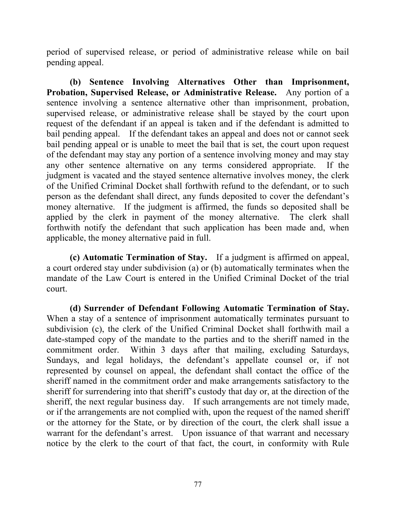period of supervised release, or period of administrative release while on bail pending appeal.

**(b) Sentence Involving Alternatives Other than Imprisonment, Probation, Supervised Release, or Administrative Release.** Any portion of a sentence involving a sentence alternative other than imprisonment, probation, supervised release, or administrative release shall be stayed by the court upon request of the defendant if an appeal is taken and if the defendant is admitted to bail pending appeal. If the defendant takes an appeal and does not or cannot seek bail pending appeal or is unable to meet the bail that is set, the court upon request of the defendant may stay any portion of a sentence involving money and may stay any other sentence alternative on any terms considered appropriate. If the judgment is vacated and the stayed sentence alternative involves money, the clerk of the Unified Criminal Docket shall forthwith refund to the defendant, or to such person as the defendant shall direct, any funds deposited to cover the defendant's money alternative. If the judgment is affirmed, the funds so deposited shall be applied by the clerk in payment of the money alternative. The clerk shall forthwith notify the defendant that such application has been made and, when applicable, the money alternative paid in full.

**(c) Automatic Termination of Stay.** If a judgment is affirmed on appeal, a court ordered stay under subdivision (a) or (b) automatically terminates when the mandate of the Law Court is entered in the Unified Criminal Docket of the trial court.

**(d) Surrender of Defendant Following Automatic Termination of Stay.** When a stay of a sentence of imprisonment automatically terminates pursuant to subdivision (c), the clerk of the Unified Criminal Docket shall forthwith mail a date-stamped copy of the mandate to the parties and to the sheriff named in the commitment order. Within 3 days after that mailing, excluding Saturdays, Sundays, and legal holidays, the defendant's appellate counsel or, if not represented by counsel on appeal, the defendant shall contact the office of the sheriff named in the commitment order and make arrangements satisfactory to the sheriff for surrendering into that sheriff's custody that day or, at the direction of the sheriff, the next regular business day. If such arrangements are not timely made, or if the arrangements are not complied with, upon the request of the named sheriff or the attorney for the State, or by direction of the court, the clerk shall issue a warrant for the defendant's arrest. Upon issuance of that warrant and necessary notice by the clerk to the court of that fact, the court, in conformity with Rule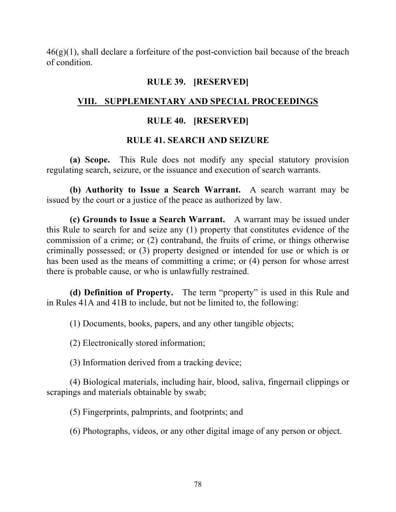$46(g)(1)$ , shall declare a forfeiture of the post-conviction bail because of the breach of condition.

### **RULE 39. [RESERVED]**

## **VIII. SUPPLEMENTARY AND SPECIAL PROCEEDINGS**

## **RULE 40. [RESERVED]**

### **RULE 41. SEARCH AND SEIZURE**

**(a) Scope.** This Rule does not modify any special statutory provision regulating search, seizure, or the issuance and execution of search warrants.

**(b) Authority to Issue a Search Warrant.** A search warrant may be issued by the court or a justice of the peace as authorized by law.

**(c) Grounds to Issue a Search Warrant.** A warrant may be issued under this Rule to search for and seize any (1) property that constitutes evidence of the commission of a crime; or (2) contraband, the fruits of crime, or things otherwise criminally possessed; or (3) property designed or intended for use or which is or has been used as the means of committing a crime; or (4) person for whose arrest there is probable cause, or who is unlawfully restrained.

**(d) Definition of Property.** The term "property" is used in this Rule and in Rules 41A and 41B to include, but not be limited to, the following:

(1) Documents, books, papers, and any other tangible objects;

(2) Electronically stored information;

(3) Information derived from a tracking device;

(4) Biological materials, including hair, blood, saliva, fingernail clippings or scrapings and materials obtainable by swab;

(5) Fingerprints, palmprints, and footprints; and

(6) Photographs, videos, or any other digital image of any person or object.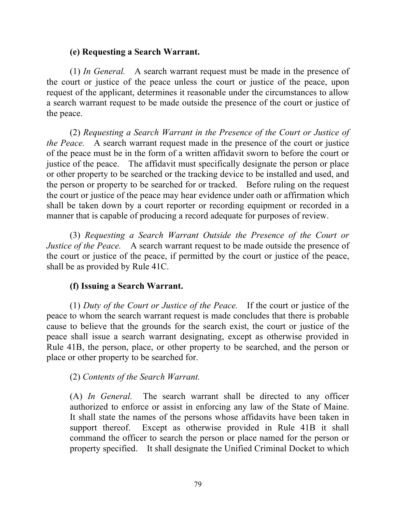### **(e) Requesting a Search Warrant.**

(1) *In General.* A search warrant request must be made in the presence of the court or justice of the peace unless the court or justice of the peace, upon request of the applicant, determines it reasonable under the circumstances to allow a search warrant request to be made outside the presence of the court or justice of the peace.

(2) *Requesting a Search Warrant in the Presence of the Court or Justice of the Peace.* A search warrant request made in the presence of the court or justice of the peace must be in the form of a written affidavit sworn to before the court or justice of the peace. The affidavit must specifically designate the person or place or other property to be searched or the tracking device to be installed and used, and the person or property to be searched for or tracked. Before ruling on the request the court or justice of the peace may hear evidence under oath or affirmation which shall be taken down by a court reporter or recording equipment or recorded in a manner that is capable of producing a record adequate for purposes of review.

(3) *Requesting a Search Warrant Outside the Presence of the Court or Justice of the Peace.* A search warrant request to be made outside the presence of the court or justice of the peace, if permitted by the court or justice of the peace, shall be as provided by Rule 41C.

### **(f) Issuing a Search Warrant.**

(1) *Duty of the Court or Justice of the Peace.* If the court or justice of the peace to whom the search warrant request is made concludes that there is probable cause to believe that the grounds for the search exist, the court or justice of the peace shall issue a search warrant designating, except as otherwise provided in Rule 41B, the person, place, or other property to be searched, and the person or place or other property to be searched for.

### (2) *Contents of the Search Warrant.*

(A) *In General.* The search warrant shall be directed to any officer authorized to enforce or assist in enforcing any law of the State of Maine. It shall state the names of the persons whose affidavits have been taken in support thereof. Except as otherwise provided in Rule 41B it shall command the officer to search the person or place named for the person or property specified. It shall designate the Unified Criminal Docket to which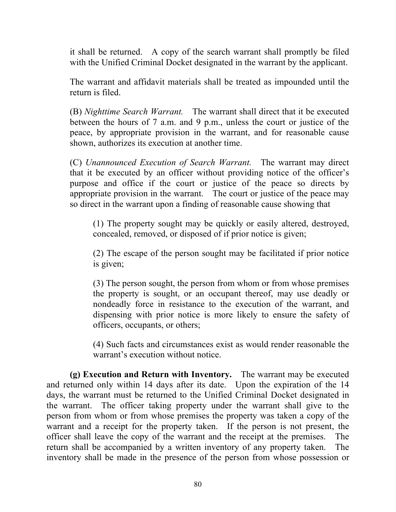it shall be returned. A copy of the search warrant shall promptly be filed with the Unified Criminal Docket designated in the warrant by the applicant.

The warrant and affidavit materials shall be treated as impounded until the return is filed.

(B) *Nighttime Search Warrant.* The warrant shall direct that it be executed between the hours of 7 a.m. and 9 p.m., unless the court or justice of the peace, by appropriate provision in the warrant, and for reasonable cause shown, authorizes its execution at another time.

(C) *Unannounced Execution of Search Warrant.* The warrant may direct that it be executed by an officer without providing notice of the officer's purpose and office if the court or justice of the peace so directs by appropriate provision in the warrant. The court or justice of the peace may so direct in the warrant upon a finding of reasonable cause showing that

(1) The property sought may be quickly or easily altered, destroyed, concealed, removed, or disposed of if prior notice is given;

(2) The escape of the person sought may be facilitated if prior notice is given;

(3) The person sought, the person from whom or from whose premises the property is sought, or an occupant thereof, may use deadly or nondeadly force in resistance to the execution of the warrant, and dispensing with prior notice is more likely to ensure the safety of officers, occupants, or others;

(4) Such facts and circumstances exist as would render reasonable the warrant's execution without notice.

**(g) Execution and Return with Inventory.** The warrant may be executed and returned only within 14 days after its date. Upon the expiration of the 14 days, the warrant must be returned to the Unified Criminal Docket designated in the warrant. The officer taking property under the warrant shall give to the person from whom or from whose premises the property was taken a copy of the warrant and a receipt for the property taken. If the person is not present, the officer shall leave the copy of the warrant and the receipt at the premises. The return shall be accompanied by a written inventory of any property taken. The inventory shall be made in the presence of the person from whose possession or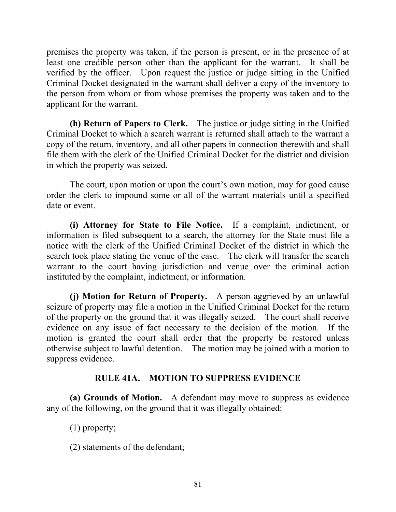premises the property was taken, if the person is present, or in the presence of at least one credible person other than the applicant for the warrant. It shall be verified by the officer. Upon request the justice or judge sitting in the Unified Criminal Docket designated in the warrant shall deliver a copy of the inventory to the person from whom or from whose premises the property was taken and to the applicant for the warrant.

**(h) Return of Papers to Clerk.** The justice or judge sitting in the Unified Criminal Docket to which a search warrant is returned shall attach to the warrant a copy of the return, inventory, and all other papers in connection therewith and shall file them with the clerk of the Unified Criminal Docket for the district and division in which the property was seized.

The court, upon motion or upon the court's own motion, may for good cause order the clerk to impound some or all of the warrant materials until a specified date or event.

**(i) Attorney for State to File Notice.** If a complaint, indictment, or information is filed subsequent to a search, the attorney for the State must file a notice with the clerk of the Unified Criminal Docket of the district in which the search took place stating the venue of the case. The clerk will transfer the search warrant to the court having jurisdiction and venue over the criminal action instituted by the complaint, indictment, or information.

**(j) Motion for Return of Property.** A person aggrieved by an unlawful seizure of property may file a motion in the Unified Criminal Docket for the return of the property on the ground that it was illegally seized. The court shall receive evidence on any issue of fact necessary to the decision of the motion. If the motion is granted the court shall order that the property be restored unless otherwise subject to lawful detention. The motion may be joined with a motion to suppress evidence.

### **RULE 41A. MOTION TO SUPPRESS EVIDENCE**

**(a) Grounds of Motion.** A defendant may move to suppress as evidence any of the following, on the ground that it was illegally obtained:

(1) property;

(2) statements of the defendant;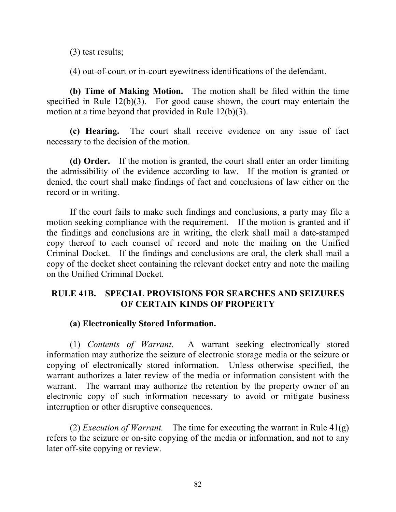(3) test results;

(4) out-of-court or in-court eyewitness identifications of the defendant.

**(b) Time of Making Motion.** The motion shall be filed within the time specified in Rule  $12(b)(3)$ . For good cause shown, the court may entertain the motion at a time beyond that provided in Rule 12(b)(3).

**(c) Hearing.** The court shall receive evidence on any issue of fact necessary to the decision of the motion.

**(d) Order.** If the motion is granted, the court shall enter an order limiting the admissibility of the evidence according to law. If the motion is granted or denied, the court shall make findings of fact and conclusions of law either on the record or in writing.

If the court fails to make such findings and conclusions, a party may file a motion seeking compliance with the requirement. If the motion is granted and if the findings and conclusions are in writing, the clerk shall mail a date-stamped copy thereof to each counsel of record and note the mailing on the Unified Criminal Docket. If the findings and conclusions are oral, the clerk shall mail a copy of the docket sheet containing the relevant docket entry and note the mailing on the Unified Criminal Docket.

## **RULE 41B. SPECIAL PROVISIONS FOR SEARCHES AND SEIZURES OF CERTAIN KINDS OF PROPERTY**

### **(a) Electronically Stored Information.**

(1) *Contents of Warrant*. A warrant seeking electronically stored information may authorize the seizure of electronic storage media or the seizure or copying of electronically stored information. Unless otherwise specified, the warrant authorizes a later review of the media or information consistent with the warrant. The warrant may authorize the retention by the property owner of an electronic copy of such information necessary to avoid or mitigate business interruption or other disruptive consequences.

(2) *Execution of Warrant.* The time for executing the warrant in Rule 41(g) refers to the seizure or on-site copying of the media or information, and not to any later off-site copying or review.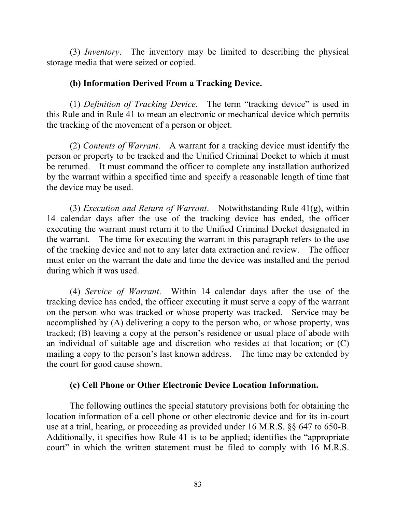(3) *Inventory*. The inventory may be limited to describing the physical storage media that were seized or copied.

### **(b) Information Derived From a Tracking Device.**

(1) *Definition of Tracking Device*. The term "tracking device" is used in this Rule and in Rule 41 to mean an electronic or mechanical device which permits the tracking of the movement of a person or object.

(2) *Contents of Warrant*. A warrant for a tracking device must identify the person or property to be tracked and the Unified Criminal Docket to which it must be returned. It must command the officer to complete any installation authorized by the warrant within a specified time and specify a reasonable length of time that the device may be used.

(3) *Execution and Return of Warrant*. Notwithstanding Rule 41(g), within 14 calendar days after the use of the tracking device has ended, the officer executing the warrant must return it to the Unified Criminal Docket designated in the warrant. The time for executing the warrant in this paragraph refers to the use of the tracking device and not to any later data extraction and review. The officer must enter on the warrant the date and time the device was installed and the period during which it was used.

(4) *Service of Warrant*. Within 14 calendar days after the use of the tracking device has ended, the officer executing it must serve a copy of the warrant on the person who was tracked or whose property was tracked. Service may be accomplished by (A) delivering a copy to the person who, or whose property, was tracked; (B) leaving a copy at the person's residence or usual place of abode with an individual of suitable age and discretion who resides at that location; or (C) mailing a copy to the person's last known address. The time may be extended by the court for good cause shown.

## **(c) Cell Phone or Other Electronic Device Location Information.**

The following outlines the special statutory provisions both for obtaining the location information of a cell phone or other electronic device and for its in-court use at a trial, hearing, or proceeding as provided under 16 M.R.S. §§ 647 to 650-B. Additionally, it specifies how Rule 41 is to be applied; identifies the "appropriate court" in which the written statement must be filed to comply with 16 M.R.S.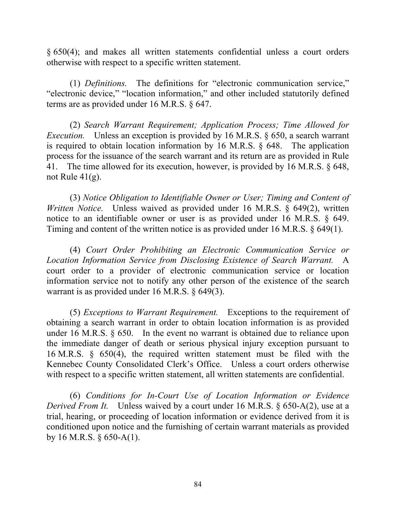§ 650(4); and makes all written statements confidential unless a court orders otherwise with respect to a specific written statement.

(1) *Definitions.* The definitions for "electronic communication service," "electronic device," "location information," and other included statutorily defined terms are as provided under 16 M.R.S. § 647.

(2) *Search Warrant Requirement; Application Process; Time Allowed for Execution.* Unless an exception is provided by 16 M.R.S. § 650, a search warrant is required to obtain location information by 16 M.R.S. § 648. The application process for the issuance of the search warrant and its return are as provided in Rule 41. The time allowed for its execution, however, is provided by 16 M.R.S. § 648, not Rule 41(g).

(3) *Notice Obligation to Identifiable Owner or User; Timing and Content of Written Notice.* Unless waived as provided under 16 M.R.S. § 649(2), written notice to an identifiable owner or user is as provided under 16 M.R.S. § 649. Timing and content of the written notice is as provided under 16 M.R.S. § 649(1).

(4) *Court Order Prohibiting an Electronic Communication Service or Location Information Service from Disclosing Existence of Search Warrant.* A court order to a provider of electronic communication service or location information service not to notify any other person of the existence of the search warrant is as provided under 16 M.R.S. § 649(3).

(5) *Exceptions to Warrant Requirement.* Exceptions to the requirement of obtaining a search warrant in order to obtain location information is as provided under 16 M.R.S. § 650. In the event no warrant is obtained due to reliance upon the immediate danger of death or serious physical injury exception pursuant to 16 M.R.S. § 650(4), the required written statement must be filed with the Kennebec County Consolidated Clerk's Office. Unless a court orders otherwise with respect to a specific written statement, all written statements are confidential.

(6) *Conditions for In-Court Use of Location Information or Evidence Derived From It.* Unless waived by a court under 16 M.R.S. § 650-A(2), use at a trial, hearing, or proceeding of location information or evidence derived from it is conditioned upon notice and the furnishing of certain warrant materials as provided by 16 M.R.S.  $\S$  650-A(1).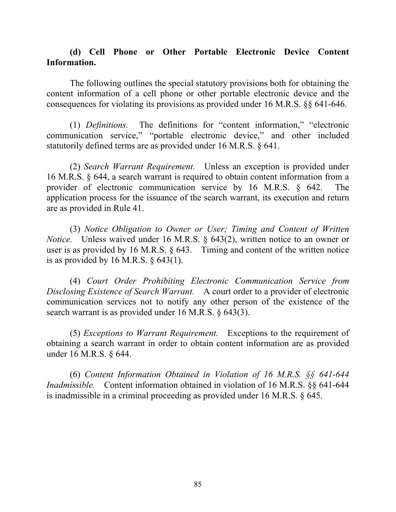### **(d) Cell Phone or Other Portable Electronic Device Content Information.**

The following outlines the special statutory provisions both for obtaining the content information of a cell phone or other portable electronic device and the consequences for violating its provisions as provided under 16 M.R.S. §§ 641-646.

(1) *Definitions.* The definitions for "content information," "electronic communication service," "portable electronic device," and other included statutorily defined terms are as provided under 16 M.R.S. § 641.

(2) *Search Warrant Requirement.* Unless an exception is provided under 16 M.R.S. § 644, a search warrant is required to obtain content information from a provider of electronic communication service by 16 M.R.S. § 642. The application process for the issuance of the search warrant, its execution and return are as provided in Rule 41.

(3) *Notice Obligation to Owner or User; Timing and Content of Written Notice.* Unless waived under 16 M.R.S. § 643(2), written notice to an owner or user is as provided by 16 M.R.S. § 643. Timing and content of the written notice is as provided by 16 M.R.S.  $\S$  643(1).

(4) *Court Order Prohibiting Electronic Communication Service from Disclosing Existence of Search Warrant.* A court order to a provider of electronic communication services not to notify any other person of the existence of the search warrant is as provided under 16 M.R.S. § 643(3).

(5) *Exceptions to Warrant Requirement.* Exceptions to the requirement of obtaining a search warrant in order to obtain content information are as provided under 16 M.R.S. § 644.

(6) *Content Information Obtained in Violation of 16 M.R.S. §§ 641-644 Inadmissible.* Content information obtained in violation of 16 M.R.S. §§ 641-644 is inadmissible in a criminal proceeding as provided under 16 M.R.S. § 645.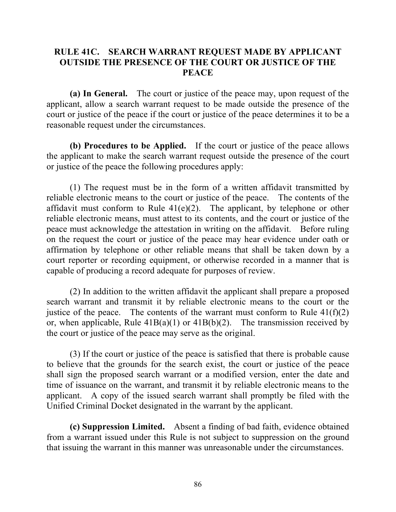### **RULE 41C. SEARCH WARRANT REQUEST MADE BY APPLICANT OUTSIDE THE PRESENCE OF THE COURT OR JUSTICE OF THE PEACE**

**(a) In General.** The court or justice of the peace may, upon request of the applicant, allow a search warrant request to be made outside the presence of the court or justice of the peace if the court or justice of the peace determines it to be a reasonable request under the circumstances.

**(b) Procedures to be Applied.** If the court or justice of the peace allows the applicant to make the search warrant request outside the presence of the court or justice of the peace the following procedures apply:

(1) The request must be in the form of a written affidavit transmitted by reliable electronic means to the court or justice of the peace. The contents of the affidavit must conform to Rule  $41(e)(2)$ . The applicant, by telephone or other reliable electronic means, must attest to its contents, and the court or justice of the peace must acknowledge the attestation in writing on the affidavit. Before ruling on the request the court or justice of the peace may hear evidence under oath or affirmation by telephone or other reliable means that shall be taken down by a court reporter or recording equipment, or otherwise recorded in a manner that is capable of producing a record adequate for purposes of review.

(2) In addition to the written affidavit the applicant shall prepare a proposed search warrant and transmit it by reliable electronic means to the court or the justice of the peace. The contents of the warrant must conform to Rule  $41(f)(2)$ or, when applicable, Rule  $41B(a)(1)$  or  $41B(b)(2)$ . The transmission received by the court or justice of the peace may serve as the original.

(3) If the court or justice of the peace is satisfied that there is probable cause to believe that the grounds for the search exist, the court or justice of the peace shall sign the proposed search warrant or a modified version, enter the date and time of issuance on the warrant, and transmit it by reliable electronic means to the applicant. A copy of the issued search warrant shall promptly be filed with the Unified Criminal Docket designated in the warrant by the applicant.

**(c) Suppression Limited.** Absent a finding of bad faith, evidence obtained from a warrant issued under this Rule is not subject to suppression on the ground that issuing the warrant in this manner was unreasonable under the circumstances.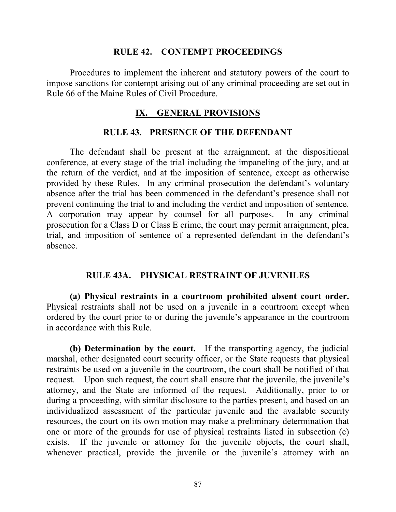#### **RULE 42. CONTEMPT PROCEEDINGS**

Procedures to implement the inherent and statutory powers of the court to impose sanctions for contempt arising out of any criminal proceeding are set out in Rule 66 of the Maine Rules of Civil Procedure.

#### **IX. GENERAL PROVISIONS**

#### **RULE 43. PRESENCE OF THE DEFENDANT**

The defendant shall be present at the arraignment, at the dispositional conference, at every stage of the trial including the impaneling of the jury, and at the return of the verdict, and at the imposition of sentence, except as otherwise provided by these Rules. In any criminal prosecution the defendant's voluntary absence after the trial has been commenced in the defendant's presence shall not prevent continuing the trial to and including the verdict and imposition of sentence. A corporation may appear by counsel for all purposes. In any criminal prosecution for a Class D or Class E crime, the court may permit arraignment, plea, trial, and imposition of sentence of a represented defendant in the defendant's absence.

#### **RULE 43A. PHYSICAL RESTRAINT OF JUVENILES**

**(a) Physical restraints in a courtroom prohibited absent court order.** Physical restraints shall not be used on a juvenile in a courtroom except when ordered by the court prior to or during the juvenile's appearance in the courtroom in accordance with this Rule.

**(b) Determination by the court.** If the transporting agency, the judicial marshal, other designated court security officer, or the State requests that physical restraints be used on a juvenile in the courtroom, the court shall be notified of that request. Upon such request, the court shall ensure that the juvenile, the juvenile's attorney, and the State are informed of the request. Additionally, prior to or during a proceeding, with similar disclosure to the parties present, and based on an individualized assessment of the particular juvenile and the available security resources, the court on its own motion may make a preliminary determination that one or more of the grounds for use of physical restraints listed in subsection (c) exists. If the juvenile or attorney for the juvenile objects, the court shall, whenever practical, provide the juvenile or the juvenile's attorney with an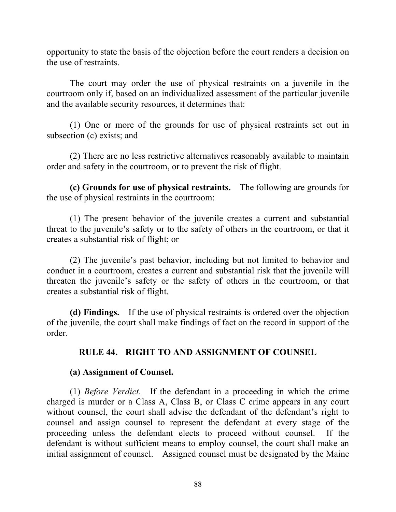opportunity to state the basis of the objection before the court renders a decision on the use of restraints.

The court may order the use of physical restraints on a juvenile in the courtroom only if, based on an individualized assessment of the particular juvenile and the available security resources, it determines that:

(1) One or more of the grounds for use of physical restraints set out in subsection (c) exists; and

(2) There are no less restrictive alternatives reasonably available to maintain order and safety in the courtroom, or to prevent the risk of flight.

**(c) Grounds for use of physical restraints.** The following are grounds for the use of physical restraints in the courtroom:

(1) The present behavior of the juvenile creates a current and substantial threat to the juvenile's safety or to the safety of others in the courtroom, or that it creates a substantial risk of flight; or

(2) The juvenile's past behavior, including but not limited to behavior and conduct in a courtroom, creates a current and substantial risk that the juvenile will threaten the juvenile's safety or the safety of others in the courtroom, or that creates a substantial risk of flight.

**(d) Findings.** If the use of physical restraints is ordered over the objection of the juvenile, the court shall make findings of fact on the record in support of the order.

## **RULE 44. RIGHT TO AND ASSIGNMENT OF COUNSEL**

### **(a) Assignment of Counsel.**

(1) *Before Verdict*. If the defendant in a proceeding in which the crime charged is murder or a Class A, Class B, or Class C crime appears in any court without counsel, the court shall advise the defendant of the defendant's right to counsel and assign counsel to represent the defendant at every stage of the proceeding unless the defendant elects to proceed without counsel. If the defendant is without sufficient means to employ counsel, the court shall make an initial assignment of counsel. Assigned counsel must be designated by the Maine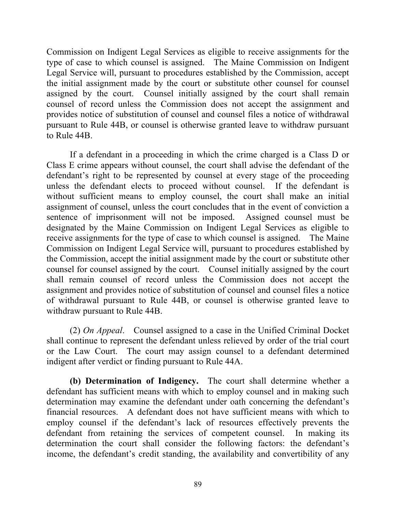Commission on Indigent Legal Services as eligible to receive assignments for the type of case to which counsel is assigned. The Maine Commission on Indigent Legal Service will, pursuant to procedures established by the Commission, accept the initial assignment made by the court or substitute other counsel for counsel assigned by the court. Counsel initially assigned by the court shall remain counsel of record unless the Commission does not accept the assignment and provides notice of substitution of counsel and counsel files a notice of withdrawal pursuant to Rule 44B, or counsel is otherwise granted leave to withdraw pursuant to Rule 44B.

If a defendant in a proceeding in which the crime charged is a Class D or Class E crime appears without counsel, the court shall advise the defendant of the defendant's right to be represented by counsel at every stage of the proceeding unless the defendant elects to proceed without counsel. If the defendant is without sufficient means to employ counsel, the court shall make an initial assignment of counsel, unless the court concludes that in the event of conviction a sentence of imprisonment will not be imposed. Assigned counsel must be designated by the Maine Commission on Indigent Legal Services as eligible to receive assignments for the type of case to which counsel is assigned. The Maine Commission on Indigent Legal Service will, pursuant to procedures established by the Commission, accept the initial assignment made by the court or substitute other counsel for counsel assigned by the court. Counsel initially assigned by the court shall remain counsel of record unless the Commission does not accept the assignment and provides notice of substitution of counsel and counsel files a notice of withdrawal pursuant to Rule 44B, or counsel is otherwise granted leave to withdraw pursuant to Rule 44B.

(2) *On Appeal*. Counsel assigned to a case in the Unified Criminal Docket shall continue to represent the defendant unless relieved by order of the trial court or the Law Court. The court may assign counsel to a defendant determined indigent after verdict or finding pursuant to Rule 44A.

**(b) Determination of Indigency.** The court shall determine whether a defendant has sufficient means with which to employ counsel and in making such determination may examine the defendant under oath concerning the defendant's financial resources. A defendant does not have sufficient means with which to employ counsel if the defendant's lack of resources effectively prevents the defendant from retaining the services of competent counsel. In making its determination the court shall consider the following factors: the defendant's income, the defendant's credit standing, the availability and convertibility of any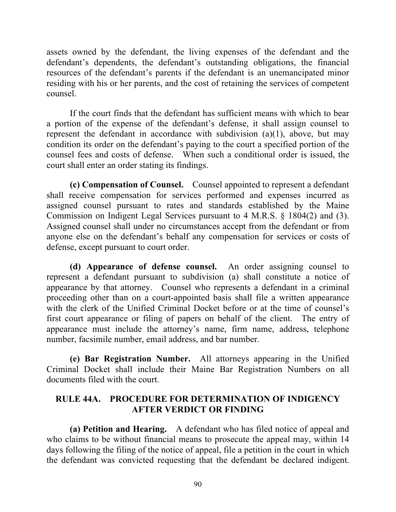assets owned by the defendant, the living expenses of the defendant and the defendant's dependents, the defendant's outstanding obligations, the financial resources of the defendant's parents if the defendant is an unemancipated minor residing with his or her parents, and the cost of retaining the services of competent counsel.

If the court finds that the defendant has sufficient means with which to bear a portion of the expense of the defendant's defense, it shall assign counsel to represent the defendant in accordance with subdivision (a)(1), above, but may condition its order on the defendant's paying to the court a specified portion of the counsel fees and costs of defense. When such a conditional order is issued, the court shall enter an order stating its findings.

**(c) Compensation of Counsel.** Counsel appointed to represent a defendant shall receive compensation for services performed and expenses incurred as assigned counsel pursuant to rates and standards established by the Maine Commission on Indigent Legal Services pursuant to 4 M.R.S. § 1804(2) and (3). Assigned counsel shall under no circumstances accept from the defendant or from anyone else on the defendant's behalf any compensation for services or costs of defense, except pursuant to court order.

**(d) Appearance of defense counsel.** An order assigning counsel to represent a defendant pursuant to subdivision (a) shall constitute a notice of appearance by that attorney. Counsel who represents a defendant in a criminal proceeding other than on a court-appointed basis shall file a written appearance with the clerk of the Unified Criminal Docket before or at the time of counsel's first court appearance or filing of papers on behalf of the client. The entry of appearance must include the attorney's name, firm name, address, telephone number, facsimile number, email address, and bar number.

**(e) Bar Registration Number.** All attorneys appearing in the Unified Criminal Docket shall include their Maine Bar Registration Numbers on all documents filed with the court.

# **RULE 44A. PROCEDURE FOR DETERMINATION OF INDIGENCY AFTER VERDICT OR FINDING**

**(a) Petition and Hearing.** A defendant who has filed notice of appeal and who claims to be without financial means to prosecute the appeal may, within 14 days following the filing of the notice of appeal, file a petition in the court in which the defendant was convicted requesting that the defendant be declared indigent.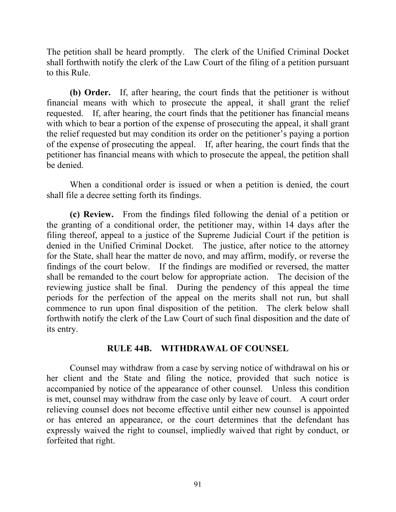The petition shall be heard promptly. The clerk of the Unified Criminal Docket shall forthwith notify the clerk of the Law Court of the filing of a petition pursuant to this Rule.

**(b) Order.** If, after hearing, the court finds that the petitioner is without financial means with which to prosecute the appeal, it shall grant the relief requested. If, after hearing, the court finds that the petitioner has financial means with which to bear a portion of the expense of prosecuting the appeal, it shall grant the relief requested but may condition its order on the petitioner's paying a portion of the expense of prosecuting the appeal. If, after hearing, the court finds that the petitioner has financial means with which to prosecute the appeal, the petition shall be denied.

When a conditional order is issued or when a petition is denied, the court shall file a decree setting forth its findings.

**(c) Review.** From the findings filed following the denial of a petition or the granting of a conditional order, the petitioner may, within 14 days after the filing thereof, appeal to a justice of the Supreme Judicial Court if the petition is denied in the Unified Criminal Docket. The justice, after notice to the attorney for the State, shall hear the matter de novo, and may affirm, modify, or reverse the findings of the court below. If the findings are modified or reversed, the matter shall be remanded to the court below for appropriate action. The decision of the reviewing justice shall be final. During the pendency of this appeal the time periods for the perfection of the appeal on the merits shall not run, but shall commence to run upon final disposition of the petition. The clerk below shall forthwith notify the clerk of the Law Court of such final disposition and the date of its entry.

### **RULE 44B. WITHDRAWAL OF COUNSEL**

Counsel may withdraw from a case by serving notice of withdrawal on his or her client and the State and filing the notice, provided that such notice is accompanied by notice of the appearance of other counsel. Unless this condition is met, counsel may withdraw from the case only by leave of court. A court order relieving counsel does not become effective until either new counsel is appointed or has entered an appearance, or the court determines that the defendant has expressly waived the right to counsel, impliedly waived that right by conduct, or forfeited that right.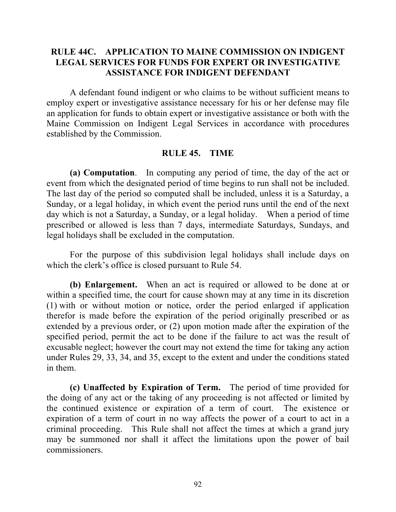### **RULE 44C. APPLICATION TO MAINE COMMISSION ON INDIGENT LEGAL SERVICES FOR FUNDS FOR EXPERT OR INVESTIGATIVE ASSISTANCE FOR INDIGENT DEFENDANT**

A defendant found indigent or who claims to be without sufficient means to employ expert or investigative assistance necessary for his or her defense may file an application for funds to obtain expert or investigative assistance or both with the Maine Commission on Indigent Legal Services in accordance with procedures established by the Commission.

#### **RULE 45. TIME**

**(a) Computation**. In computing any period of time, the day of the act or event from which the designated period of time begins to run shall not be included. The last day of the period so computed shall be included, unless it is a Saturday, a Sunday, or a legal holiday, in which event the period runs until the end of the next day which is not a Saturday, a Sunday, or a legal holiday. When a period of time prescribed or allowed is less than 7 days, intermediate Saturdays, Sundays, and legal holidays shall be excluded in the computation.

For the purpose of this subdivision legal holidays shall include days on which the clerk's office is closed pursuant to Rule 54.

**(b) Enlargement.** When an act is required or allowed to be done at or within a specified time, the court for cause shown may at any time in its discretion (1) with or without motion or notice, order the period enlarged if application therefor is made before the expiration of the period originally prescribed or as extended by a previous order, or (2) upon motion made after the expiration of the specified period, permit the act to be done if the failure to act was the result of excusable neglect; however the court may not extend the time for taking any action under Rules 29, 33, 34, and 35, except to the extent and under the conditions stated in them.

**(c) Unaffected by Expiration of Term.** The period of time provided for the doing of any act or the taking of any proceeding is not affected or limited by the continued existence or expiration of a term of court. The existence or expiration of a term of court in no way affects the power of a court to act in a criminal proceeding. This Rule shall not affect the times at which a grand jury may be summoned nor shall it affect the limitations upon the power of bail commissioners.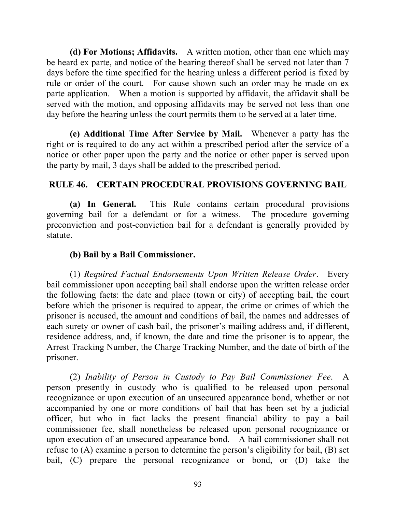**(d) For Motions; Affidavits.** A written motion, other than one which may be heard ex parte, and notice of the hearing thereof shall be served not later than 7 days before the time specified for the hearing unless a different period is fixed by rule or order of the court. For cause shown such an order may be made on ex parte application. When a motion is supported by affidavit, the affidavit shall be served with the motion, and opposing affidavits may be served not less than one day before the hearing unless the court permits them to be served at a later time.

**(e) Additional Time After Service by Mail.** Whenever a party has the right or is required to do any act within a prescribed period after the service of a notice or other paper upon the party and the notice or other paper is served upon the party by mail, 3 days shall be added to the prescribed period.

## **RULE 46. CERTAIN PROCEDURAL PROVISIONS GOVERNING BAIL**

**(a) In General.** This Rule contains certain procedural provisions governing bail for a defendant or for a witness. The procedure governing preconviction and post-conviction bail for a defendant is generally provided by statute.

### **(b) Bail by a Bail Commissioner.**

(1) *Required Factual Endorsements Upon Written Release Order*. Every bail commissioner upon accepting bail shall endorse upon the written release order the following facts: the date and place (town or city) of accepting bail, the court before which the prisoner is required to appear, the crime or crimes of which the prisoner is accused, the amount and conditions of bail, the names and addresses of each surety or owner of cash bail, the prisoner's mailing address and, if different, residence address, and, if known, the date and time the prisoner is to appear, the Arrest Tracking Number, the Charge Tracking Number, and the date of birth of the prisoner.

(2) *Inability of Person in Custody to Pay Bail Commissioner Fee*. A person presently in custody who is qualified to be released upon personal recognizance or upon execution of an unsecured appearance bond, whether or not accompanied by one or more conditions of bail that has been set by a judicial officer, but who in fact lacks the present financial ability to pay a bail commissioner fee, shall nonetheless be released upon personal recognizance or upon execution of an unsecured appearance bond. A bail commissioner shall not refuse to (A) examine a person to determine the person's eligibility for bail, (B) set bail, (C) prepare the personal recognizance or bond, or (D) take the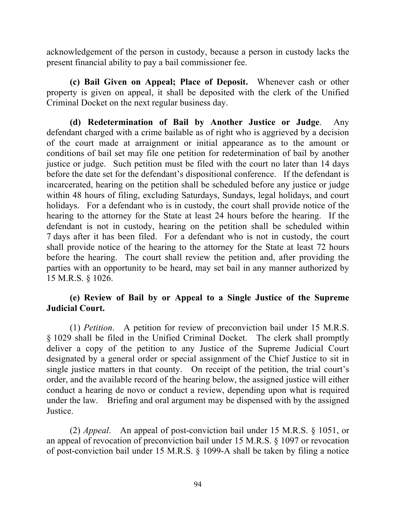acknowledgement of the person in custody, because a person in custody lacks the present financial ability to pay a bail commissioner fee.

**(c) Bail Given on Appeal; Place of Deposit.** Whenever cash or other property is given on appeal, it shall be deposited with the clerk of the Unified Criminal Docket on the next regular business day.

**(d) Redetermination of Bail by Another Justice or Judge**. Any defendant charged with a crime bailable as of right who is aggrieved by a decision of the court made at arraignment or initial appearance as to the amount or conditions of bail set may file one petition for redetermination of bail by another justice or judge. Such petition must be filed with the court no later than 14 days before the date set for the defendant's dispositional conference. If the defendant is incarcerated, hearing on the petition shall be scheduled before any justice or judge within 48 hours of filing, excluding Saturdays, Sundays, legal holidays, and court holidays. For a defendant who is in custody, the court shall provide notice of the hearing to the attorney for the State at least 24 hours before the hearing. If the defendant is not in custody, hearing on the petition shall be scheduled within 7 days after it has been filed. For a defendant who is not in custody, the court shall provide notice of the hearing to the attorney for the State at least 72 hours before the hearing. The court shall review the petition and, after providing the parties with an opportunity to be heard, may set bail in any manner authorized by 15 M.R.S. § 1026.

## **(e) Review of Bail by or Appeal to a Single Justice of the Supreme Judicial Court.**

(1) *Petition*. A petition for review of preconviction bail under 15 M.R.S. § 1029 shall be filed in the Unified Criminal Docket. The clerk shall promptly deliver a copy of the petition to any Justice of the Supreme Judicial Court designated by a general order or special assignment of the Chief Justice to sit in single justice matters in that county. On receipt of the petition, the trial court's order, and the available record of the hearing below, the assigned justice will either conduct a hearing de novo or conduct a review, depending upon what is required under the law. Briefing and oral argument may be dispensed with by the assigned Justice.

(2) *Appeal*. An appeal of post-conviction bail under 15 M.R.S. § 1051, or an appeal of revocation of preconviction bail under 15 M.R.S. § 1097 or revocation of post-conviction bail under 15 M.R.S. § 1099-A shall be taken by filing a notice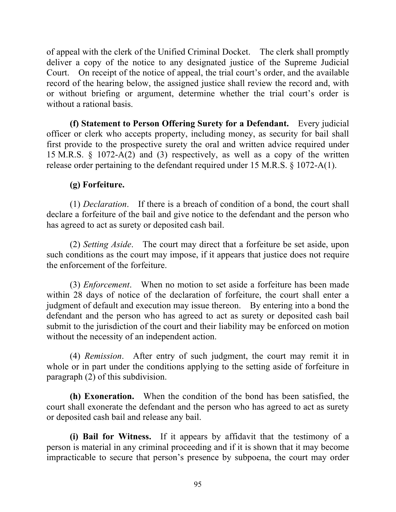of appeal with the clerk of the Unified Criminal Docket. The clerk shall promptly deliver a copy of the notice to any designated justice of the Supreme Judicial Court. On receipt of the notice of appeal, the trial court's order, and the available record of the hearing below, the assigned justice shall review the record and, with or without briefing or argument, determine whether the trial court's order is without a rational basis.

**(f) Statement to Person Offering Surety for a Defendant.** Every judicial officer or clerk who accepts property, including money, as security for bail shall first provide to the prospective surety the oral and written advice required under 15 M.R.S. § 1072-A(2) and (3) respectively, as well as a copy of the written release order pertaining to the defendant required under 15 M.R.S. § 1072-A(1).

## **(g) Forfeiture.**

(1) *Declaration*. If there is a breach of condition of a bond, the court shall declare a forfeiture of the bail and give notice to the defendant and the person who has agreed to act as surety or deposited cash bail.

(2) *Setting Aside*. The court may direct that a forfeiture be set aside, upon such conditions as the court may impose, if it appears that justice does not require the enforcement of the forfeiture.

(3) *Enforcement*. When no motion to set aside a forfeiture has been made within 28 days of notice of the declaration of forfeiture, the court shall enter a judgment of default and execution may issue thereon. By entering into a bond the defendant and the person who has agreed to act as surety or deposited cash bail submit to the jurisdiction of the court and their liability may be enforced on motion without the necessity of an independent action.

(4) *Remission*. After entry of such judgment, the court may remit it in whole or in part under the conditions applying to the setting aside of forfeiture in paragraph (2) of this subdivision.

**(h) Exoneration.** When the condition of the bond has been satisfied, the court shall exonerate the defendant and the person who has agreed to act as surety or deposited cash bail and release any bail.

**(i) Bail for Witness.** If it appears by affidavit that the testimony of a person is material in any criminal proceeding and if it is shown that it may become impracticable to secure that person's presence by subpoena, the court may order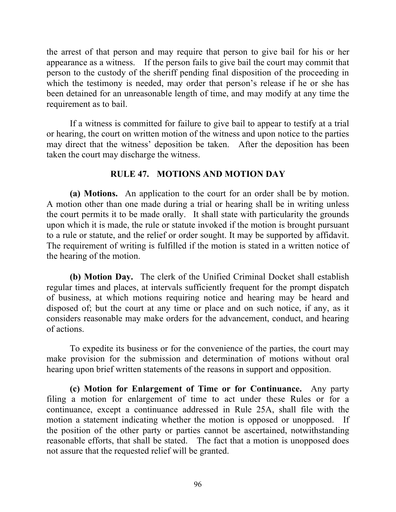the arrest of that person and may require that person to give bail for his or her appearance as a witness. If the person fails to give bail the court may commit that person to the custody of the sheriff pending final disposition of the proceeding in which the testimony is needed, may order that person's release if he or she has been detained for an unreasonable length of time, and may modify at any time the requirement as to bail.

If a witness is committed for failure to give bail to appear to testify at a trial or hearing, the court on written motion of the witness and upon notice to the parties may direct that the witness' deposition be taken. After the deposition has been taken the court may discharge the witness.

## **RULE 47. MOTIONS AND MOTION DAY**

**(a) Motions.** An application to the court for an order shall be by motion. A motion other than one made during a trial or hearing shall be in writing unless the court permits it to be made orally. It shall state with particularity the grounds upon which it is made, the rule or statute invoked if the motion is brought pursuant to a rule or statute, and the relief or order sought. It may be supported by affidavit. The requirement of writing is fulfilled if the motion is stated in a written notice of the hearing of the motion.

**(b) Motion Day.** The clerk of the Unified Criminal Docket shall establish regular times and places, at intervals sufficiently frequent for the prompt dispatch of business, at which motions requiring notice and hearing may be heard and disposed of; but the court at any time or place and on such notice, if any, as it considers reasonable may make orders for the advancement, conduct, and hearing of actions.

To expedite its business or for the convenience of the parties, the court may make provision for the submission and determination of motions without oral hearing upon brief written statements of the reasons in support and opposition.

**(c) Motion for Enlargement of Time or for Continuance.** Any party filing a motion for enlargement of time to act under these Rules or for a continuance, except a continuance addressed in Rule 25A, shall file with the motion a statement indicating whether the motion is opposed or unopposed. If the position of the other party or parties cannot be ascertained, notwithstanding reasonable efforts, that shall be stated. The fact that a motion is unopposed does not assure that the requested relief will be granted.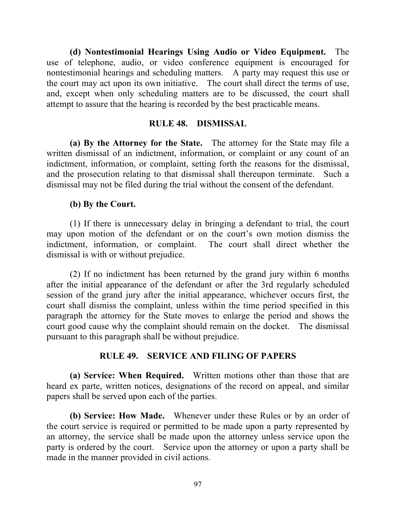**(d) Nontestimonial Hearings Using Audio or Video Equipment.** The use of telephone, audio, or video conference equipment is encouraged for nontestimonial hearings and scheduling matters. A party may request this use or the court may act upon its own initiative. The court shall direct the terms of use, and, except when only scheduling matters are to be discussed, the court shall attempt to assure that the hearing is recorded by the best practicable means.

### **RULE 48. DISMISSAL**

**(a) By the Attorney for the State.** The attorney for the State may file a written dismissal of an indictment, information, or complaint or any count of an indictment, information, or complaint, setting forth the reasons for the dismissal, and the prosecution relating to that dismissal shall thereupon terminate. Such a dismissal may not be filed during the trial without the consent of the defendant.

#### **(b) By the Court.**

(1) If there is unnecessary delay in bringing a defendant to trial, the court may upon motion of the defendant or on the court's own motion dismiss the indictment, information, or complaint. The court shall direct whether the dismissal is with or without prejudice.

(2) If no indictment has been returned by the grand jury within 6 months after the initial appearance of the defendant or after the 3rd regularly scheduled session of the grand jury after the initial appearance, whichever occurs first, the court shall dismiss the complaint, unless within the time period specified in this paragraph the attorney for the State moves to enlarge the period and shows the court good cause why the complaint should remain on the docket. The dismissal pursuant to this paragraph shall be without prejudice.

### **RULE 49. SERVICE AND FILING OF PAPERS**

**(a) Service: When Required.** Written motions other than those that are heard ex parte, written notices, designations of the record on appeal, and similar papers shall be served upon each of the parties.

**(b) Service: How Made.** Whenever under these Rules or by an order of the court service is required or permitted to be made upon a party represented by an attorney, the service shall be made upon the attorney unless service upon the party is ordered by the court. Service upon the attorney or upon a party shall be made in the manner provided in civil actions.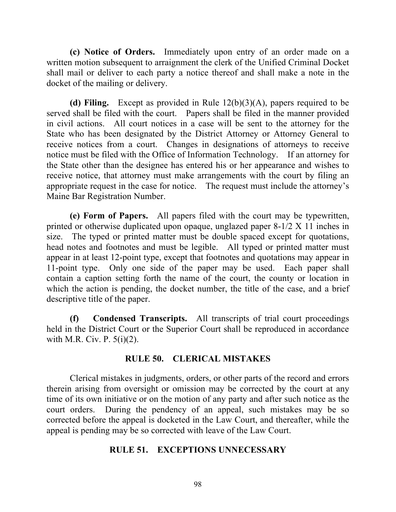**(c) Notice of Orders.** Immediately upon entry of an order made on a written motion subsequent to arraignment the clerk of the Unified Criminal Docket shall mail or deliver to each party a notice thereof and shall make a note in the docket of the mailing or delivery.

**(d) Filing.** Except as provided in Rule 12(b)(3)(A), papers required to be served shall be filed with the court. Papers shall be filed in the manner provided in civil actions. All court notices in a case will be sent to the attorney for the State who has been designated by the District Attorney or Attorney General to receive notices from a court. Changes in designations of attorneys to receive notice must be filed with the Office of Information Technology. If an attorney for the State other than the designee has entered his or her appearance and wishes to receive notice, that attorney must make arrangements with the court by filing an appropriate request in the case for notice. The request must include the attorney's Maine Bar Registration Number.

**(e) Form of Papers.** All papers filed with the court may be typewritten, printed or otherwise duplicated upon opaque, unglazed paper 8-1/2 X 11 inches in size. The typed or printed matter must be double spaced except for quotations, head notes and footnotes and must be legible. All typed or printed matter must appear in at least 12-point type, except that footnotes and quotations may appear in 11-point type. Only one side of the paper may be used. Each paper shall contain a caption setting forth the name of the court, the county or location in which the action is pending, the docket number, the title of the case, and a brief descriptive title of the paper.

**(f) Condensed Transcripts.** All transcripts of trial court proceedings held in the District Court or the Superior Court shall be reproduced in accordance with M.R. Civ. P. 5(i)(2).

### **RULE 50. CLERICAL MISTAKES**

Clerical mistakes in judgments, orders, or other parts of the record and errors therein arising from oversight or omission may be corrected by the court at any time of its own initiative or on the motion of any party and after such notice as the court orders. During the pendency of an appeal, such mistakes may be so corrected before the appeal is docketed in the Law Court, and thereafter, while the appeal is pending may be so corrected with leave of the Law Court.

### **RULE 51. EXCEPTIONS UNNECESSARY**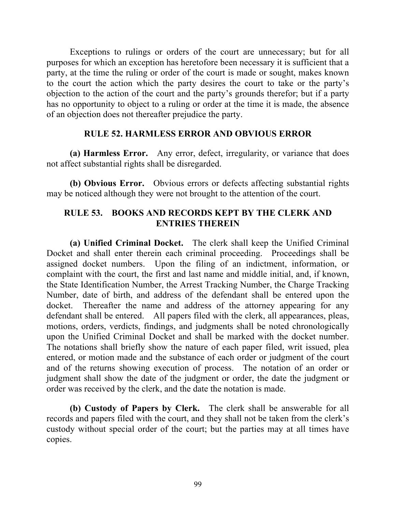Exceptions to rulings or orders of the court are unnecessary; but for all purposes for which an exception has heretofore been necessary it is sufficient that a party, at the time the ruling or order of the court is made or sought, makes known to the court the action which the party desires the court to take or the party's objection to the action of the court and the party's grounds therefor; but if a party has no opportunity to object to a ruling or order at the time it is made, the absence of an objection does not thereafter prejudice the party.

### **RULE 52. HARMLESS ERROR AND OBVIOUS ERROR**

**(a) Harmless Error.** Any error, defect, irregularity, or variance that does not affect substantial rights shall be disregarded.

**(b) Obvious Error.** Obvious errors or defects affecting substantial rights may be noticed although they were not brought to the attention of the court.

## **RULE 53. BOOKS AND RECORDS KEPT BY THE CLERK AND ENTRIES THEREIN**

**(a) Unified Criminal Docket.** The clerk shall keep the Unified Criminal Docket and shall enter therein each criminal proceeding. Proceedings shall be assigned docket numbers. Upon the filing of an indictment, information, or complaint with the court, the first and last name and middle initial, and, if known, the State Identification Number, the Arrest Tracking Number, the Charge Tracking Number, date of birth, and address of the defendant shall be entered upon the docket. Thereafter the name and address of the attorney appearing for any defendant shall be entered. All papers filed with the clerk, all appearances, pleas, motions, orders, verdicts, findings, and judgments shall be noted chronologically upon the Unified Criminal Docket and shall be marked with the docket number. The notations shall briefly show the nature of each paper filed, writ issued, plea entered, or motion made and the substance of each order or judgment of the court and of the returns showing execution of process. The notation of an order or judgment shall show the date of the judgment or order, the date the judgment or order was received by the clerk, and the date the notation is made.

**(b) Custody of Papers by Clerk.** The clerk shall be answerable for all records and papers filed with the court, and they shall not be taken from the clerk's custody without special order of the court; but the parties may at all times have copies.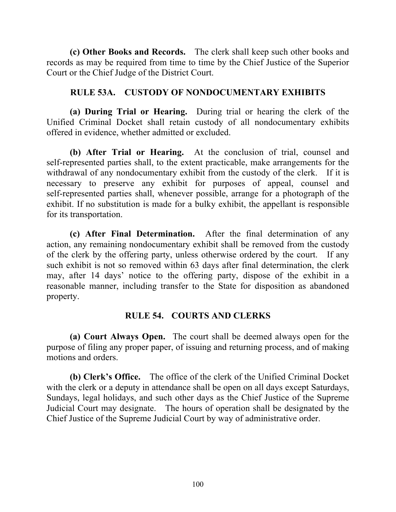**(c) Other Books and Records.** The clerk shall keep such other books and records as may be required from time to time by the Chief Justice of the Superior Court or the Chief Judge of the District Court.

### **RULE 53A. CUSTODY OF NONDOCUMENTARY EXHIBITS**

**(a) During Trial or Hearing.** During trial or hearing the clerk of the Unified Criminal Docket shall retain custody of all nondocumentary exhibits offered in evidence, whether admitted or excluded.

**(b) After Trial or Hearing.** At the conclusion of trial, counsel and self-represented parties shall, to the extent practicable, make arrangements for the withdrawal of any nondocumentary exhibit from the custody of the clerk. If it is necessary to preserve any exhibit for purposes of appeal, counsel and self-represented parties shall, whenever possible, arrange for a photograph of the exhibit. If no substitution is made for a bulky exhibit, the appellant is responsible for its transportation.

**(c) After Final Determination.** After the final determination of any action, any remaining nondocumentary exhibit shall be removed from the custody of the clerk by the offering party, unless otherwise ordered by the court. If any such exhibit is not so removed within 63 days after final determination, the clerk may, after 14 days' notice to the offering party, dispose of the exhibit in a reasonable manner, including transfer to the State for disposition as abandoned property.

## **RULE 54. COURTS AND CLERKS**

**(a) Court Always Open.** The court shall be deemed always open for the purpose of filing any proper paper, of issuing and returning process, and of making motions and orders.

**(b) Clerk's Office.** The office of the clerk of the Unified Criminal Docket with the clerk or a deputy in attendance shall be open on all days except Saturdays, Sundays, legal holidays, and such other days as the Chief Justice of the Supreme Judicial Court may designate. The hours of operation shall be designated by the Chief Justice of the Supreme Judicial Court by way of administrative order.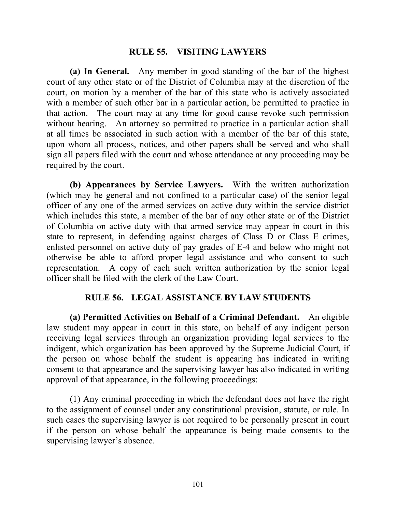#### **RULE 55. VISITING LAWYERS**

**(a) In General.** Any member in good standing of the bar of the highest court of any other state or of the District of Columbia may at the discretion of the court, on motion by a member of the bar of this state who is actively associated with a member of such other bar in a particular action, be permitted to practice in that action. The court may at any time for good cause revoke such permission without hearing. An attorney so permitted to practice in a particular action shall at all times be associated in such action with a member of the bar of this state, upon whom all process, notices, and other papers shall be served and who shall sign all papers filed with the court and whose attendance at any proceeding may be required by the court.

**(b) Appearances by Service Lawyers.** With the written authorization (which may be general and not confined to a particular case) of the senior legal officer of any one of the armed services on active duty within the service district which includes this state, a member of the bar of any other state or of the District of Columbia on active duty with that armed service may appear in court in this state to represent, in defending against charges of Class D or Class E crimes, enlisted personnel on active duty of pay grades of E-4 and below who might not otherwise be able to afford proper legal assistance and who consent to such representation. A copy of each such written authorization by the senior legal officer shall be filed with the clerk of the Law Court.

### **RULE 56. LEGAL ASSISTANCE BY LAW STUDENTS**

**(a) Permitted Activities on Behalf of a Criminal Defendant.** An eligible law student may appear in court in this state, on behalf of any indigent person receiving legal services through an organization providing legal services to the indigent, which organization has been approved by the Supreme Judicial Court, if the person on whose behalf the student is appearing has indicated in writing consent to that appearance and the supervising lawyer has also indicated in writing approval of that appearance, in the following proceedings:

(1) Any criminal proceeding in which the defendant does not have the right to the assignment of counsel under any constitutional provision, statute, or rule. In such cases the supervising lawyer is not required to be personally present in court if the person on whose behalf the appearance is being made consents to the supervising lawyer's absence.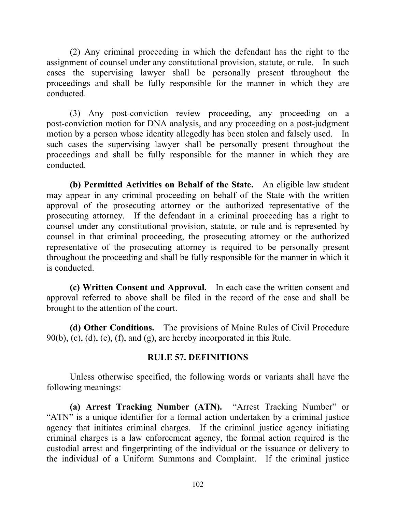(2) Any criminal proceeding in which the defendant has the right to the assignment of counsel under any constitutional provision, statute, or rule. In such cases the supervising lawyer shall be personally present throughout the proceedings and shall be fully responsible for the manner in which they are conducted.

(3) Any post-conviction review proceeding, any proceeding on a post-conviction motion for DNA analysis, and any proceeding on a post-judgment motion by a person whose identity allegedly has been stolen and falsely used. In such cases the supervising lawyer shall be personally present throughout the proceedings and shall be fully responsible for the manner in which they are conducted.

**(b) Permitted Activities on Behalf of the State.** An eligible law student may appear in any criminal proceeding on behalf of the State with the written approval of the prosecuting attorney or the authorized representative of the prosecuting attorney. If the defendant in a criminal proceeding has a right to counsel under any constitutional provision, statute, or rule and is represented by counsel in that criminal proceeding, the prosecuting attorney or the authorized representative of the prosecuting attorney is required to be personally present throughout the proceeding and shall be fully responsible for the manner in which it is conducted.

**(c) Written Consent and Approval.** In each case the written consent and approval referred to above shall be filed in the record of the case and shall be brought to the attention of the court.

**(d) Other Conditions.** The provisions of Maine Rules of Civil Procedure  $90(b)$ , (c), (d), (e), (f), and (g), are hereby incorporated in this Rule.

### **RULE 57. DEFINITIONS**

Unless otherwise specified, the following words or variants shall have the following meanings:

**(a) Arrest Tracking Number (ATN).** "Arrest Tracking Number" or "ATN" is a unique identifier for a formal action undertaken by a criminal justice agency that initiates criminal charges. If the criminal justice agency initiating criminal charges is a law enforcement agency, the formal action required is the custodial arrest and fingerprinting of the individual or the issuance or delivery to the individual of a Uniform Summons and Complaint. If the criminal justice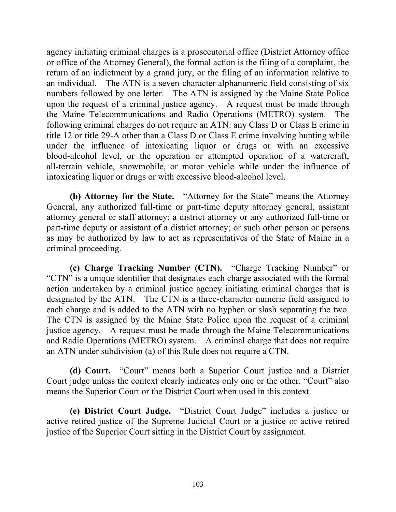agency initiating criminal charges is a prosecutorial office (District Attorney office or office of the Attorney General), the formal action is the filing of a complaint, the return of an indictment by a grand jury, or the filing of an information relative to an individual. The ATN is a seven-character alphanumeric field consisting of six numbers followed by one letter. The ATN is assigned by the Maine State Police upon the request of a criminal justice agency. A request must be made through the Maine Telecommunications and Radio Operations (METRO) system. The following criminal charges do not require an ATN: any Class D or Class E crime in title 12 or title 29-A other than a Class D or Class E crime involving hunting while under the influence of intoxicating liquor or drugs or with an excessive blood-alcohol level, or the operation or attempted operation of a watercraft, all-terrain vehicle, snowmobile, or motor vehicle while under the influence of intoxicating liquor or drugs or with excessive blood-alcohol level.

**(b) Attorney for the State.** "Attorney for the State" means the Attorney General, any authorized full-time or part-time deputy attorney general, assistant attorney general or staff attorney; a district attorney or any authorized full-time or part-time deputy or assistant of a district attorney; or such other person or persons as may be authorized by law to act as representatives of the State of Maine in a criminal proceeding.

**(c) Charge Tracking Number (CTN).** "Charge Tracking Number" or "CTN" is a unique identifier that designates each charge associated with the formal action undertaken by a criminal justice agency initiating criminal charges that is designated by the ATN. The CTN is a three-character numeric field assigned to each charge and is added to the ATN with no hyphen or slash separating the two. The CTN is assigned by the Maine State Police upon the request of a criminal justice agency. A request must be made through the Maine Telecommunications and Radio Operations (METRO) system. A criminal charge that does not require an ATN under subdivision (a) of this Rule does not require a CTN.

**(d) Court.** "Court" means both a Superior Court justice and a District Court judge unless the context clearly indicates only one or the other. "Court" also means the Superior Court or the District Court when used in this context.

**(e) District Court Judge.** "District Court Judge" includes a justice or active retired justice of the Supreme Judicial Court or a justice or active retired justice of the Superior Court sitting in the District Court by assignment.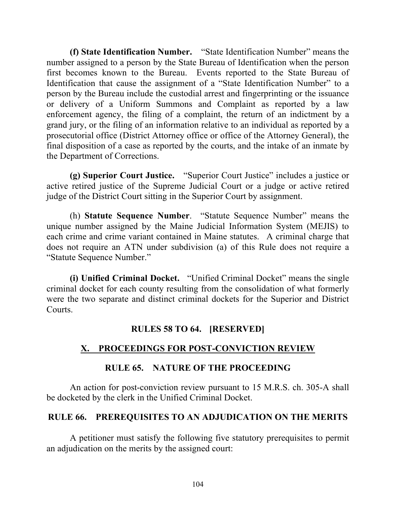**(f) State Identification Number.** "State Identification Number" means the number assigned to a person by the State Bureau of Identification when the person first becomes known to the Bureau. Events reported to the State Bureau of Identification that cause the assignment of a "State Identification Number" to a person by the Bureau include the custodial arrest and fingerprinting or the issuance or delivery of a Uniform Summons and Complaint as reported by a law enforcement agency, the filing of a complaint, the return of an indictment by a grand jury, or the filing of an information relative to an individual as reported by a prosecutorial office (District Attorney office or office of the Attorney General), the final disposition of a case as reported by the courts, and the intake of an inmate by the Department of Corrections.

**(g) Superior Court Justice.** "Superior Court Justice" includes a justice or active retired justice of the Supreme Judicial Court or a judge or active retired judge of the District Court sitting in the Superior Court by assignment.

(h) **Statute Sequence Number**. "Statute Sequence Number" means the unique number assigned by the Maine Judicial Information System (MEJIS) to each crime and crime variant contained in Maine statutes. A criminal charge that does not require an ATN under subdivision (a) of this Rule does not require a "Statute Sequence Number."

**(i) Unified Criminal Docket.** "Unified Criminal Docket" means the single criminal docket for each county resulting from the consolidation of what formerly were the two separate and distinct criminal dockets for the Superior and District Courts.

### **RULES 58 TO 64. [RESERVED]**

# **X. PROCEEDINGS FOR POST-CONVICTION REVIEW**

### **RULE 65. NATURE OF THE PROCEEDING**

An action for post-conviction review pursuant to 15 M.R.S. ch. 305-A shall be docketed by the clerk in the Unified Criminal Docket.

## **RULE 66. PREREQUISITES TO AN ADJUDICATION ON THE MERITS**

A petitioner must satisfy the following five statutory prerequisites to permit an adjudication on the merits by the assigned court: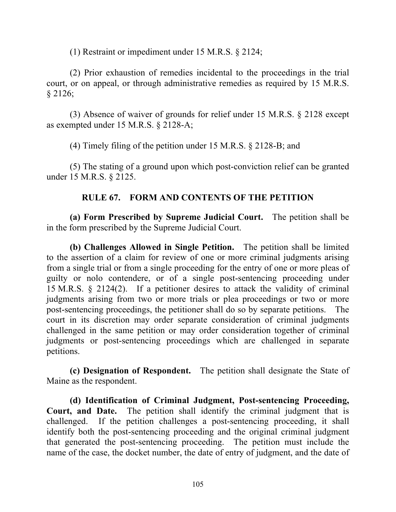(1) Restraint or impediment under 15 M.R.S. § 2124;

(2) Prior exhaustion of remedies incidental to the proceedings in the trial court, or on appeal, or through administrative remedies as required by 15 M.R.S. § 2126;

(3) Absence of waiver of grounds for relief under 15 M.R.S. § 2128 except as exempted under 15 M.R.S. § 2128-A;

(4) Timely filing of the petition under 15 M.R.S. § 2128-B; and

(5) The stating of a ground upon which post-conviction relief can be granted under 15 M.R.S. § 2125.

## **RULE 67. FORM AND CONTENTS OF THE PETITION**

**(a) Form Prescribed by Supreme Judicial Court.** The petition shall be in the form prescribed by the Supreme Judicial Court.

**(b) Challenges Allowed in Single Petition.** The petition shall be limited to the assertion of a claim for review of one or more criminal judgments arising from a single trial or from a single proceeding for the entry of one or more pleas of guilty or nolo contendere, or of a single post-sentencing proceeding under 15 M.R.S. § 2124(2). If a petitioner desires to attack the validity of criminal judgments arising from two or more trials or plea proceedings or two or more post-sentencing proceedings, the petitioner shall do so by separate petitions. The court in its discretion may order separate consideration of criminal judgments challenged in the same petition or may order consideration together of criminal judgments or post-sentencing proceedings which are challenged in separate petitions.

**(c) Designation of Respondent.** The petition shall designate the State of Maine as the respondent.

**(d) Identification of Criminal Judgment, Post-sentencing Proceeding, Court, and Date.** The petition shall identify the criminal judgment that is challenged. If the petition challenges a post-sentencing proceeding, it shall identify both the post-sentencing proceeding and the original criminal judgment that generated the post-sentencing proceeding. The petition must include the name of the case, the docket number, the date of entry of judgment, and the date of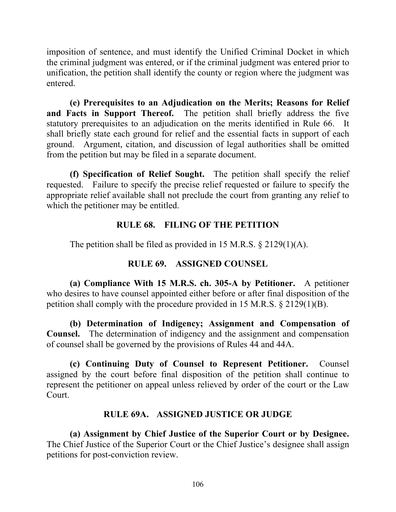imposition of sentence, and must identify the Unified Criminal Docket in which the criminal judgment was entered, or if the criminal judgment was entered prior to unification, the petition shall identify the county or region where the judgment was entered.

**(e) Prerequisites to an Adjudication on the Merits; Reasons for Relief and Facts in Support Thereof.** The petition shall briefly address the five statutory prerequisites to an adjudication on the merits identified in Rule 66. It shall briefly state each ground for relief and the essential facts in support of each ground. Argument, citation, and discussion of legal authorities shall be omitted from the petition but may be filed in a separate document.

**(f) Specification of Relief Sought.** The petition shall specify the relief requested. Failure to specify the precise relief requested or failure to specify the appropriate relief available shall not preclude the court from granting any relief to which the petitioner may be entitled.

## **RULE 68. FILING OF THE PETITION**

The petition shall be filed as provided in 15 M.R.S. § 2129(1)(A).

# **RULE 69. ASSIGNED COUNSEL**

**(a) Compliance With 15 M.R.S. ch. 305-A by Petitioner.** A petitioner who desires to have counsel appointed either before or after final disposition of the petition shall comply with the procedure provided in 15 M.R.S. § 2129(1)(B).

**(b) Determination of Indigency; Assignment and Compensation of Counsel.** The determination of indigency and the assignment and compensation of counsel shall be governed by the provisions of Rules 44 and 44A.

**(c) Continuing Duty of Counsel to Represent Petitioner.** Counsel assigned by the court before final disposition of the petition shall continue to represent the petitioner on appeal unless relieved by order of the court or the Law Court.

## **RULE 69A. ASSIGNED JUSTICE OR JUDGE**

**(a) Assignment by Chief Justice of the Superior Court or by Designee.** The Chief Justice of the Superior Court or the Chief Justice's designee shall assign petitions for post-conviction review.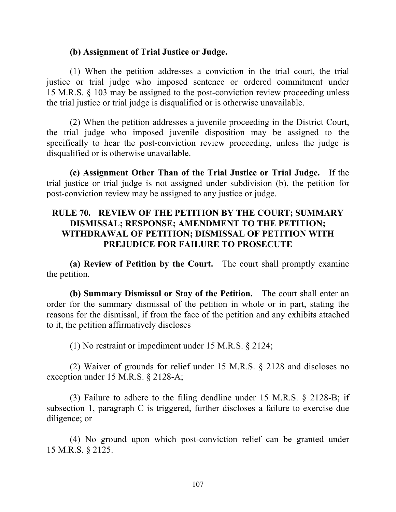#### **(b) Assignment of Trial Justice or Judge.**

(1) When the petition addresses a conviction in the trial court, the trial justice or trial judge who imposed sentence or ordered commitment under 15 M.R.S. § 103 may be assigned to the post-conviction review proceeding unless the trial justice or trial judge is disqualified or is otherwise unavailable.

(2) When the petition addresses a juvenile proceeding in the District Court, the trial judge who imposed juvenile disposition may be assigned to the specifically to hear the post-conviction review proceeding, unless the judge is disqualified or is otherwise unavailable.

**(c) Assignment Other Than of the Trial Justice or Trial Judge.** If the trial justice or trial judge is not assigned under subdivision (b), the petition for post-conviction review may be assigned to any justice or judge.

### **RULE 70. REVIEW OF THE PETITION BY THE COURT; SUMMARY DISMISSAL; RESPONSE; AMENDMENT TO THE PETITION; WITHDRAWAL OF PETITION; DISMISSAL OF PETITION WITH PREJUDICE FOR FAILURE TO PROSECUTE**

**(a) Review of Petition by the Court.** The court shall promptly examine the petition.

**(b) Summary Dismissal or Stay of the Petition.** The court shall enter an order for the summary dismissal of the petition in whole or in part, stating the reasons for the dismissal, if from the face of the petition and any exhibits attached to it, the petition affirmatively discloses

(1) No restraint or impediment under 15 M.R.S. § 2124;

(2) Waiver of grounds for relief under 15 M.R.S. § 2128 and discloses no exception under 15 M.R.S. § 2128-A;

(3) Failure to adhere to the filing deadline under 15 M.R.S. § 2128-B; if subsection 1, paragraph C is triggered, further discloses a failure to exercise due diligence; or

(4) No ground upon which post-conviction relief can be granted under 15 M.R.S. § 2125.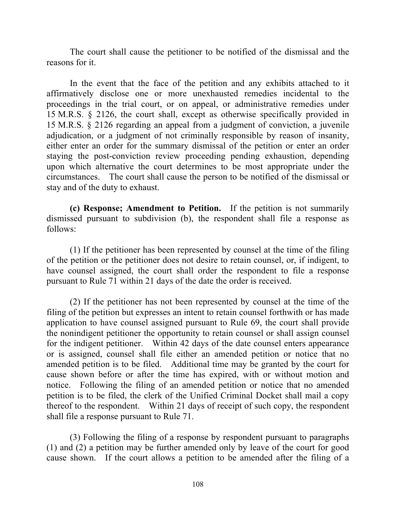The court shall cause the petitioner to be notified of the dismissal and the reasons for it.

In the event that the face of the petition and any exhibits attached to it affirmatively disclose one or more unexhausted remedies incidental to the proceedings in the trial court, or on appeal, or administrative remedies under 15 M.R.S. § 2126, the court shall, except as otherwise specifically provided in 15 M.R.S. § 2126 regarding an appeal from a judgment of conviction, a juvenile adjudication, or a judgment of not criminally responsible by reason of insanity, either enter an order for the summary dismissal of the petition or enter an order staying the post-conviction review proceeding pending exhaustion, depending upon which alternative the court determines to be most appropriate under the circumstances. The court shall cause the person to be notified of the dismissal or stay and of the duty to exhaust.

**(c) Response; Amendment to Petition.** If the petition is not summarily dismissed pursuant to subdivision (b), the respondent shall file a response as follows:

(1) If the petitioner has been represented by counsel at the time of the filing of the petition or the petitioner does not desire to retain counsel, or, if indigent, to have counsel assigned, the court shall order the respondent to file a response pursuant to Rule 71 within 21 days of the date the order is received.

(2) If the petitioner has not been represented by counsel at the time of the filing of the petition but expresses an intent to retain counsel forthwith or has made application to have counsel assigned pursuant to Rule 69, the court shall provide the nonindigent petitioner the opportunity to retain counsel or shall assign counsel for the indigent petitioner. Within 42 days of the date counsel enters appearance or is assigned, counsel shall file either an amended petition or notice that no amended petition is to be filed. Additional time may be granted by the court for cause shown before or after the time has expired, with or without motion and notice. Following the filing of an amended petition or notice that no amended petition is to be filed, the clerk of the Unified Criminal Docket shall mail a copy thereof to the respondent. Within 21 days of receipt of such copy, the respondent shall file a response pursuant to Rule 71.

(3) Following the filing of a response by respondent pursuant to paragraphs (1) and (2) a petition may be further amended only by leave of the court for good cause shown. If the court allows a petition to be amended after the filing of a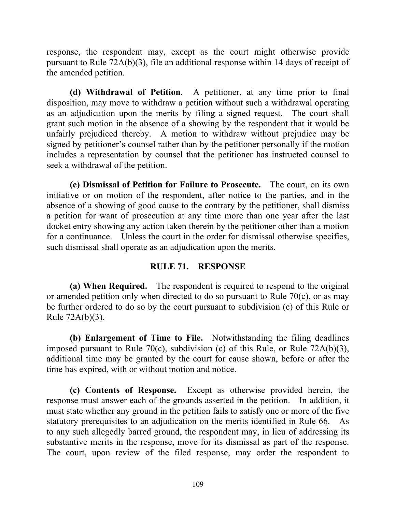response, the respondent may, except as the court might otherwise provide pursuant to Rule 72A(b)(3), file an additional response within 14 days of receipt of the amended petition.

**(d) Withdrawal of Petition**. A petitioner, at any time prior to final disposition, may move to withdraw a petition without such a withdrawal operating as an adjudication upon the merits by filing a signed request. The court shall grant such motion in the absence of a showing by the respondent that it would be unfairly prejudiced thereby. A motion to withdraw without prejudice may be signed by petitioner's counsel rather than by the petitioner personally if the motion includes a representation by counsel that the petitioner has instructed counsel to seek a withdrawal of the petition.

**(e) Dismissal of Petition for Failure to Prosecute.** The court, on its own initiative or on motion of the respondent, after notice to the parties, and in the absence of a showing of good cause to the contrary by the petitioner, shall dismiss a petition for want of prosecution at any time more than one year after the last docket entry showing any action taken therein by the petitioner other than a motion for a continuance. Unless the court in the order for dismissal otherwise specifies, such dismissal shall operate as an adjudication upon the merits.

## **RULE 71. RESPONSE**

**(a) When Required.** The respondent is required to respond to the original or amended petition only when directed to do so pursuant to Rule 70(c), or as may be further ordered to do so by the court pursuant to subdivision (c) of this Rule or Rule 72A(b)(3).

**(b) Enlargement of Time to File.** Notwithstanding the filing deadlines imposed pursuant to Rule 70(c), subdivision (c) of this Rule, or Rule 72A(b)(3), additional time may be granted by the court for cause shown, before or after the time has expired, with or without motion and notice.

**(c) Contents of Response.** Except as otherwise provided herein, the response must answer each of the grounds asserted in the petition. In addition, it must state whether any ground in the petition fails to satisfy one or more of the five statutory prerequisites to an adjudication on the merits identified in Rule 66. As to any such allegedly barred ground, the respondent may, in lieu of addressing its substantive merits in the response, move for its dismissal as part of the response. The court, upon review of the filed response, may order the respondent to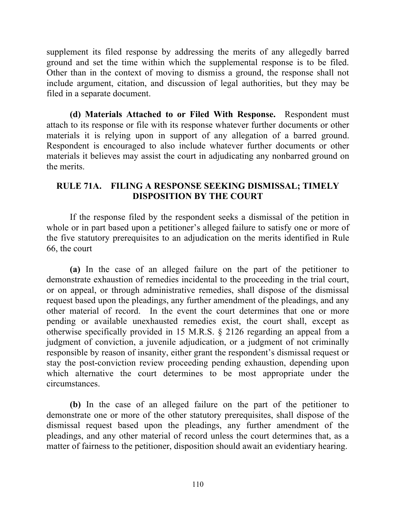supplement its filed response by addressing the merits of any allegedly barred ground and set the time within which the supplemental response is to be filed. Other than in the context of moving to dismiss a ground, the response shall not include argument, citation, and discussion of legal authorities, but they may be filed in a separate document.

**(d) Materials Attached to or Filed With Response.** Respondent must attach to its response or file with its response whatever further documents or other materials it is relying upon in support of any allegation of a barred ground. Respondent is encouraged to also include whatever further documents or other materials it believes may assist the court in adjudicating any nonbarred ground on the merits.

## **RULE 71A. FILING A RESPONSE SEEKING DISMISSAL; TIMELY DISPOSITION BY THE COURT**

If the response filed by the respondent seeks a dismissal of the petition in whole or in part based upon a petitioner's alleged failure to satisfy one or more of the five statutory prerequisites to an adjudication on the merits identified in Rule 66, the court

**(a)** In the case of an alleged failure on the part of the petitioner to demonstrate exhaustion of remedies incidental to the proceeding in the trial court, or on appeal, or through administrative remedies, shall dispose of the dismissal request based upon the pleadings, any further amendment of the pleadings, and any other material of record. In the event the court determines that one or more pending or available unexhausted remedies exist, the court shall, except as otherwise specifically provided in 15 M.R.S. § 2126 regarding an appeal from a judgment of conviction, a juvenile adjudication, or a judgment of not criminally responsible by reason of insanity, either grant the respondent's dismissal request or stay the post-conviction review proceeding pending exhaustion, depending upon which alternative the court determines to be most appropriate under the circumstances.

**(b)** In the case of an alleged failure on the part of the petitioner to demonstrate one or more of the other statutory prerequisites, shall dispose of the dismissal request based upon the pleadings, any further amendment of the pleadings, and any other material of record unless the court determines that, as a matter of fairness to the petitioner, disposition should await an evidentiary hearing.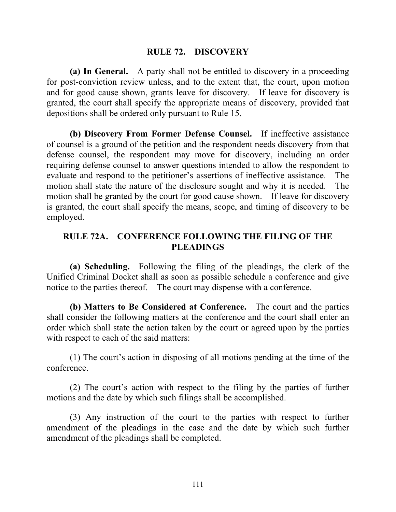#### **RULE 72. DISCOVERY**

**(a) In General.** A party shall not be entitled to discovery in a proceeding for post-conviction review unless, and to the extent that, the court, upon motion and for good cause shown, grants leave for discovery. If leave for discovery is granted, the court shall specify the appropriate means of discovery, provided that depositions shall be ordered only pursuant to Rule 15.

**(b) Discovery From Former Defense Counsel.** If ineffective assistance of counsel is a ground of the petition and the respondent needs discovery from that defense counsel, the respondent may move for discovery, including an order requiring defense counsel to answer questions intended to allow the respondent to evaluate and respond to the petitioner's assertions of ineffective assistance. The motion shall state the nature of the disclosure sought and why it is needed. The motion shall be granted by the court for good cause shown. If leave for discovery is granted, the court shall specify the means, scope, and timing of discovery to be employed.

#### **RULE 72A. CONFERENCE FOLLOWING THE FILING OF THE PLEADINGS**

**(a) Scheduling.** Following the filing of the pleadings, the clerk of the Unified Criminal Docket shall as soon as possible schedule a conference and give notice to the parties thereof. The court may dispense with a conference.

**(b) Matters to Be Considered at Conference.** The court and the parties shall consider the following matters at the conference and the court shall enter an order which shall state the action taken by the court or agreed upon by the parties with respect to each of the said matters:

(1) The court's action in disposing of all motions pending at the time of the conference.

(2) The court's action with respect to the filing by the parties of further motions and the date by which such filings shall be accomplished.

(3) Any instruction of the court to the parties with respect to further amendment of the pleadings in the case and the date by which such further amendment of the pleadings shall be completed.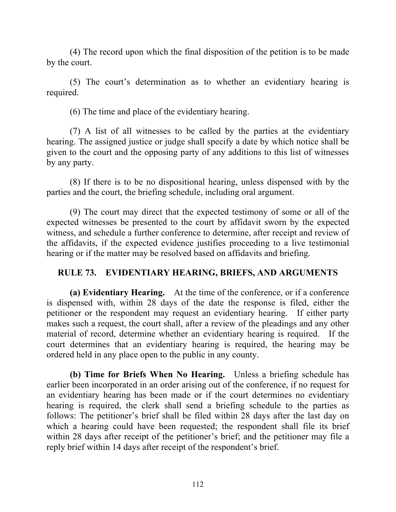(4) The record upon which the final disposition of the petition is to be made by the court.

(5) The court's determination as to whether an evidentiary hearing is required.

(6) The time and place of the evidentiary hearing.

(7) A list of all witnesses to be called by the parties at the evidentiary hearing. The assigned justice or judge shall specify a date by which notice shall be given to the court and the opposing party of any additions to this list of witnesses by any party.

(8) If there is to be no dispositional hearing, unless dispensed with by the parties and the court, the briefing schedule, including oral argument.

(9) The court may direct that the expected testimony of some or all of the expected witnesses be presented to the court by affidavit sworn by the expected witness, and schedule a further conference to determine, after receipt and review of the affidavits, if the expected evidence justifies proceeding to a live testimonial hearing or if the matter may be resolved based on affidavits and briefing.

# **RULE 73. EVIDENTIARY HEARING, BRIEFS, AND ARGUMENTS**

**(a) Evidentiary Hearing.** At the time of the conference, or if a conference is dispensed with, within 28 days of the date the response is filed, either the petitioner or the respondent may request an evidentiary hearing. If either party makes such a request, the court shall, after a review of the pleadings and any other material of record, determine whether an evidentiary hearing is required. If the court determines that an evidentiary hearing is required, the hearing may be ordered held in any place open to the public in any county.

**(b) Time for Briefs When No Hearing.** Unless a briefing schedule has earlier been incorporated in an order arising out of the conference, if no request for an evidentiary hearing has been made or if the court determines no evidentiary hearing is required, the clerk shall send a briefing schedule to the parties as follows: The petitioner's brief shall be filed within 28 days after the last day on which a hearing could have been requested; the respondent shall file its brief within 28 days after receipt of the petitioner's brief; and the petitioner may file a reply brief within 14 days after receipt of the respondent's brief.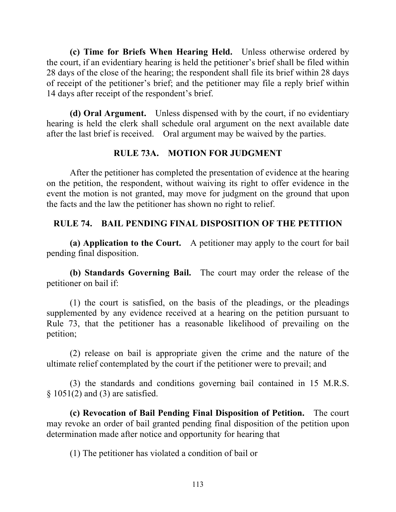**(c) Time for Briefs When Hearing Held.** Unless otherwise ordered by the court, if an evidentiary hearing is held the petitioner's brief shall be filed within 28 days of the close of the hearing; the respondent shall file its brief within 28 days of receipt of the petitioner's brief; and the petitioner may file a reply brief within 14 days after receipt of the respondent's brief.

**(d) Oral Argument.** Unless dispensed with by the court, if no evidentiary hearing is held the clerk shall schedule oral argument on the next available date after the last brief is received. Oral argument may be waived by the parties.

## **RULE 73A. MOTION FOR JUDGMENT**

After the petitioner has completed the presentation of evidence at the hearing on the petition, the respondent, without waiving its right to offer evidence in the event the motion is not granted, may move for judgment on the ground that upon the facts and the law the petitioner has shown no right to relief.

# **RULE 74. BAIL PENDING FINAL DISPOSITION OF THE PETITION**

**(a) Application to the Court.** A petitioner may apply to the court for bail pending final disposition.

**(b) Standards Governing Bail.** The court may order the release of the petitioner on bail if:

(1) the court is satisfied, on the basis of the pleadings, or the pleadings supplemented by any evidence received at a hearing on the petition pursuant to Rule 73, that the petitioner has a reasonable likelihood of prevailing on the petition;

(2) release on bail is appropriate given the crime and the nature of the ultimate relief contemplated by the court if the petitioner were to prevail; and

(3) the standards and conditions governing bail contained in 15 M.R.S.  $§ 1051(2)$  and (3) are satisfied.

**(c) Revocation of Bail Pending Final Disposition of Petition.** The court may revoke an order of bail granted pending final disposition of the petition upon determination made after notice and opportunity for hearing that

(1) The petitioner has violated a condition of bail or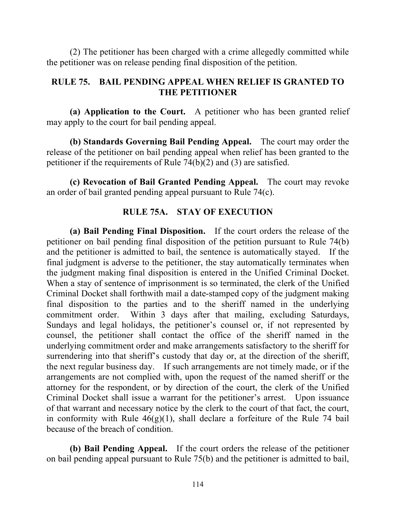(2) The petitioner has been charged with a crime allegedly committed while the petitioner was on release pending final disposition of the petition.

## **RULE 75. BAIL PENDING APPEAL WHEN RELIEF IS GRANTED TO THE PETITIONER**

**(a) Application to the Court.** A petitioner who has been granted relief may apply to the court for bail pending appeal.

**(b) Standards Governing Bail Pending Appeal.** The court may order the release of the petitioner on bail pending appeal when relief has been granted to the petitioner if the requirements of Rule 74(b)(2) and (3) are satisfied.

**(c) Revocation of Bail Granted Pending Appeal.** The court may revoke an order of bail granted pending appeal pursuant to Rule 74(c).

## **RULE 75A. STAY OF EXECUTION**

**(a) Bail Pending Final Disposition.** If the court orders the release of the petitioner on bail pending final disposition of the petition pursuant to Rule 74(b) and the petitioner is admitted to bail, the sentence is automatically stayed. If the final judgment is adverse to the petitioner, the stay automatically terminates when the judgment making final disposition is entered in the Unified Criminal Docket. When a stay of sentence of imprisonment is so terminated, the clerk of the Unified Criminal Docket shall forthwith mail a date-stamped copy of the judgment making final disposition to the parties and to the sheriff named in the underlying commitment order. Within 3 days after that mailing, excluding Saturdays, Sundays and legal holidays, the petitioner's counsel or, if not represented by counsel, the petitioner shall contact the office of the sheriff named in the underlying commitment order and make arrangements satisfactory to the sheriff for surrendering into that sheriff's custody that day or, at the direction of the sheriff, the next regular business day. If such arrangements are not timely made, or if the arrangements are not complied with, upon the request of the named sheriff or the attorney for the respondent, or by direction of the court, the clerk of the Unified Criminal Docket shall issue a warrant for the petitioner's arrest. Upon issuance of that warrant and necessary notice by the clerk to the court of that fact, the court, in conformity with Rule  $46(g)(1)$ , shall declare a forfeiture of the Rule 74 bail because of the breach of condition.

**(b) Bail Pending Appeal.** If the court orders the release of the petitioner on bail pending appeal pursuant to Rule 75(b) and the petitioner is admitted to bail,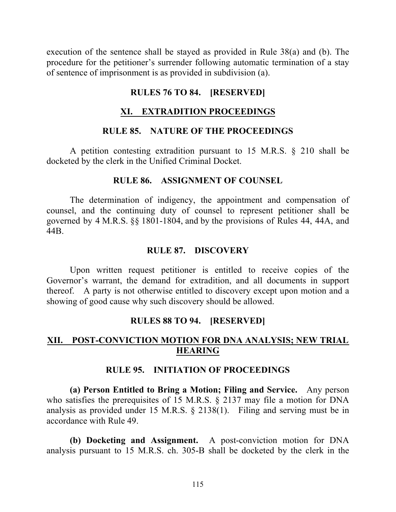execution of the sentence shall be stayed as provided in Rule 38(a) and (b). The procedure for the petitioner's surrender following automatic termination of a stay of sentence of imprisonment is as provided in subdivision (a).

## **RULES 76 TO 84. [RESERVED]**

# **XI. EXTRADITION PROCEEDINGS**

## **RULE 85. NATURE OF THE PROCEEDINGS**

A petition contesting extradition pursuant to 15 M.R.S. § 210 shall be docketed by the clerk in the Unified Criminal Docket.

#### **RULE 86. ASSIGNMENT OF COUNSEL**

The determination of indigency, the appointment and compensation of counsel, and the continuing duty of counsel to represent petitioner shall be governed by 4 M.R.S. §§ 1801-1804, and by the provisions of Rules 44, 44A, and 44B.

## **RULE 87. DISCOVERY**

Upon written request petitioner is entitled to receive copies of the Governor's warrant, the demand for extradition, and all documents in support thereof. A party is not otherwise entitled to discovery except upon motion and a showing of good cause why such discovery should be allowed.

## **RULES 88 TO 94. [RESERVED]**

# **XII. POST-CONVICTION MOTION FOR DNA ANALYSIS; NEW TRIAL HEARING**

#### **RULE 95. INITIATION OF PROCEEDINGS**

**(a) Person Entitled to Bring a Motion; Filing and Service.** Any person who satisfies the prerequisites of 15 M.R.S. § 2137 may file a motion for DNA analysis as provided under 15 M.R.S. § 2138(1). Filing and serving must be in accordance with Rule 49.

**(b) Docketing and Assignment.** A post-conviction motion for DNA analysis pursuant to 15 M.R.S. ch. 305-B shall be docketed by the clerk in the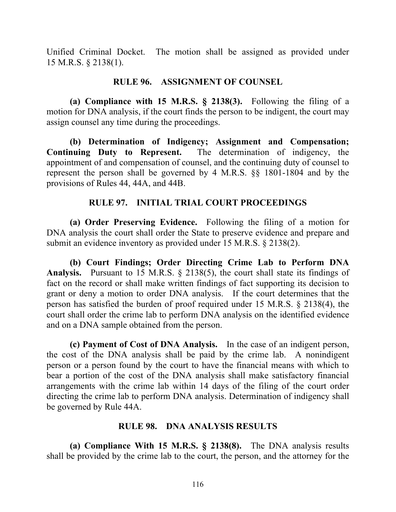Unified Criminal Docket. The motion shall be assigned as provided under 15 M.R.S. § 2138(1).

#### **RULE 96. ASSIGNMENT OF COUNSEL**

**(a) Compliance with 15 M.R.S. § 2138(3).** Following the filing of a motion for DNA analysis, if the court finds the person to be indigent, the court may assign counsel any time during the proceedings.

**(b) Determination of Indigency; Assignment and Compensation; Continuing Duty to Represent.** The determination of indigency, the appointment of and compensation of counsel, and the continuing duty of counsel to represent the person shall be governed by 4 M.R.S. §§ 1801-1804 and by the provisions of Rules 44, 44A, and 44B.

## **RULE 97. INITIAL TRIAL COURT PROCEEDINGS**

**(a) Order Preserving Evidence.** Following the filing of a motion for DNA analysis the court shall order the State to preserve evidence and prepare and submit an evidence inventory as provided under 15 M.R.S. § 2138(2).

**(b) Court Findings; Order Directing Crime Lab to Perform DNA Analysis.** Pursuant to 15 M.R.S. § 2138(5), the court shall state its findings of fact on the record or shall make written findings of fact supporting its decision to grant or deny a motion to order DNA analysis. If the court determines that the person has satisfied the burden of proof required under 15 M.R.S. § 2138(4), the court shall order the crime lab to perform DNA analysis on the identified evidence and on a DNA sample obtained from the person.

**(c) Payment of Cost of DNA Analysis.** In the case of an indigent person, the cost of the DNA analysis shall be paid by the crime lab. A nonindigent person or a person found by the court to have the financial means with which to bear a portion of the cost of the DNA analysis shall make satisfactory financial arrangements with the crime lab within 14 days of the filing of the court order directing the crime lab to perform DNA analysis. Determination of indigency shall be governed by Rule 44A.

## **RULE 98. DNA ANALYSIS RESULTS**

**(a) Compliance With 15 M.R.S. § 2138(8).** The DNA analysis results shall be provided by the crime lab to the court, the person, and the attorney for the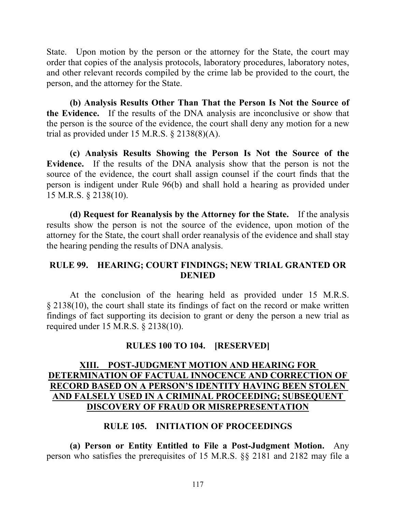State. Upon motion by the person or the attorney for the State, the court may order that copies of the analysis protocols, laboratory procedures, laboratory notes, and other relevant records compiled by the crime lab be provided to the court, the person, and the attorney for the State.

**(b) Analysis Results Other Than That the Person Is Not the Source of the Evidence.** If the results of the DNA analysis are inconclusive or show that the person is the source of the evidence, the court shall deny any motion for a new trial as provided under 15 M.R.S. § 2138(8)(A).

**(c) Analysis Results Showing the Person Is Not the Source of the Evidence.** If the results of the DNA analysis show that the person is not the source of the evidence, the court shall assign counsel if the court finds that the person is indigent under Rule 96(b) and shall hold a hearing as provided under 15 M.R.S. § 2138(10).

**(d) Request for Reanalysis by the Attorney for the State.** If the analysis results show the person is not the source of the evidence, upon motion of the attorney for the State, the court shall order reanalysis of the evidence and shall stay the hearing pending the results of DNA analysis.

## **RULE 99. HEARING; COURT FINDINGS; NEW TRIAL GRANTED OR DENIED**

At the conclusion of the hearing held as provided under 15 M.R.S. § 2138(10), the court shall state its findings of fact on the record or make written findings of fact supporting its decision to grant or deny the person a new trial as required under 15 M.R.S. § 2138(10).

## **RULES 100 TO 104. [RESERVED]**

# **XIII. POST-JUDGMENT MOTION AND HEARING FOR DETERMINATION OF FACTUAL INNOCENCE AND CORRECTION OF RECORD BASED ON A PERSON'S IDENTITY HAVING BEEN STOLEN AND FALSELY USED IN A CRIMINAL PROCEEDING; SUBSEQUENT DISCOVERY OF FRAUD OR MISREPRESENTATION**

## **RULE 105. INITIATION OF PROCEEDINGS**

**(a) Person or Entity Entitled to File a Post-Judgment Motion.** Any person who satisfies the prerequisites of 15 M.R.S. §§ 2181 and 2182 may file a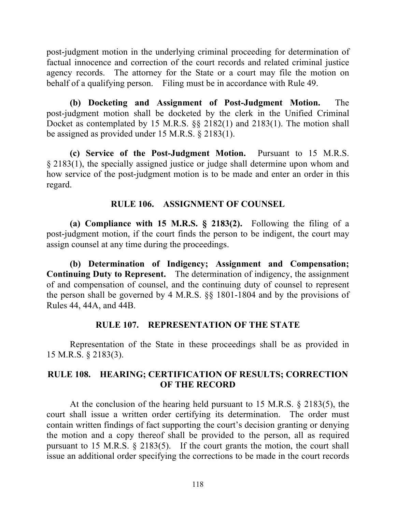post-judgment motion in the underlying criminal proceeding for determination of factual innocence and correction of the court records and related criminal justice agency records. The attorney for the State or a court may file the motion on behalf of a qualifying person. Filing must be in accordance with Rule 49.

**(b) Docketing and Assignment of Post-Judgment Motion.** The post-judgment motion shall be docketed by the clerk in the Unified Criminal Docket as contemplated by 15 M.R.S. §§ 2182(1) and 2183(1). The motion shall be assigned as provided under 15 M.R.S. § 2183(1).

**(c) Service of the Post-Judgment Motion.** Pursuant to 15 M.R.S. § 2183(1), the specially assigned justice or judge shall determine upon whom and how service of the post-judgment motion is to be made and enter an order in this regard.

## **RULE 106. ASSIGNMENT OF COUNSEL**

**(a) Compliance with 15 M.R.S. § 2183(2).** Following the filing of a post-judgment motion, if the court finds the person to be indigent, the court may assign counsel at any time during the proceedings.

**(b) Determination of Indigency; Assignment and Compensation; Continuing Duty to Represent.** The determination of indigency, the assignment of and compensation of counsel, and the continuing duty of counsel to represent the person shall be governed by 4 M.R.S. §§ 1801-1804 and by the provisions of Rules 44, 44A, and 44B.

## **RULE 107. REPRESENTATION OF THE STATE**

Representation of the State in these proceedings shall be as provided in 15 M.R.S. § 2183(3).

## **RULE 108. HEARING; CERTIFICATION OF RESULTS; CORRECTION OF THE RECORD**

At the conclusion of the hearing held pursuant to 15 M.R.S. § 2183(5), the court shall issue a written order certifying its determination. The order must contain written findings of fact supporting the court's decision granting or denying the motion and a copy thereof shall be provided to the person, all as required pursuant to 15 M.R.S. § 2183(5). If the court grants the motion, the court shall issue an additional order specifying the corrections to be made in the court records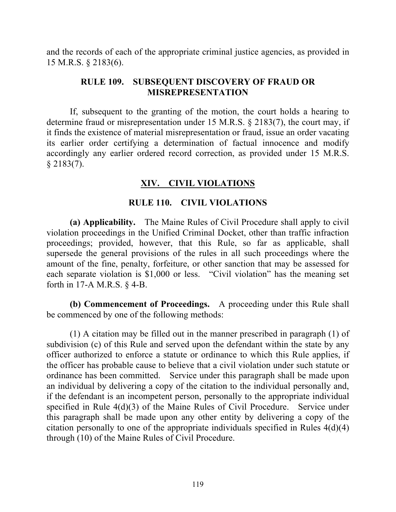and the records of each of the appropriate criminal justice agencies, as provided in 15 M.R.S. § 2183(6).

#### **RULE 109. SUBSEQUENT DISCOVERY OF FRAUD OR MISREPRESENTATION**

If, subsequent to the granting of the motion, the court holds a hearing to determine fraud or misrepresentation under 15 M.R.S. § 2183(7), the court may, if it finds the existence of material misrepresentation or fraud, issue an order vacating its earlier order certifying a determination of factual innocence and modify accordingly any earlier ordered record correction, as provided under 15 M.R.S.  $§$  2183(7).

# **XIV. CIVIL VIOLATIONS**

## **RULE 110. CIVIL VIOLATIONS**

**(a) Applicability.** The Maine Rules of Civil Procedure shall apply to civil violation proceedings in the Unified Criminal Docket, other than traffic infraction proceedings; provided, however, that this Rule, so far as applicable, shall supersede the general provisions of the rules in all such proceedings where the amount of the fine, penalty, forfeiture, or other sanction that may be assessed for each separate violation is \$1,000 or less. "Civil violation" has the meaning set forth in 17-A M.R.S. § 4-B.

**(b) Commencement of Proceedings.** A proceeding under this Rule shall be commenced by one of the following methods:

(1) A citation may be filled out in the manner prescribed in paragraph (1) of subdivision (c) of this Rule and served upon the defendant within the state by any officer authorized to enforce a statute or ordinance to which this Rule applies, if the officer has probable cause to believe that a civil violation under such statute or ordinance has been committed. Service under this paragraph shall be made upon an individual by delivering a copy of the citation to the individual personally and, if the defendant is an incompetent person, personally to the appropriate individual specified in Rule 4(d)(3) of the Maine Rules of Civil Procedure. Service under this paragraph shall be made upon any other entity by delivering a copy of the citation personally to one of the appropriate individuals specified in Rules 4(d)(4) through (10) of the Maine Rules of Civil Procedure.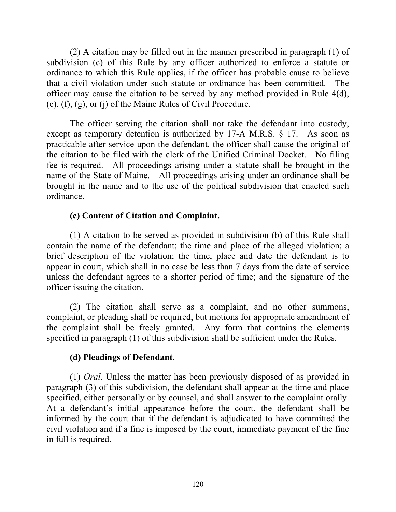(2) A citation may be filled out in the manner prescribed in paragraph (1) of subdivision (c) of this Rule by any officer authorized to enforce a statute or ordinance to which this Rule applies, if the officer has probable cause to believe that a civil violation under such statute or ordinance has been committed. The officer may cause the citation to be served by any method provided in Rule 4(d), (e), (f), (g), or (j) of the Maine Rules of Civil Procedure.

The officer serving the citation shall not take the defendant into custody, except as temporary detention is authorized by 17-A M.R.S. § 17. As soon as practicable after service upon the defendant, the officer shall cause the original of the citation to be filed with the clerk of the Unified Criminal Docket. No filing fee is required. All proceedings arising under a statute shall be brought in the name of the State of Maine. All proceedings arising under an ordinance shall be brought in the name and to the use of the political subdivision that enacted such ordinance.

## **(c) Content of Citation and Complaint.**

(1) A citation to be served as provided in subdivision (b) of this Rule shall contain the name of the defendant; the time and place of the alleged violation; a brief description of the violation; the time, place and date the defendant is to appear in court, which shall in no case be less than 7 days from the date of service unless the defendant agrees to a shorter period of time; and the signature of the officer issuing the citation.

(2) The citation shall serve as a complaint, and no other summons, complaint, or pleading shall be required, but motions for appropriate amendment of the complaint shall be freely granted. Any form that contains the elements specified in paragraph (1) of this subdivision shall be sufficient under the Rules.

# **(d) Pleadings of Defendant.**

(1) *Oral*. Unless the matter has been previously disposed of as provided in paragraph (3) of this subdivision, the defendant shall appear at the time and place specified, either personally or by counsel, and shall answer to the complaint orally. At a defendant's initial appearance before the court, the defendant shall be informed by the court that if the defendant is adjudicated to have committed the civil violation and if a fine is imposed by the court, immediate payment of the fine in full is required.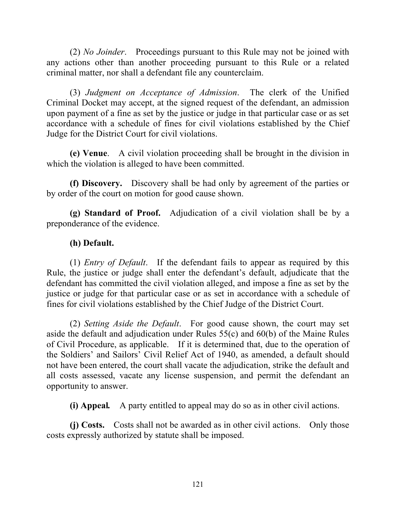(2) *No Joinder*. Proceedings pursuant to this Rule may not be joined with any actions other than another proceeding pursuant to this Rule or a related criminal matter, nor shall a defendant file any counterclaim.

(3) *Judgment on Acceptance of Admission*. The clerk of the Unified Criminal Docket may accept, at the signed request of the defendant, an admission upon payment of a fine as set by the justice or judge in that particular case or as set accordance with a schedule of fines for civil violations established by the Chief Judge for the District Court for civil violations.

**(e) Venue**. A civil violation proceeding shall be brought in the division in which the violation is alleged to have been committed.

**(f) Discovery.** Discovery shall be had only by agreement of the parties or by order of the court on motion for good cause shown.

**(g) Standard of Proof.** Adjudication of a civil violation shall be by a preponderance of the evidence.

## **(h) Default.**

(1) *Entry of Default*. If the defendant fails to appear as required by this Rule, the justice or judge shall enter the defendant's default, adjudicate that the defendant has committed the civil violation alleged, and impose a fine as set by the justice or judge for that particular case or as set in accordance with a schedule of fines for civil violations established by the Chief Judge of the District Court.

(2) *Setting Aside the Default*. For good cause shown, the court may set aside the default and adjudication under Rules 55(c) and 60(b) of the Maine Rules of Civil Procedure, as applicable. If it is determined that, due to the operation of the Soldiers' and Sailors' Civil Relief Act of 1940, as amended, a default should not have been entered, the court shall vacate the adjudication, strike the default and all costs assessed, vacate any license suspension, and permit the defendant an opportunity to answer.

**(i) Appeal***.* A party entitled to appeal may do so as in other civil actions.

**(j) Costs.** Costs shall not be awarded as in other civil actions. Only those costs expressly authorized by statute shall be imposed.